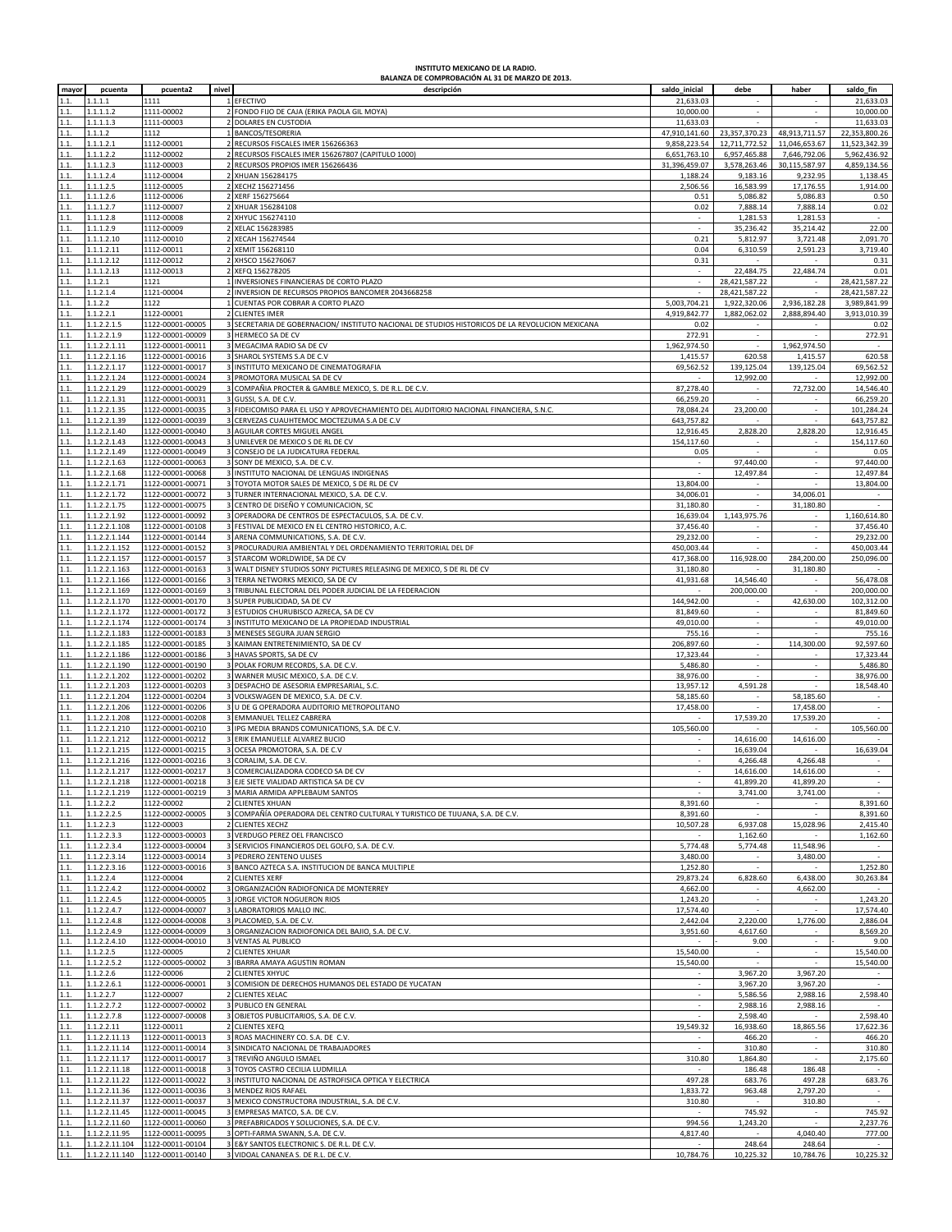## **INSTITUTO MEXICANO DE LA RADIO. BALANZA DE COMPROBACIÓN AL 31 DE MARZO DE 2013.**

| mayor        | pcuenta                      | pcuenta2                             | nivel | descripción                                                                                                                       | saldo_inicial         | debe                               | haber                          | saldo_fin                |
|--------------|------------------------------|--------------------------------------|-------|-----------------------------------------------------------------------------------------------------------------------------------|-----------------------|------------------------------------|--------------------------------|--------------------------|
| 1.1          | 1.1.1.1                      | 1111                                 |       | EFECTIVO                                                                                                                          | 21,633.03             |                                    |                                | 21,633.03                |
| 1.1.         | 1.1.1.1.2                    | 1111-00002                           |       | FONDO FIJO DE CAJA (ERIKA PAOLA GIL MOYA)                                                                                         | 10,000.00             |                                    |                                | 10,000.00                |
| 1.1.         | 1.1.1.1.3                    | 1111-00003                           |       | DOLARES EN CUSTODIA                                                                                                               | 11,633.03             |                                    |                                | 11,633.03                |
| 1.1.         | 1.1.1.2                      | 1112                                 |       | BANCOS/TESORERIA                                                                                                                  | 47,910,141.60         | 23,357,370.23                      | 48,913,711.57                  | 22,353,800.26            |
| 1.1.         | 1.1.1.2.1                    | 1112-00001                           |       | 2 RECURSOS FISCALES IMER 156266363                                                                                                | 9,858,223.54          | 12,711,772.52                      | 11,046,653.67                  | 11,523,342.39            |
| 1.1.         | 1.1.1.2.2                    | 1112-00002                           |       | RECURSOS FISCALES IMER 156267807 (CAPITULO 1000)                                                                                  | 6,651,763.10          | 6,957,465.88                       | 7,646,792.06                   | 5,962,436.92             |
| 1.1.         | 1.1.1.2.3                    | 1112-00003                           |       | RECURSOS PROPIOS IMER 156266436                                                                                                   | 31,396,459.07         | 3,578,263.46                       | 30,115,587.97                  | 4,859,134.56             |
| 1.1.         | 1.1.1.2.4                    | 1112-00004                           |       | XHUAN 156284175                                                                                                                   | 1,188.24              | 9,183.16                           | 9,232.95                       | 1,138.45                 |
| 1.1.         | 1.1.1.2.5                    | 1112-00005                           |       | XECHZ 156271456                                                                                                                   | 2,506.56              | 16,583.99                          | 17,176.55                      | 1,914.00                 |
| 1.1.         | 1.1.1.2.6                    | 1112-00006                           |       | XERF 156275664                                                                                                                    | 0.51                  | 5,086.82                           | 5,086.83                       | 0.50                     |
| 1.1.         | 1.1.1.2.7                    | 1112-00007                           |       | XHUAR 156284108                                                                                                                   | 0.02                  | 7,888.14                           | 7,888.14                       | 0.02                     |
| 1.1.         | 1.1.1.2.8                    | 1112-00008                           |       | XHYUC 156274110                                                                                                                   |                       | 1,281.53                           | 1,281.53                       |                          |
| 1.1.         | 1.1.1.2.9                    | 1112-00009                           |       | XELAC 156283985                                                                                                                   |                       | 35,236.42                          | 35,214.42                      | 22.00                    |
| 1.1.         | 1.1.1.2.10                   | 1112-00010                           |       | 2 XECAH 156274544                                                                                                                 | 0.21                  | 5,812.97                           | 3,721.48                       | 2,091.70                 |
| 1.1.         | 1.1.1.2.11                   | 1112-00011                           |       | 2 XEMIT 156268110                                                                                                                 | 0.04                  | 6,310.59                           | 2,591.23                       | 3,719.40                 |
| 1.1.         | 1.1.1.2.12                   | 1112-00012                           |       | XHSCO 156276067                                                                                                                   | 0.31                  |                                    |                                | 0.31                     |
| 1.1.         | 1.1.1.2.13                   | 1112-00013                           |       | XEFQ 156278205                                                                                                                    |                       | 22,484.75                          | 22,484.74                      | 0.01                     |
| 1.1.         | 1.1.2.1                      | 1121                                 |       | INVERSIONES FINANCIERAS DE CORTO PLAZO                                                                                            |                       | 28,421,587.22                      |                                | 28,421,587.22            |
| 1.1.         | 1.1.2.1.4                    | 1121-00004                           |       | INVERSION DE RECURSOS PROPIOS BANCOMER 2043668258                                                                                 |                       | 28,421,587.22                      | $\sim$                         | 28,421,587.22            |
| 1.1.         | 1.1.2.2                      | 1122                                 |       | CUENTAS POR COBRAR A CORTO PLAZO                                                                                                  | 5,003,704.21          | 1,922,320.06                       | 2,936,182.28                   | 3,989,841.99             |
| 1.1.         | 1.1.2.2.1                    | 1122-00001                           |       | <b>CLIENTES IMER</b>                                                                                                              | 4,919,842.77          | 1,882,062.02                       | 2,888,894.40                   | 3,913,010.39             |
| 1.1.         | 1.1.2.2.1.5                  | 1122-00001-00005                     |       | 3 SECRETARIA DE GOBERNACION/ INSTITUTO NACIONAL DE STUDIOS HISTORICOS DE LA REVOLUCION MEXICANA                                   | 0.02                  | $\sim$                             | $\sim$                         | 0.02                     |
| 1.1.         | 1.1.2.2.1.9                  | 1122-00001-00009                     |       | 3 HERMECO SA DE CV                                                                                                                | 272.91                | $\sim$                             | ÷.                             | 272.91                   |
| 1.1.         | 1.1.2.2.1.11                 | 1122-00001-00011                     |       | MEGACIMA RADIO SA DE CV                                                                                                           | 1,962,974.50          |                                    | 1,962,974.50                   |                          |
| 1.1.         | 1.1.2.2.1.16                 | 1122-00001-00016                     |       | SHAROL SYSTEMS S.A DE C.V                                                                                                         | 1,415.57              | 620.58                             | 1,415.57                       | 620.58                   |
| 1.1.         | 1.1.2.2.1.17                 | 1122-00001-00017                     |       | 3 INSTITUTO MEXICANO DE CINEMATOGRAFIA                                                                                            | 69,562.52             | 139,125.04                         | 139,125.04                     | 69,562.52                |
| 1.1.         | 1.1.2.2.1.24                 | 1122-00001-00024                     |       | 3 PROMOTORA MUSICAL SA DE CV                                                                                                      |                       | 12,992.00                          |                                | 12,992.00                |
| 1.1.         | 1.1.2.2.1.29                 | 1122-00001-00029                     |       | COMPAÑIA PROCTER & GAMBLE MEXICO, S. DE R.L. DE C.V.                                                                              | 87,278.40             |                                    | 72,732.00                      | 14,546.40                |
| 1.1.         | 1.1.2.2.1.31                 | 1122-00001-00031                     |       | GUSSI, S.A. DE C.V.                                                                                                               | 66,259.20             |                                    | ٠                              | 66,259.20                |
| 1.1.         | 1.1.2.2.1.35                 | 1122-00001-00035                     |       | 3 FIDEICOMISO PARA EL USO Y APROVECHAMIENTO DEL AUDITORIO NACIONAL FINANCIERA, S.N.C.<br>CERVEZAS CUAUHTEMOC MOCTEZUMA S.A DE C.V | 78,084.24             | 23,200.00                          | ×.                             | 101,284.24               |
| 1.1.         | 1.1.2.2.1.39                 | 1122-00001-00039                     |       |                                                                                                                                   | 643,757.82            |                                    |                                | 643,757.82               |
| 1.1.         | 1.1.2.2.1.40<br>1.1.2.2.1.43 | 1122-00001-00040                     |       | AGUILAR CORTES MIGUEL ANGEL                                                                                                       | 12,916.45             | 2,828.20<br>÷.                     | 2,828.20                       | 12,916.45                |
| 1.1.<br>1.1. | 1.1.2.2.1.49                 | 1122-00001-00043<br>1122-00001-00049 |       | 3 UNILEVER DE MEXICO S DE RL DE CV<br>CONSEJO DE LA JUDICATURA FEDERAL                                                            | 154,117.60<br>0.05    |                                    | $\overline{\phantom{a}}$<br>×, | 154,117.60<br>0.05       |
| 1.1.         | 1.1.2.2.1.63                 | 1122-00001-00063                     |       | SONY DE MEXICO, S.A. DE C.V.                                                                                                      |                       | 97,440.00                          | $\sim$                         | 97,440.00                |
| 1.1.         | 1.1.2.2.1.68                 | 1122-00001-00068                     |       | INSTITUTO NACIONAL DE LENGUAS INDIGENAS                                                                                           |                       | 12,497.84                          | ÷,                             | 12,497.84                |
| 1.1.         | 1.1.2.2.1.71                 | 1122-00001-00071                     |       | TOYOTA MOTOR SALES DE MEXICO, S DE RL DE CV                                                                                       | 13,804.00             | ×                                  | ä,                             | 13,804.00                |
| 1.1.         | 1.1.2.2.1.72                 | 1122-00001-00072                     |       | TURNER INTERNACIONAL MEXICO, S.A. DE C.V.                                                                                         | 34,006.01             |                                    | 34,006.01                      |                          |
| 1.1.         | 1.1.2.2.1.75                 | 1122-00001-00075                     |       | CENTRO DE DISEÑO Y COMUNICACION, SC                                                                                               | 31,180.80             |                                    | 31,180.80                      |                          |
| 1.1.         | 1.1.2.2.1.92                 | 1122-00001-00092                     |       | OPERADORA DE CENTROS DE ESPECTACULOS, S.A. DE C.V.                                                                                | 16,639.04             | 1,143,975.76                       |                                | 1,160,614.80             |
| 1.1.         | 1.1.2.2.1.108                | 1122-00001-00108                     |       | 3 FESTIVAL DE MEXICO EN EL CENTRO HISTORICO, A.C.                                                                                 | 37,456.40             |                                    |                                | 37,456.40                |
| 1.1.         | 1.1.2.2.1.144                | 1122-00001-00144                     |       | ARENA COMMUNICATIONS, S.A. DE C.V.                                                                                                | 29,232.00             |                                    |                                | 29,232.00                |
| 1.1.         | 1.1.2.2.1.152                | 1122-00001-00152                     |       | 3 PROCURADURIA AMBIENTAL Y DEL ORDENAMIENTO TERRITORIAL DEL DF                                                                    | 450,003.44            |                                    |                                | 450,003.44               |
| 1.1.         | 1.1.2.2.1.157                | 1122-00001-00157                     |       | STARCOM WORLDWIDE, SA DE CV                                                                                                       | 417,368.00            | 116,928.00                         | 284,200.00                     | 250,096.00               |
| 1.1.         | 1.1.2.2.1.163                | 1122-00001-00163                     |       | 3 WALT DISNEY STUDIOS SONY PICTURES RELEASING DE MEXICO, S DE RL DE CV                                                            | 31,180.80             |                                    | 31,180.80                      |                          |
| 1.1.         | 1.1.2.2.1.166                | 1122-00001-00166                     |       | 3 TERRA NETWORKS MEXICO, SA DE CV                                                                                                 | 41,931.68             | 14,546.40                          |                                | 56,478.08                |
| 1.1.         | 1.1.2.2.1.169                | 1122-00001-00169                     |       | 3 TRIBUNAL ELECTORAL DEL PODER JUDICIAL DE LA FEDERACION                                                                          |                       | 200,000.00                         | $\sim$                         | 200,000.00               |
| 1.1.         | 1.1.2.2.1.170                | 1122-00001-00170                     |       | 3 SUPER PUBLICIDAD, SA DE CV                                                                                                      | 144,942.00            |                                    | 42,630.00                      | 102,312.00               |
| 1.1          | 1.1.2.2.1.172                | 1122-00001-00172                     |       | ESTUDIOS CHURUBISCO AZRECA, SA DE CV                                                                                              | 81,849.60             |                                    |                                | 81,849.60                |
| 1.1.         | 1.1.2.2.1.174                | 1122-00001-00174                     |       | 3 INSTITUTO MEXICANO DE LA PROPIEDAD INDUSTRIAL                                                                                   | 49,010.00             | $\sim$                             | $\overline{\phantom{a}}$       | 49,010.00                |
| 1.1.         | 1.1.2.2.1.183                | 1122-00001-00183                     |       | 3 MENESES SEGURA JUAN SERGIO                                                                                                      | 755.16                | $\sim$                             | $\sim$                         | 755.16                   |
| 1.1.         | 1.1.2.2.1.185                | 1122-00001-00185                     |       | 3 KAIMAN ENTRETENIMIENTO, SA DE CV                                                                                                | 206,897.60            | $\sim$                             | 114,300.00                     | 92,597.60                |
| 1.1.         | 1.1.2.2.1.186                | 1122-00001-00186                     |       | HAVAS SPORTS, SA DE CV                                                                                                            | 17,323.44             |                                    |                                | 17,323.44                |
| 1.1.         | 1.1.2.2.1.190                | 1122-00001-00190                     |       | 3 POLAK FORUM RECORDS, S.A. DE C.V.                                                                                               | 5,486.80              |                                    | ÷.                             | 5,486.80                 |
| 1.1.         | 1.1.2.2.1.202                | 1122-00001-00202                     |       | 3 WARNER MUSIC MEXICO, S.A. DE C.V.                                                                                               | 38,976.00             |                                    | ×.                             | 38,976.00                |
| 1.1.         | 1.1.2.2.1.203                | 1122-00001-00203                     |       | DESPACHO DE ASESORIA EMPRESARIAL, S.C.                                                                                            | 13,957.12             | 4,591.28                           |                                | 18,548.40                |
| 1.1.         | 1.1.2.2.1.204                | 1122-00001-00204                     |       | 3 VOLKSWAGEN DE MEXICO, S.A. DE C.V.                                                                                              | 58,185.60             |                                    | 58,185.60                      |                          |
| 1.1.         | 1.1.2.2.1.206                | 1122-00001-00206                     |       | 3 U DE G OPERADORA AUDITORIO METROPOLITANO                                                                                        | 17,458.00             | ÷.                                 | 17,458.00                      | $\overline{\phantom{a}}$ |
| 1.1.         | 1.1.2.2.1.208                | 1122-00001-00208                     |       | 3 EMMANUEL TELLEZ CABRERA                                                                                                         |                       | 17,539.20                          | 17,539.20                      |                          |
| 1.1.         | 1.1.2.2.1.210                | 1122-00001-00210                     |       | IPG MEDIA BRANDS COMUNICATIONS, S.A. DE C.V.                                                                                      | 105,560.00            |                                    |                                | 105,560.00               |
| 1.1.         | 1.1.2.2.1.212                | 1122-00001-00212                     |       | 3 ERIK EMANUELLE ALVAREZ BUCIO                                                                                                    |                       | 14,616.00                          | 14,616.00                      |                          |
| 1.1.         | 1.1.2.2.1.215                | 1122-00001-00215                     |       | 3 OCESA PROMOTORA, S.A. DE C.V                                                                                                    |                       | 16.639.04                          |                                | 16,639.04                |
| 1.1.         | 1.1.2.2.1.216                | 1122-00001-00216                     |       | CORALIM, S.A. DE C.V.                                                                                                             |                       | 4,266.48                           | 4,266.48                       |                          |
| 1.1.         | 1.1.2.2.1.217                | 1122-00001-00217                     |       | COMERCIALIZADORA CODECO SA DE CV                                                                                                  |                       | 14,616.00                          | 14,616.00                      |                          |
|              | 1.1.2.2.1.218                | 1122-00001-00218                     |       | 3 EJE SIETE VIALIDAD ARTISTICA SA DE CV                                                                                           |                       | 41,899.20                          | 41,899.20                      |                          |
| 1.1.         | 1.1.2.2.1.219                | 1122-00001-00219                     |       | 3 MARIA ARMIDA APPLEBAUM SANTOS                                                                                                   | $\sim$                | 3,741.00                           | 3,741.00                       | $\sim$                   |
| 1.1.         | 1.1.2.2.2                    | 1122-00002                           |       | <b>CLIENTES XHUAN</b>                                                                                                             | 8,391.60              | $\sim$                             |                                | 8,391.60                 |
| 1.1.         | 1.1.2.2.2.5                  | 1122-00002-00005                     |       | COMPAÑÍA OPERADORA DEL CENTRO CULTURAL Y TURISTICO DE TIJUANA, S.A. DE C.V.                                                       | 8,391.60              |                                    |                                | 8,391.60                 |
| 1.1.         | 1.1.2.2.3                    | 1122-00003                           |       | <b>CLIENTES XECHZ</b>                                                                                                             | 10,507.28             | 6,937.08                           | 15,028.96                      | 2,415.40                 |
| 1.1.         | 1.1.2.2.3.3                  | 1122-00003-00003                     |       | 3 VERDUGO PEREZ OEL FRANCISCO                                                                                                     |                       | 1,162.60                           |                                | 1,162.60                 |
| 1.1.         | 1.1.2.2.3.4                  | 1122-00003-00004                     |       | SERVICIOS FINANCIEROS DEL GOLFO, S.A. DE C.V.                                                                                     | 5,774.48              | 5,774.48                           | 11,548.96                      |                          |
| 1.1.         | 1.1.2.2.3.14                 | 1122-00003-00014                     |       | 3 PEDRERO ZENTENO ULISES                                                                                                          | 3,480.00              | $\overline{\phantom{a}}$<br>$\sim$ | 3,480.00                       | $\sim$                   |
| 1.1.         | 1.1.2.2.3.16                 | 1122-00003-00016                     |       | 3 BANCO AZTECA S.A. INSTITUCION DE BANCA MULTIPLE                                                                                 | 1,252.80              |                                    |                                | 1,252.80                 |
| 1.1.         | 1.1.2.2.4                    | 1122-00004                           |       | <b>CLIENTES XERF</b>                                                                                                              | 29,873.24             | 6,828.60                           | 6,438.00                       | 30,263.84                |
| 1.1.         | 1.1.2.2.4.2<br>1.1.2.2.4.5   | 1122-00004-00002                     |       | ORGANIZACIÓN RADIOFONICA DE MONTERREY                                                                                             | 4,662.00              | $\sim$                             | 4,662.00<br>$\sim$             | 1,243.20                 |
| 1.1.<br>1.1. | 1.1.2.2.4.7                  | 1122-00004-00005<br>1122-00004-00007 |       | 3 JORGE VICTOR NOGUERON RIOS<br>3 LABORATORIOS MALLO INC.                                                                         | 1,243.20<br>17,574.40 |                                    |                                | 17,574.40                |
| 1.1.         | 1.1.2.2.4.8                  | 1122-00004-00008                     |       | 3 PLACOMED, S.A. DE C.V.                                                                                                          | 2.442.04              | 2,220.00                           | 1,776.00                       | 2,886.04                 |
| 1.1.         | 1.1.2.2.4.9                  | 1122-00004-00009                     |       | 3 ORGANIZACION RADIOFONICA DEL BAJIO, S.A. DE C.V.                                                                                | 3,951.60              | 4,617.60                           | $\sim$                         | 8,569.20                 |
| 1.1.         | 1.1.2.2.4.10                 | 1122-00004-00010                     |       | 3 VENTAS AL PUBLICO                                                                                                               |                       | 9.00                               | $\sim$                         | 9.00                     |
| 1.1.         | 1.1.2.2.5                    | 1122-00005                           |       | 2 CLIENTES XHUAR                                                                                                                  | 15,540.00             |                                    | $\mathbf{r}$                   | 15,540.00                |
| 1.1.         | 1.1.2.2.5.2                  | 1122-00005-00002                     |       | 3 IBARRA AMAYA AGUSTIN ROMAN                                                                                                      | 15,540.00             |                                    |                                | 15,540.00                |
| 1.1.         | 1.1.2.2.6                    | 1122-00006                           |       | 2 CLIENTES XHYUC                                                                                                                  |                       | 3,967.20                           | 3,967.20                       |                          |
| 1.1.         | 1.1.2.2.6.1                  | 1122-00006-00001                     |       | COMISION DE DERECHOS HUMANOS DEL ESTADO DE YUCATAN                                                                                |                       | 3,967.20                           | 3,967.20                       |                          |
| 1.1.         | 1.1.2.2.7                    | 1122-00007                           |       | <b>CLIENTES XELAC</b>                                                                                                             |                       | 5,586.56                           | 2,988.16                       | 2,598.40                 |
| 1.1.         | 1.1.2.2.7.2                  | 1122-00007-00002                     |       | <b>3 PUBLICO EN GENERAL</b>                                                                                                       |                       | 2,988.16                           | 2,988.16                       |                          |
| 1.1.         | 1.1.2.2.7.8                  | 1122-00007-00008                     |       | 3 OBJETOS PUBLICITARIOS, S.A. DE C.V.                                                                                             |                       | 2,598.40                           |                                | 2,598.40                 |
| 1.1.         | 1.1.2.2.11                   | 1122-00011                           |       | 2 CLIENTES XEFQ                                                                                                                   | 19,549.32             | 16,938.60                          | 18,865.56                      | 17,622.36                |
| 1.1.         | 1.1.2.2.11.13                | 1122-00011-00013                     |       | 3 ROAS MACHINERY CO. S.A. DE C.V.                                                                                                 |                       | 466.20                             |                                | 466.20                   |
| 1.1.         | 1.1.2.2.11.14                | 1122-00011-00014                     |       | 3 SINDICATO NACIONAL DE TRABAJADORES                                                                                              |                       | 310.80                             | $\sim$                         | 310.80                   |
| 1.1.         | 1.1.2.2.11.17                | 1122-00011-00017                     |       | 3 TREVIÑO ANGULO ISMAEL                                                                                                           | 310.80                | 1,864.80                           | $\sim$                         | 2,175.60                 |
| 1.1.         | 1.1.2.2.11.18                | 1122-00011-00018                     |       | TOYOS CASTRO CECILIA LUDMILLA                                                                                                     |                       | 186.48                             | 186.48                         | $\epsilon$               |
| 1.1.         | 1.1.2.2.11.22                | 1122-00011-00022                     |       | 3 INSTITUTO NACIONAL DE ASTROFISICA OPTICA Y ELECTRICA                                                                            | 497.28                | 683.76                             | 497.28                         | 683.76                   |
| 1.1.         | 1.1.2.2.11.36                | 1122-00011-00036                     |       | 3 MENDEZ RIOS RAFAEL                                                                                                              | 1,833.72              | 963.48                             | 2,797.20                       | $\sim$                   |
| 1.1.         | 1.1.2.2.11.37                | 1122-00011-00037                     |       | 3 MEXICO CONSTRUCTORA INDUSTRIAL, S.A. DE C.V.                                                                                    | 310.80                |                                    | 310.80                         | $\overline{a}$           |
| 1.1.         | 1.1.2.2.11.45                | 1122-00011-00045                     |       | 3 EMPRESAS MATCO, S.A. DE C.V.                                                                                                    |                       | 745.92                             |                                | 745.92                   |
| 1.1.         | 1.1.2.2.11.60                | 1122-00011-00060                     |       | 3 PREFABRICADOS Y SOLUCIONES, S.A. DE C.V.                                                                                        | 994.56                | 1,243.20                           | $\sim$                         | 2,237.76                 |
| 1.1.         | 1.1.2.2.11.95                | 1122-00011-00095                     |       | 3 OPTI-FARMA SWANN, S.A. DE C.V.                                                                                                  | 4,817.40              |                                    | 4,040.40                       | 777.00                   |
| 1.1.         | 1.1.2.2.11.104               | 1122-00011-00104                     |       | 3 E&Y SANTOS ELECTRONIC S. DE R.L. DE C.V.                                                                                        |                       | 248.64                             | 248.64                         |                          |
| 1.1.         |                              | 1.1.2.2.11.140  1122-00011-00140     |       | 3 VIDOAL CANANEA S. DE R.L. DE C.V.                                                                                               | 10,784.76             | 10,225.32                          | 10,784.76                      | 10,225.32                |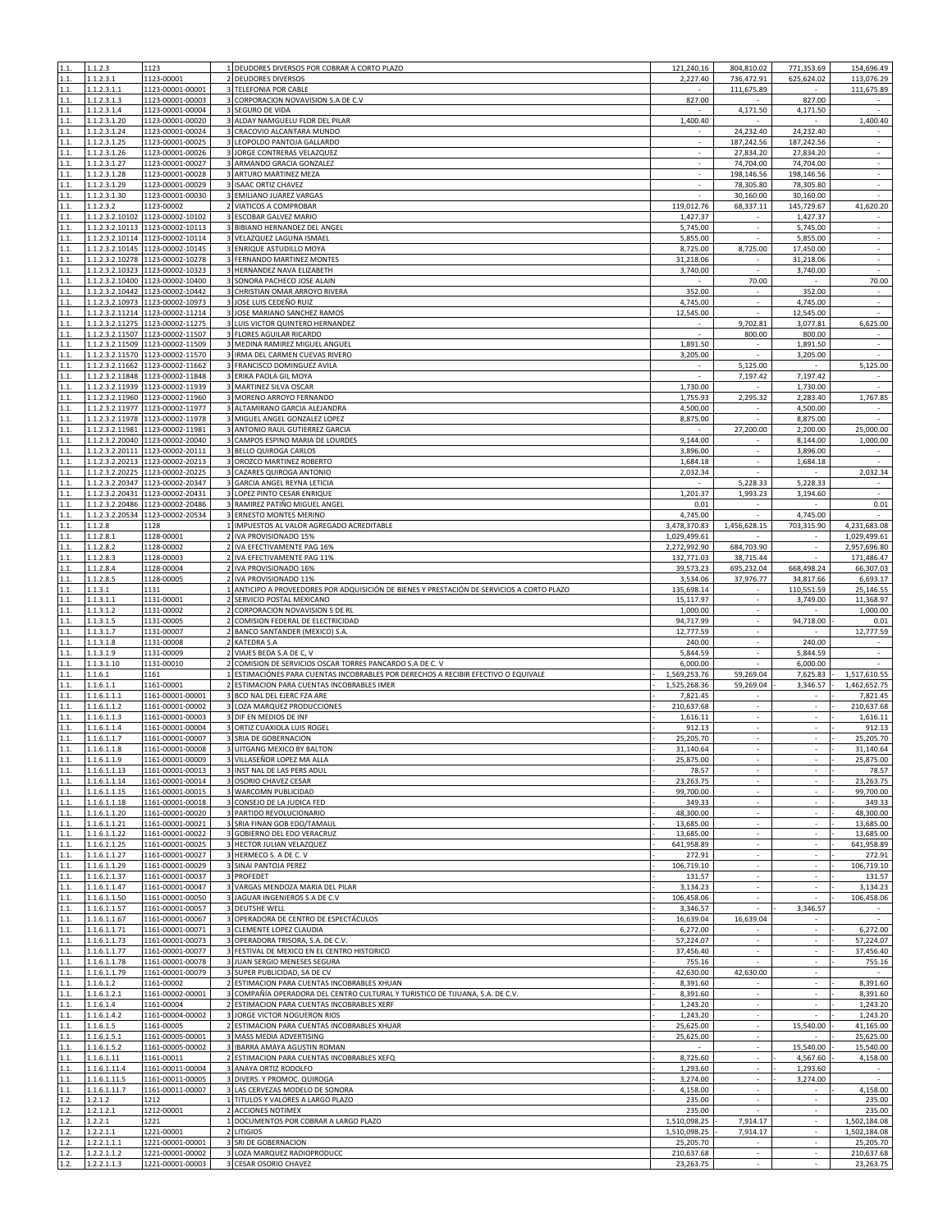| 1.1.           | 1.1.2.3                            | 1123                                                 | 1 DEUDORES DIVERSOS POR COBRAR A CORTO PLAZO                                                                             | 121,240.16                   | 804,810.02               | 771,353.69                        | 154,696.49                   |
|----------------|------------------------------------|------------------------------------------------------|--------------------------------------------------------------------------------------------------------------------------|------------------------------|--------------------------|-----------------------------------|------------------------------|
| 1.1.           | 1.1.2.3.1                          | 1123-00001                                           | 2 DEUDORES DIVERSOS                                                                                                      | 2,227.40                     | 736,472.91               | 625,624.02                        | 113,076.29                   |
| 1.1.           | 1.1.2.3.1.1                        | 1123-00001-00001                                     | 3 TELEFONIA POR CABLE                                                                                                    |                              | 111,675.89               |                                   | 111,675.89                   |
| 1.1.           | 1.1.2.3.1.3                        | 1123-00001-00003                                     | 3 CORPORACION NOVAVISION S.A DE C.V                                                                                      | 827.00                       |                          | 827.00                            |                              |
| 1.1.           | 1.1.2.3.1.4                        | 1123-00001-00004                                     | 3 SEGURO DE VIDA                                                                                                         |                              | 4,171.50                 | 4,171.50                          |                              |
| 1.1.<br>1.1.   | 1.1.2.3.1.20<br>1.1.2.3.1.24       | 1123-00001-00020<br>1123-00001-00024                 | 3 ALDAY NAMGUELU FLOR DEL PILAR<br>3 CRACOVIO ALCANTARA MUNDO                                                            | 1,400.40                     | 24,232.40                | 24,232.40                         | 1,400.40                     |
| 1.1.           | 1.1.2.3.1.25                       | 1123-00001-00025                                     | 3 LEOPOLDO PANTOJA GALLARDO                                                                                              |                              | 187,242.56               | 187,242.56                        | $\sim$                       |
| 1.1.           | 1.1.2.3.1.26                       | 1123-00001-00026                                     | 3 JORGE CONTRERAS VELAZQUEZ                                                                                              |                              | 27,834.20                | 27,834.20                         | $\overline{\phantom{a}}$     |
| 1.1.           | 1.1.2.3.1.27                       | 1123-00001-00027                                     | 3 ARMANDO GRACIA GONZALEZ                                                                                                | $\overline{\phantom{a}}$     | 74,704.00                | 74,704.00                         | $\epsilon$                   |
| 1.1.           | 1.1.2.3.1.28                       | 1123-00001-00028                                     | 3 ARTURO MARTINEZ MEZA                                                                                                   |                              | 198,146.56               | 198,146.56                        | ÷,                           |
| 1.1.           | 1.1.2.3.1.29                       | 1123-00001-00029                                     | 3 ISAAC ORTIZ CHAVEZ                                                                                                     |                              | 78,305.80                | 78,305.80                         | $\overline{\phantom{a}}$     |
| 1.1.           | 1.1.2.3.1.30                       | 1123-00001-00030                                     | 3 EMILIANO JUAREZ VARGAS                                                                                                 | $\sim$                       | 30,160.00                | 30,160.00                         | $\sim$                       |
| 1.1.           | 1.1.2.3.2                          | 1123-00002                                           | 2 VIATICOS A COMPROBAR                                                                                                   | 119,012.76                   | 68,337.11                | 145,729.67                        | 41,620.20                    |
| 1.1.           | 1.1.2.3.2.10102                    | 1123-00002-10102                                     | 3 ESCOBAR GALVEZ MARIO                                                                                                   | 1,427.37                     |                          | 1,427.37                          |                              |
| 1.1.           | 1.1.2.3.2.10113                    | 1123-00002-10113<br>1123-00002-10114                 | 3 BIBIANO HERNANDEZ DEL ANGEL<br>3 VELAZQUEZ LAGUNA ISMAEL                                                               | 5,745.00                     |                          | 5,745.00                          | ÷                            |
| 1.1.<br>1.1.   | 1.1.2.3.2.10114<br>1.1.2.3.2.10145 | 1123-00002-10145                                     | 3 ENRIQUE ASTUDILLO MOYA                                                                                                 | 5,855.00<br>8,725.00         | $\sim$<br>8,725.00       | 5,855.00<br>17,450.00             | $\sim$<br>$\mathcal{L}$      |
| 1.1.           | 1.1.2.3.2.10278                    | 1123-00002-10278                                     | 3 FERNANDO MARTINEZ MONTES                                                                                               | 31,218.06                    |                          | 31,218.06                         | $\omega$                     |
| 1.1.           |                                    | 1.1.2.3.2.10323 1123-00002-10323                     | 3 HERNANDEZ NAVA ELIZABETH                                                                                               | 3,740.00                     |                          | 3,740.00                          | $\sim$                       |
| 1.1.           | 1.1.2.3.2.10400                    | 1123-00002-10400                                     | 3 SONORA PACHECO JOSE ALAIN                                                                                              |                              | 70.00                    |                                   | 70.00                        |
| 1.1.           | 1.1.2.3.2.10442                    | 1123-00002-10442                                     | 3 CHRISTIAN OMAR ARROYO RIVERA                                                                                           | 352.00                       |                          | 352.00                            |                              |
| 1.1.           | 1.1.2.3.2.10973                    | 1123-00002-10973                                     | 3 JOSE LUIS CEDEÑO RUIZ                                                                                                  | 4,745.00                     |                          | 4,745.00                          | ÷,                           |
| 1.1.           |                                    | 1.1.2.3.2.11214 1123-00002-11214                     | 3 JOSE MARIANO SANCHEZ RAMOS                                                                                             | 12,545.00                    | $\sim$                   | 12,545.00                         | ×,                           |
| 1.1.           | 1.1.2.3.2.11275                    | 1123-00002-11275                                     | 3 LUIS VICTOR QUINTERO HERNANDEZ                                                                                         |                              | 9,702.81                 | 3,077.81                          | 6,625.00                     |
| 1.1.           | 1.1.2.3.2.11507                    | 1123-00002-11507                                     | 3 FLORES AGUILAR RICARDO                                                                                                 |                              | 800.00                   | 800.00                            |                              |
| 1.1.           |                                    | 1.1.2.3.2.11509 1123-00002-11509                     | 3 MEDINA RAMIREZ MIGUEL ANGUEL                                                                                           | 1,891.50                     |                          | 1,891.50                          | $\mathcal{L}$                |
| 1.1.<br>1.1.   | 1.1.2.3.2.11662                    | 1.1.2.3.2.11570 1123-00002-11570<br>1123-00002-11662 | 3 IRMA DEL CARMEN CUEVAS RIVERO<br>3 FRANCISCO DOMINGUEZ AVILA                                                           | 3,205.00                     | 5,125.00                 | 3,205.00                          | 5,125.00                     |
| 1.1.           |                                    | 1.1.2.3.2.11848 1123-00002-11848                     | 3 ERIKA PAOLA GIL MOYA                                                                                                   |                              | 7,197.42                 | 7,197.42                          |                              |
| 1.1.           |                                    | 1.1.2.3.2.11939 1123-00002-11939                     | 3 MARTINEZ SILVA OSCAR                                                                                                   | 1,730.00                     |                          | 1,730.00                          | ÷,                           |
| 1.1.           | 1.1.2.3.2.11960                    | 1123-00002-11960                                     | 3 MORENO ARROYO FERNANDO                                                                                                 | 1,755.93                     | 2,295.32                 | 2,283.40                          | 1,767.85                     |
| 1.1.           | 1.1.2.3.2.11977                    | 1123-00002-11977                                     | 3 ALTAMIRANO GARCIA ALEJANDRA                                                                                            | 4,500.00                     |                          | 4,500.00                          |                              |
| 1.1.           | 1.1.2.3.2.11978                    | 1123-00002-11978                                     | 3 MIGUEL ANGEL GONZALEZ LOPEZ                                                                                            | 8,875.00                     |                          | 8,875.00                          |                              |
| 1.1.           | 1.1.2.3.2.11981                    | 1123-00002-11981                                     | 3 ANTONIO RAUL GUTIERREZ GARCIA                                                                                          |                              | 27,200.00                | 2,200.00                          | 25,000.00                    |
| 1.1.           | 1.1.2.3.2.20040                    | 1123-00002-20040                                     | 3 CAMPOS ESPINO MARIA DE LOURDES                                                                                         | 9,144.00                     |                          | 8,144.00                          | 1,000.00                     |
| 1.1.           | 1.1.2.3.2.20111                    | 1123-00002-20111                                     | 3 BELLO QUIROGA CARLOS                                                                                                   | 3,896.00                     |                          | 3,896.00                          |                              |
| 1.1.           |                                    | 1.1.2.3.2.20213 1123-00002-20213                     | 3 OROZCO MARTINEZ ROBERTO                                                                                                | 1,684.18                     | $\sim$                   | 1,684.18                          | $\overline{\phantom{a}}$     |
| 1.1.<br>1.1.   | 1.1.2.3.2.20225<br>1.1.2.3.2.20347 | 1123-00002-20225<br>1123-00002-20347                 | 3 CAZARES QUIROGA ANTONIO<br>3 GARCIA ANGEL REYNA LETICIA                                                                | 2,032.34                     | 5,228.33                 | 5,228.33                          | 2,032.34                     |
| 1.1.           | 1.1.2.3.2.20431                    | 1123-00002-20431                                     | 3 LOPEZ PINTO CESAR ENRIQUE                                                                                              | 1,201.37                     | 1,993.23                 | 3,194.60                          |                              |
| 1.1.           | 1.1.2.3.2.20486                    | 1123-00002-20486                                     | 3 RAMIREZ PATIÑO MIGUEL ANGEL                                                                                            | 0.01                         | $\sim$                   |                                   | 0.01                         |
| 1.1.           | 1.1.2.3.2.20534                    | 1123-00002-20534                                     | 3 ERNESTO MONTES MERINO                                                                                                  | 4,745.00                     |                          | 4,745.00                          |                              |
| 1.1.           | 1.1.2.8                            | 1128                                                 | 1 IMPUESTOS AL VALOR AGREGADO ACREDITABLE                                                                                | 3,478,370.83                 | 1,456,628.15             | 703,315.90                        | 4,231,683.08                 |
| 1.1.           | 1.1.2.8.1                          | 1128-00001                                           | 2 IVA PROVISIONADO 15%                                                                                                   | 1,029,499.61                 |                          | $\sim$                            | 1,029,499.61                 |
| 1.1.           | 1.1.2.8.2                          | 1128-00002                                           | 2 IVA EFECTIVAMENTE PAG 16%                                                                                              | 2,272,992.90                 | 684,703.90               | ÷.                                | 2,957,696.80                 |
| 1.1.           | 1.1.2.8.3                          | 1128-00003                                           | 2 IVA EFECTIVAMENTE PAG 11%                                                                                              | 132,771.03                   | 38,715.44                |                                   | 171,486.47                   |
| 1.1.           | 1.1.2.8.4                          | 1128-00004                                           | 2 IVA PROVISIONADO 16%                                                                                                   | 39,573.23                    | 695,232.04               | 668,498.24                        | 66,307.03                    |
| 1.1.           | 1.1.2.8.5                          | 1128-00005                                           | 2 IVA PROVISIONADO 11%                                                                                                   | 3,534.06                     | 37,976.77                | 34,817.66                         | 6,693.17                     |
| 1.1.<br>1.1.   | 1.1.3.1<br>1.1.3.1.1               | 1131<br>1131-00001                                   | 1 ANTICIPO A PROVEEDORES POR ADQUISICIÓN DE BIENES Y PRESTACIÓN DE SERVICIOS A CORTO PLAZO<br>2 SERVICIO POSTAL MEXICANO | 135,698.14<br>15,117.97      | ×.                       | 110,551.59<br>3,749.00            | 25,146.55<br>11,368.97       |
| 1.1.           | 1.1.3.1.2                          | 1131-00002                                           | 2 CORPORACION NOVAVISION S DE RL                                                                                         | 1,000.00                     |                          |                                   | 1,000.00                     |
| 1.1.           | 1.1.3.1.5                          | 1131-00005                                           | 2 COMISION FEDERAL DE ELECTRICIDAD                                                                                       | 94,717.99                    | $\omega$                 | 94,718.00                         | 0.01                         |
| 1.1.           | 1.1.3.1.7                          | 1131-00007                                           | 2 BANCO SANTANDER (MEXICO) S.A                                                                                           | 12,777.59                    |                          |                                   | 12,777.59                    |
| 1.1.           | 1.1.3.1.8                          | 1131-00008                                           | 2 KATEDRA S.A                                                                                                            | 240.00                       |                          | 240.00                            |                              |
| 1.1.           | 1.1.3.1.9                          | 1131-00009                                           | 2 VIAJES BEDA S.A DE C, V                                                                                                | 5,844.59                     | $\overline{\phantom{a}}$ | 5,844.59                          | $\overline{\phantom{a}}$     |
| 1.1.           | 1.1.3.1.10                         | 1131-00010                                           | 2 COMISION DE SERVICIOS OSCAR TORRES PANCARDO S.A DE C. V                                                                | 6,000.00                     |                          | 6,000.00                          |                              |
| 1.1.           | 1.1.6.1                            | 1161                                                 | 1 ESTIMACIÓNES PARA CUENTAS INCOBRABLES POR DERECHOS A RECIBIR EFECTIVO O EQUIVALE                                       | 1,569,253.76                 | 59,269.04                | 7,625.83                          | 1,517,610.55                 |
| 1.1.           | 1.1.6.1.1                          | 1161-00001                                           | 2 ESTIMACION PARA CUENTAS INCOBRABLES IMER                                                                               | 1,525,268.36                 | 59,269.04                | 3,346.57                          | 1,462,652.75                 |
| 1.1.           | 1.1.6.1.1.1                        | 1161-00001-00001                                     | 3 BCO NAL DEL EJERC FZA ARE                                                                                              | 7,821.45                     | $\sim$                   | $\sim$                            | 7,821.45                     |
| 1.1.<br>1.1.   | 1.1.6.1.1.2<br>1.1.6.1.1.3         | 1161-00001-00002<br>1161-00001-00003                 | 3 LOZA MARQUEZ PRODUCCIONES<br>3 DIF EN MEDIOS DE INF                                                                    | 210,637.68<br>1,616.11       |                          | $\overline{\phantom{a}}$          | 210,637.68<br>1,616.11       |
| 1.1.           | 1.1.6.1.1.4                        | 1161-00001-00004                                     | 3 ORTIZ CUAXIOLA LUIS ROGEL                                                                                              | 912.13                       | $\overline{\phantom{a}}$ | $\sim$                            | 912.13                       |
| 1.1.           | 1.1.6.1.1.7                        | 1161-00001-00007                                     | 3 SRIA DE GOBERNACION                                                                                                    | 25,205.70                    |                          | ÷.                                | 25,205.70                    |
| 1.1.           | 1.1.6.1.1.8                        | 1161-00001-00008                                     | UITGANG MEXICO BY BALTON                                                                                                 | 31,140.64                    |                          | ÷                                 | 31,140.64                    |
|                | 1.1.6.1.1.9                        | 1161-00001-00009                                     | VILLASENOR LOPEZ MA ALLA                                                                                                 | 25,875.00                    |                          |                                   | 25,875.00                    |
| 1.1.           | 1.1.6.1.1.13                       | 1161-00001-00013                                     | 3 INST NAL DE LAS PERS ADUL                                                                                              | 78.57                        | ×                        | $\mathcal{L}_{\mathcal{A}}$       | 78.57                        |
| 1.1.           | 1.1.6.1.1.14                       | 1161-00001-00014                                     | 3 OSORIO CHAVEZ CESAR                                                                                                    | 23,263.75                    |                          |                                   | 23,263.75                    |
| 1.1.           | 1.1.6.1.1.15                       | 1161-00001-00015                                     | 3 WARCOMN PUBLICIDAD                                                                                                     | 99,700.00                    | $\sim$                   |                                   | 99,700.00                    |
| 1.1.<br>1.1.   | 1.1.6.1.1.18<br>1.1.6.1.1.20       | 1161-00001-00018<br>1161-00001-00020                 | 3 CONSEJO DE LA JUDICA FED<br>3 PARTIDO REVOLUCIONARIO                                                                   | 349.33<br>48,300.00          | $\sim$<br>×.             | $\sim$<br>÷.                      | 349.33<br>48,300.00          |
| 1.1.           | 1.1.6.1.1.21                       | 1161-00001-00021                                     | 3 SRIA FINAN GOB EDO/TAMAU                                                                                               | 13,685.00                    |                          |                                   | 13.685.00                    |
| $1.1.$         | 1.1.6.1.1.22                       | 1161-00001-00022                                     | 3 GOBIERNO DEL EDO VERACRUZ                                                                                              | 13,685.00                    | $\hat{\phantom{a}}$      |                                   | 13,685.00                    |
| 1.1.           | 1.1.6.1.1.25                       | 1161-00001-00025                                     | 3 HECTOR JULIAN VELAZQUEZ                                                                                                | 641,958.89                   | ×.                       | $\sim$                            | 641,958.89                   |
| 1.1.           | 1.1.6.1.1.27                       | 1161-00001-00027                                     | 3 HERMECO S. A DE C. V                                                                                                   | 272.91                       | ÷.                       | ÷.                                | 272.91                       |
| 1.1.           | 1.1.6.1.1.29                       | 1161-00001-00029                                     | 3 SINAI PANTOJA PEREZ                                                                                                    | 106,719.10                   |                          |                                   | 106,719.10                   |
| 1.1.           | 1.1.6.1.1.37                       | 1161-00001-00037                                     | 3 PROFEDET                                                                                                               | 131.57                       |                          |                                   | 131.57                       |
| 1.1.           | 1.1.6.1.1.47                       | 1161-00001-00047                                     | 3 VARGAS MENDOZA MARIA DEL PILAR                                                                                         | 3,134.23                     | ×.                       | ÷.                                | 3,134.23                     |
| 1.1.<br>1.1.   | 1.1.6.1.1.50<br>1.1.6.1.1.57       | 1161-00001-00050<br>1161-00001-00057                 | 3 JAGUAR INGENIEROS S.A DE C.V<br>3 DEUTSHE WELL                                                                         | 106,458.06<br>3,346.57       |                          | 3,346.57                          | 106,458.06                   |
| 1.1.           | 1.1.6.1.1.67                       | 1161-00001-00067                                     | 3 OPERADORA DE CENTRO DE ESPECTÁCULOS                                                                                    | 16,639.04                    | 16,639.04                |                                   | $\sim$                       |
| $1.1.$         | 1.1.6.1.1.71                       | 1161-00001-00071                                     | 3 CLEMENTE LOPEZ CLAUDIA                                                                                                 | 6,272.00                     |                          | $\mathcal{L}_{\mathcal{A}}$       | 6,272.00                     |
| 1.1.           | 1.1.6.1.1.73                       | 1161-00001-00073                                     | 3 OPERADORA TRISORA, S.A. DE C.V.                                                                                        | 57,224.07                    | $\sim$                   | $\sim$                            | 57,224.07                    |
| 1.1.           | 1.1.6.1.1.77                       |                                                      |                                                                                                                          |                              |                          |                                   | 37,456.40                    |
| 1.1.           |                                    | 1161-00001-00077                                     | 3 FESTIVAL DE MEXICO EN EL CENTRO HISTORICO                                                                              | 37,456.40                    |                          |                                   |                              |
| 1.1.           | 1.1.6.1.1.78                       | 1161-00001-00078                                     | 3 JUAN SERGIO MENESES SEGURA                                                                                             | 755.16                       |                          | ÷.                                | 755.16                       |
| 1.1.           | 1.1.6.1.1.79                       | 1161-00001-00079                                     | 3 SUPER PUBLICIDAD, SA DE CV                                                                                             | 42,630.00                    | 42,630.00                |                                   |                              |
|                | 1.1.6.1.2                          | 1161-00002                                           | 2 ESTIMACION PARA CUENTAS INCOBRABLES XHUAN                                                                              | 8,391.60                     |                          |                                   | 8,391.60                     |
| 1.1.           | 1.1.6.1.2.1                        | 1161-00002-00001                                     | 3 COMPAÑÍA OPERADORA DEL CENTRO CULTURAL Y TURISTICO DE TIJUANA, S.A. DE C.V.                                            | 8,391.60                     | $\sim$                   | $\sim$                            | 8,391.60                     |
| $1.1.$         | 1.1.6.1.4                          | 1161-00004                                           | 2 ESTIMACION PARA CUENTAS INCOBRABLES XERF                                                                               | 1,243.20                     | $\omega$<br>$\sim$       | $\mathcal{L}_{\mathcal{A}}$<br>×. | 1,243.20                     |
| 1.1.           | 1.1.6.1.4.2                        | 1161-00004-00002<br>1161-00005                       | 3 JORGE VICTOR NOGUERON RIOS                                                                                             | 1,243.20<br>25,625.00        |                          |                                   | 1,243.20                     |
| $1.1.$<br>1.1. | 1.1.6.1.5<br>1.1.6.1.5.1           | 1161-00005-00001                                     | 2 ESTIMACION PARA CUENTAS INCOBRABLES XHUAR<br>3 MASS MEDIA ADVERTISING                                                  | 25,625.00                    | $\sim$                   | 15,540.00                         | 41,165.00<br>25,625.00       |
| 1.1.           | 1.1.6.1.5.2                        | 1161-00005-00002                                     | 3 IBARRA AMAYA AGUSTIN ROMAN                                                                                             |                              |                          | 15,540.00                         | 15,540.00                    |
| 1.1.           | 1.1.6.1.11                         | 1161-00011                                           | 2 ESTIMACION PARA CUENTAS INCOBRABLES XEFQ                                                                               | 8,725.60                     |                          | 4,567.60                          | 4,158.00                     |
| 1.1.           | 1.1.6.1.11.4                       | 1161-00011-00004                                     | 3 ANAYA ORTIZ RODOLFO                                                                                                    | 1,293.60                     | $\sim$                   | 1,293.60                          | $\sim$                       |
| 1.1.           | 1.1.6.1.11.5                       | 1161-00011-00005                                     | 3 DIVERS. Y PROMOC. QUIROGA                                                                                              | 3,274.00                     | $\sim$                   | 3,274.00                          | $\sim$                       |
| 1.1.           | 1.1.6.1.11.7                       | 1161-00011-00007                                     | 3 LAS CERVEZAS MODELO DE SONORA                                                                                          | 4,158.00                     |                          |                                   | 4,158.00                     |
| 1.2.           | 1.2.1.2                            | 1212                                                 | 1 TITULOS Y VALORES A LARGO PLAZO                                                                                        | 235.00                       | ÷                        |                                   | 235.00                       |
| 1.2.           | 1.2.1.2.1                          | 1212-00001                                           | 2 ACCIONES NOTIMEX                                                                                                       | 235.00                       | $\sim$                   | $\sim$                            | 235.00                       |
| 1.2.<br>1.2.   | 1.2.2.1<br>1.2.2.1.1               | 1221<br>1221-00001                                   | 1 DOCUMENTOS POR COBRAR A LARGO PLAZO<br>2 LITIGIOS                                                                      | 1,510,098.25<br>1,510,098.25 | 7,914.17                 |                                   | 1,502,184.08<br>1,502,184.08 |
| 1.2.           | 1.2.2.1.1.1                        | 1221-00001-00001                                     | 3 SRI DE GOBERNACION                                                                                                     | 25,205.70                    | 7,914.17                 | $\sim$                            | 25,205.70                    |
| 1.2.<br>1.2.   | 1.2.2.1.1.2<br>1.2.2.1.1.3         | 1221-00001-00002<br>1221-00001-00003                 | 3 LOZA MARQUEZ RADIOPRODUCC<br>3 CESAR OSORIO CHAVEZ                                                                     | 210,637.68<br>23,263.75      | $\sim$<br>÷.             | ÷.<br>ä,                          | 210,637.68<br>23,263.75      |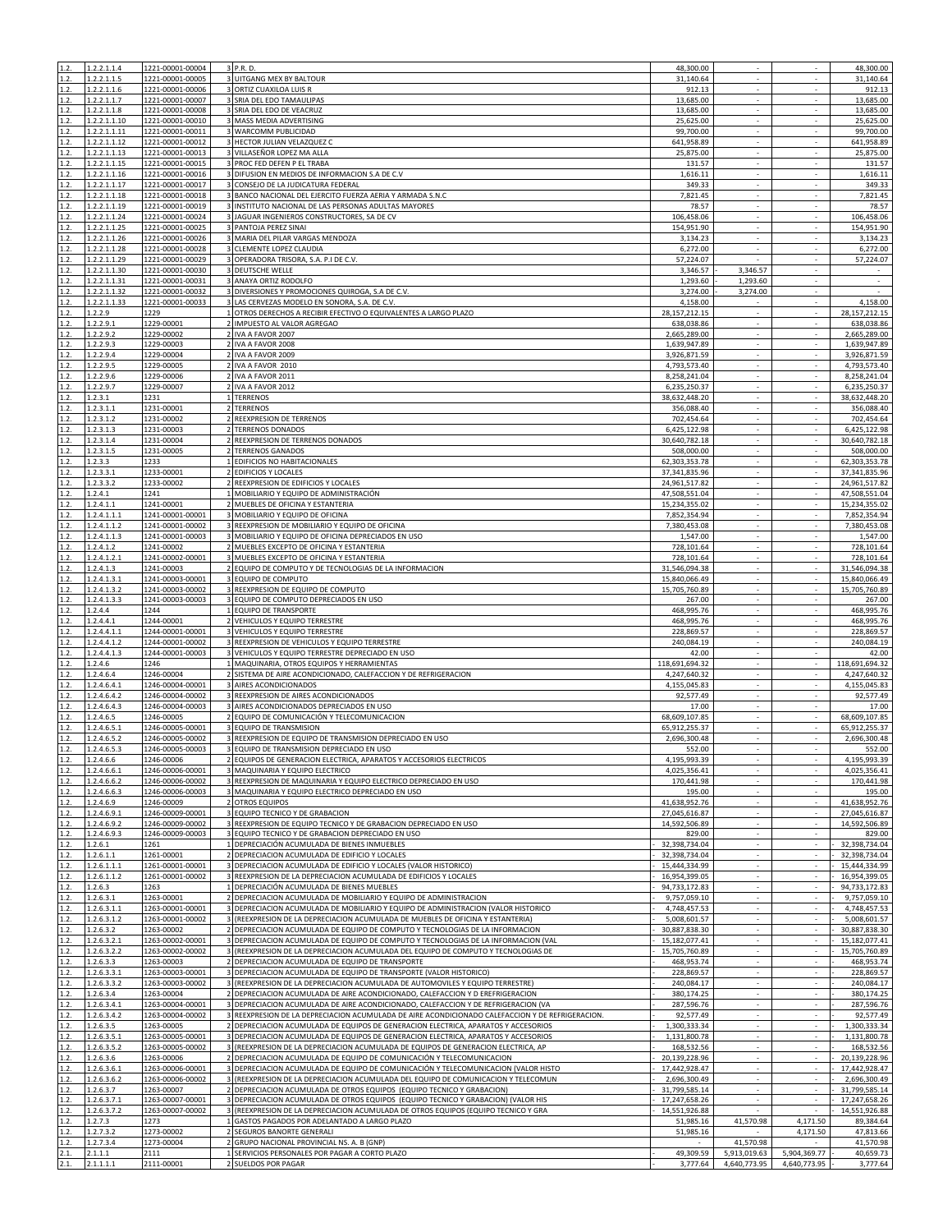| 1.2.         |                      |                                             |                                                                                                  |                               |                                |                                       |                       |
|--------------|----------------------|---------------------------------------------|--------------------------------------------------------------------------------------------------|-------------------------------|--------------------------------|---------------------------------------|-----------------------|
|              | 1.2.2.1.1.4          | 1221-00001-00004                            | 3 P.R. D.                                                                                        | 48,300.00                     |                                |                                       | 48,300.00             |
| 1.2.         | 1.2.2.1.1.5          | 1221-00001-00005                            | <b>3 UITGANG MEX BY BALTOUR</b>                                                                  | 31,140.64                     |                                |                                       | 31,140.64             |
| 1.2.         | 1.2.2.1.1.6          | 1221-00001-00006                            | 3 ORTIZ CUAXILOA LUIS R                                                                          | 912.13                        | $\sim$                         | $\sim$                                | 912.13                |
| 1.2.         | 1.2.2.1.1.7          | 1221-00001-00007                            | 3 SRIA DEL EDO TAMAULIPAS                                                                        | 13,685.00                     | ×.                             | ÷.                                    | 13,685.00             |
| 1.2.         | 1.2.2.1.1.8          | 1221-00001-00008                            | 3 SRIA DEL EDO DE VEACRUZ                                                                        | 13,685.00                     |                                |                                       | 13,685.00             |
| 1.2.         | 1.2.2.1.1.10         | 1221-00001-00010                            | 3 MASS MEDIA ADVERTISING                                                                         | 25,625.00                     |                                |                                       | 25,625.00             |
| 1.2.         | 1.2.2.1.1.11         | 1221-00001-00011                            | 3 WARCOMM PUBLICIDAD                                                                             | 99,700.00                     | ÷.                             | ÷.                                    | 99,700.00             |
| 1.2.         | 1.2.2.1.1.12         | 1221-00001-00012                            | 3 HECTOR JULIAN VELAZQUEZ C                                                                      | 641,958.89                    |                                | ä,                                    | 641,958.89            |
| 1.2.         | 1.2.2.1.1.13         | 1221-00001-00013                            | 3 VILLASEÑOR LOPEZ MA ALLA                                                                       | 25,875.00                     | ÷.                             | ×.                                    | 25,875.00             |
| 1.2.         | 1.2.2.1.1.15         | 1221-00001-00015                            | 3 PROC FED DEFEN P EL TRABA                                                                      | 131.57                        |                                |                                       | 131.57                |
| 1.2.         | 1.2.2.1.1.16         | 1221-00001-00016                            | 3 DIFUSION EN MEDIOS DE INFORMACION S.A DE C.V.                                                  | 1,616.11                      | ×                              | ×.                                    | 1,616.11              |
| 1.2.         | 1.2.2.1.1.17         | 1221-00001-00017                            | 3 CONSEJO DE LA JUDICATURA FEDERAL                                                               | 349.33                        |                                |                                       | 349.33                |
| 1.2.         | 1.2.2.1.1.18         | 1221-00001-00018                            | 3 BANCO NACIONAL DEL EJERCITO FUERZA AERIA Y ARMADA S.N.C                                        | 7,821.45                      |                                |                                       | 7,821.45              |
| 1.2.         | 1.2.2.1.1.19         | 1221-00001-00019                            | 3 INSTITUTO NACIONAL DE LAS PERSONAS ADULTAS MAYORES                                             | 78.57                         | $\sim$                         | $\sim$                                | 78.57                 |
| 1.2.         | 1.2.2.1.1.24         | 1221-00001-00024                            | 3 JAGUAR INGENIEROS CONSTRUCTORES, SA DE CV                                                      | 106,458.06                    | ÷.                             | $\mathcal{L}_{\mathcal{A}}$           | 106,458.06            |
| 1.2.         | 1.2.2.1.1.25         | 1221-00001-00025                            | PANTOJA PEREZ SINAI                                                                              | 154,951.90                    | $\overline{\phantom{a}}$       | $\sim$                                | 154,951.90            |
| 1.2.         | 1.2.2.1.1.26         | 1221-00001-00026                            | MARIA DEL PILAR VARGAS MENDOZA                                                                   | 3,134.23                      | ٠                              | $\overline{\phantom{a}}$              | 3,134.23              |
| 1.2.         | 1.2.2.1.1.28         | 1221-00001-00028                            | 3 CLEMENTE LOPEZ CLAUDIA                                                                         | 6,272.00                      | $\sim$                         | $\sim$                                | 6,272.00              |
| 1.2.         | 1.2.2.1.1.29         | 1221-00001-00029                            | 3 OPERADORA TRISORA, S.A. P.I DE C.V.                                                            | 57,224.07                     |                                |                                       | 57,224.07             |
| 1.2.         | 1.2.2.1.1.30         | 1221-00001-00030                            | 3 DEUTSCHE WELLE                                                                                 | 3,346.57                      | 3,346.57                       |                                       |                       |
|              |                      | 1221-00001-00031                            |                                                                                                  |                               |                                |                                       |                       |
| 1.2.         | 1.2.2.1.1.31         |                                             | 3 ANAYA ORTIZ RODOLFO                                                                            | 1,293.60                      | 1,293.60                       | $\sim$                                | $\epsilon$            |
| 1.2.         | 1.2.2.1.1.32         | 1221-00001-00032                            | 3 DIVERSIONES Y PROMOCIONES QUIROGA, S.A DE C.V.                                                 | 3,274.00                      | 3,274.00                       | ÷.                                    | $\sim$                |
| 1.2.         | 1.2.2.1.1.33         | 1221-00001-00033                            | LAS CERVEZAS MODELO EN SONORA, S.A. DE C.V.                                                      | 4,158.00                      |                                |                                       | 4,158.00              |
| 1.2.         | 1.2.2.9              | 1229                                        | 1 OTROS DERECHOS A RECIBIR EFECTIVO O EQUIVALENTES A LARGO PLAZO                                 | 28, 157, 212. 15              | ÷                              | $\Box$                                | 28, 157, 212. 15      |
| 1.2.         | 1.2.2.9.1            | 1229-00001                                  | 2 IMPUESTO AL VALOR AGREGAO                                                                      | 638,038.86                    | $\sim$                         | $\sim$                                | 638,038.86            |
| 1.2.         | 1.2.2.9.2            | 1229-00002                                  | 2 IVA A FAVOR 2007                                                                               | 2,665,289.00                  | ÷.                             | ×.                                    | 2,665,289.00          |
| 1.2.         | 1.2.2.9.3            | 1229-00003                                  | 2 IVA A FAVOR 2008                                                                               | 1,639,947.89                  |                                |                                       | 1,639,947.89          |
| 1.2.         | 1.2.2.9.4            | 1229-00004                                  | 2 IVA A FAVOR 2009                                                                               | 3,926,871.59                  |                                |                                       | 3,926,871.59          |
| 1.2.         | 1.2.2.9.5            | 1229-00005                                  | 2 IVA A FAVOR 2010                                                                               | 4,793,573.40                  | ÷.                             | ×.                                    | 4,793,573.40          |
| 1.2.         | 1.2.2.9.6            | 1229-00006                                  | 2 IVA A FAVOR 2011                                                                               | 8,258,241.04                  |                                |                                       | 8,258,241.04          |
| 1.2.         |                      |                                             | 2 IVA A FAVOR 2012                                                                               |                               |                                |                                       |                       |
|              | 1.2.2.9.7            | 1229-00007                                  | 1 TERRENOS                                                                                       | 6,235,250.37<br>38,632,448.20 |                                |                                       | 6,235,250.37          |
| 1.2.         | 1.2.3.1              | 1231<br>1231-00001                          | 2 TERRENOS                                                                                       |                               | $\overline{\phantom{a}}$<br>÷. | $\sim$<br>$\mathcal{L}_{\mathcal{A}}$ | 38,632,448.20         |
| 1.2.         | 1.2.3.1.1            |                                             |                                                                                                  | 356,088.40                    |                                |                                       | 356,088.40            |
| 1.2.         | 1.2.3.1.2            | 1231-00002                                  | 2 REEXPRESION DE TERRENOS                                                                        | 702,454.64                    | $\sim$                         | $\sim$                                | 702,454.64            |
| 1.2.         | 1.2.3.1.3            | 1231-00003<br>$\overline{2}$                | <b>TERRENOS DONADOS</b>                                                                          | 6,425,122.98                  | ٠                              |                                       | 6,425,122.98          |
| 1.2.         | 1.2.3.1.4            | 1231-00004                                  | 2 REEXPRESION DE TERRENOS DONADOS                                                                | 30,640,782.18                 | ×                              | ×.                                    | 30,640,782.18         |
| 1.2.         | 1.2.3.1.5            | 1231-00005                                  | <b>TERRENOS GANADOS</b>                                                                          | 508,000.00                    |                                |                                       | 508,000.00            |
| 1.2.         | 1.2.3.3              | 1233                                        | 1 EDIFICIOS NO HABITACIONALES                                                                    | 62,303,353.78                 | $\overline{\phantom{a}}$       |                                       | 62,303,353.78         |
| 1.2.         | 1.2.3.3.1            | 1233-00001                                  | EDIFICIOS Y LOCALES                                                                              | 37, 341, 835. 96              | $\sim$                         | ÷.                                    | 37,341,835.96         |
| 1.2.         | 1.2.3.3.2            | 1233-00002                                  | 2 REEXPRESION DE EDIFICIOS Y LOCALES                                                             | 24,961,517.82                 | $\omega$                       | $\sim$                                | 24,961,517.82         |
| 1.2.         | 1.2.4.1              | 1241                                        | 1 MOBILIARIO Y EQUIPO DE ADMINISTRACIÓN                                                          | 47,508,551.04                 | ÷.                             | $\sim$                                | 47,508,551.04         |
| 1.2.         | 1.2.4.1.1            | 1241-00001                                  | MUEBLES DE OFICINA Y ESTANTERIA                                                                  | 15,234,355.02                 |                                |                                       | 15,234,355.02         |
| 1.2.         | 1.2.4.1.1.1          | 1241-00001-00001                            | 3 MOBILIARIO Y EQUIPO DE OFICINA                                                                 | 7,852,354.94                  | $\sim$                         | $\sim$                                | 7,852,354.94          |
| 1.2.         | 1.2.4.1.1.2          | 1241-00001-00002                            | 3 REEXPRESION DE MOBILIARIO Y EQUIPO DE OFICINA                                                  | 7,380,453.08                  |                                |                                       | 7,380,453.08          |
| 1.2.         | 1.2.4.1.1.3          | 1241-00001-00003                            | 3 MOBILIARIO Y EQUIPO DE OFICINA DEPRECIADOS EN USO                                              | 1,547.00                      |                                |                                       | 1,547.00              |
| 1.2.         | 1.2.4.1.2            | 1241-00002                                  | 2 MUEBLES EXCEPTO DE OFICINA Y ESTANTERIA                                                        | 728,101.64                    | $\sim$                         | $\sim$                                | 728,101.64            |
| 1.2.         | 1.2.4.1.2.1          | 1241-00002-00001                            | 3 MUEBLES EXCEPTO DE OFICINA Y ESTANTERIA                                                        | 728,101.64                    | ÷.                             | ÷.                                    | 728,101.64            |
|              |                      |                                             |                                                                                                  |                               |                                |                                       |                       |
| 1.2.         | .2.4.1.3             | 1241-00003                                  | EQUIPO DE COMPUTO Y DE TECNOLOGIAS DE LA INFORMACION                                             | 31,546,094.38                 | ÷.                             |                                       | 31,546,094.38         |
| 1.2.         | 1.2.4.1.3.1          | 1241-00003-00001<br>3                       | EQUIPO DE COMPUTO                                                                                | 15,840,066.49                 | ٠                              |                                       | 15,840,066.49         |
| 1.2.         | 1.2.4.1.3.2          | 1241-00003-00002                            | 3 REEXPRESION DE EQUIPO DE COMPUTO                                                               | 15,705,760.89                 | $\sim$                         | $\sim$                                | 15,705,760.89         |
| 1.2.         | 1.2.4.1.3.3          | 1241-00003-00003                            | 3 EQUIPO DE COMPUTO DEPRECIADOS EN USO                                                           | 267.00                        | ÷.                             | ×,                                    | 267.00                |
| 1.2.         | 1.2.4.4              | 1244                                        | 1 EQUIPO DE TRANSPORTE                                                                           | 468,995.76                    | ÷.                             | ÷.                                    | 468,995.76            |
| 1.2.         | 1.2.4.4.1            | 1244-00001                                  | 2 VEHICULOS Y EQUIPO TERRESTRE                                                                   | 468,995.76                    | $\overline{\phantom{a}}$       | $\sim$                                | 468,995.76            |
| 1.2.         | 1.2.4.4.1.1          | 1244-00001-00001                            | 3 VEHICULOS Y EQUIPO TERRESTRE                                                                   | 228,869.57                    | ×.                             | ÷.                                    | 228,869.57            |
| 1.2.         | 1.2.4.4.1.2          | 1244-00001-00002                            | 3 REEXPRESION DE VEHICULOS Y EQUIPO TERRESTRE                                                    | 240,084.19                    | $\overline{a}$                 | ÷.                                    | 240,084.19            |
|              |                      |                                             |                                                                                                  |                               |                                |                                       |                       |
|              |                      |                                             |                                                                                                  |                               |                                |                                       |                       |
| 1.2.         | 1.2.4.4.1.3          | 1244-00001-00003                            | 3 VEHICULOS Y EQUIPO TERRESTRE DEPRECIADO EN USO                                                 | 42.00                         | ÷                              | $\sim$                                | 42.00                 |
| 1.2.         | 1.2.4.6              | 1246                                        | 1 MAQUINARIA, OTROS EQUIPOS Y HERRAMIENTAS                                                       | 118,691,694.32                | ×.                             | $\sim$                                | 118,691,694.32        |
| 1.2.         | 1.2.4.6.4            | 1246-00004                                  | 2 SISTEMA DE AIRE ACONDICIONADO, CALEFACCION Y DE REFRIGERACION                                  | 4,247,640.32                  |                                |                                       | 4,247,640.32          |
| 1.2.         | 1.2.4.6.4.1          | 1246-00004-00001                            | 3 AIRES ACONDICIONADOS                                                                           | 4,155,045.83                  | ×.                             | $\sim$                                | 4,155,045.83          |
| 1.2.         | 1.2.4.6.4.2          | 1246-00004-00002                            | 3 REEXPRESION DE AIRES ACONDICIONADOS                                                            | 92,577.49                     |                                |                                       | 92,577.49             |
| 1.2.         | 1.2.4.6.4.3          | 1246-00004-00003                            | 3 AIRES ACONDICIONADOS DEPRECIADOS EN USO                                                        | 17.00                         | ×.                             | ¥.                                    | 17.00                 |
| 1.2.         | 1.2.4.6.5            | 1246-00005                                  | 2 EQUIPO DE COMUNICACIÓN Y TELECOMUNICACION                                                      | 68,609,107.85                 |                                | L.                                    | 68,609,107.85         |
| 1.2.         | 1.2.4.6.5.1          | 1246-00005-00001                            | 3 EQUIPO DE TRANSMISION                                                                          | 65,912,255.37                 |                                |                                       | 65,912,255.37         |
| 1.2.         | 1.2.4.6.5.2          | 1246-00005-00002                            | 3 REEXPRESION DE EQUIPO DE TRANSMISION DEPRECIADO EN USO                                         | 2,696,300.48                  | $\sim$                         | ×.                                    | 2.696.300.48          |
| 1.2.         | 1.2.4.6.5.3          | 1246-00005-00003                            | 3 EQUIPO DE TRANSMISION DEPRECIADO EN USO                                                        | 552.00                        | ×.                             | ×.                                    | 552.00                |
|              | .2.4.6.6             | 1246-00006                                  | EQUIPOS DE GENERACION ELECTRICA, APARATOS Y ACCESORIOS ELECTRICOS                                | 4,195,993.39                  |                                |                                       | 4,195,993.39          |
| 1.2.         | 1.2.4.6.6.1          | 1246-00006-00001                            | 3 MAQUINARIA Y EQUIPO ELECTRICO                                                                  | 4,025,356.41                  |                                |                                       | 4,025,356.41          |
| 1.2.         | 1.2.4.6.6.2          | 1246-00006-00002                            | 3 REEXPRESION DE MAQUINARIA Y EQUIPO ELECTRICO DEPRECIADO EN USO                                 | 170,441.98                    | ×                              | ÷.                                    | 170,441.98            |
| 1.2.         | 1.2.4.6.6.3          | 1246-00006-00003                            | 3 MAQUINARIA Y EQUIPO ELECTRICO DEPRECIADO EN USO                                                | 195.00                        |                                |                                       | 195.00                |
| 1.2.         | 1.2.4.6.9            | 1246-00009                                  | 2 OTROS EQUIPOS                                                                                  | 41,638,952.76                 | ÷                              |                                       | 41,638,952.76         |
| 1.2.         | 1.2.4.6.9.1          | 1246-00009-00001                            | 3 EQUIPO TECNICO Y DE GRABACION                                                                  | 27,045,616.87                 | $\sim$                         | $\sim$                                | 27,045,616.87         |
|              | 1.2.4.6.9.2          | 1246-00009-00002                            |                                                                                                  | 14,592,506.89                 |                                |                                       |                       |
| 1.2.         |                      |                                             | 3 REEXPRESION DE EQUIPO TECNICO Y DE GRABACION DEPRECIADO EN USO                                 |                               |                                |                                       | 14,592,506.89         |
| 1.2.         | 1.2.4.6.9.3          | 1246-00009-00003                            | EQUIPO TECNICO Y DE GRABACION DEPRECIADO EN USO                                                  | 829.00                        |                                |                                       | 829.00                |
| 1.2.         | 1.2.6.1              | 1261                                        | DEPRECIACIÓN ACUMULADA DE BIENES INMUEBLES                                                       | 32,398,734.04                 | $\hat{\phantom{a}}$            |                                       | 32,398,734.04         |
| 1.2.         | 1.2.6.1.1            | 1261-00001                                  | 2 DEPRECIACION ACUMULADA DE EDIFICIO Y LOCALES                                                   | 32,398,734.04                 | $\sim$                         | $\sim$                                | 32,398,734.04         |
| 1.2.         | 1.2.6.1.1.1          | 1261-00001-00001                            | 3 DEPRECIACION ACUMULADA DE EDIFICIO Y LOCALES (VALOR HISTORICO)                                 | 15,444,334.99                 |                                |                                       | 15,444,334.99         |
| 1.2.         | 1.2.6.1.1.2          | 1261-00001-00002                            | 3 REEXPRESION DE LA DEPRECIACION ACUMULADA DE EDIFICIOS Y LOCALES                                | 16,954,399.05                 | $\omega$                       |                                       | 16,954,399.05         |
| 1.2.         | 1.2.6.3              | 1263                                        | 1 DEPRECIACIÓN ACUMULADA DE BIENES MUEBLES                                                       | 94,733,172.83                 | $\sim$                         | $\sim$                                | 94,733,172.83         |
| 1.2.         | 1.2.6.3.1            | 1263-00001                                  | 2 DEPRECIACION ACUMULADA DE MOBILIARIO Y EQUIPO DE ADMINISTRACION                                | 9,757,059.10                  | ×.                             | $\sim$                                | 9,757,059.10          |
| 1.2          | 1.2.6.3.1.1          | 1263-00001-00001                            | DEPRECIACION ACUMULADA DE MOBILIARIO Y EQUIPO DE ADMINISTRACION (VALOR HISTORICO                 | 4,748,457.53                  |                                |                                       | 4,748,457.53          |
| 1.2.         | 1.2.6.3.1.2          | 1263-00001-00002                            | 3 (REEXPRESION DE LA DEPRECIACION ACUMULADA DE MUEBLES DE OFICINA Y ESTANTERIA)                  | 5,008,601.57                  | $\hat{\phantom{a}}$            |                                       | 5,008,601.57          |
| 1.2.         | 1.2.6.3.2            | 1263-00002                                  | 2 DEPRECIACION ACUMULADA DE EQUIPO DE COMPUTO Y TECNOLOGIAS DE LA INFORMACION                    | 30,887,838.30                 | $\sim$                         | $\sim$                                | 30,887,838.30         |
| 1.2.         | 1.2.6.3.2.1          | 1263-00002-00001                            | DEPRECIACION ACUMULADA DE EQUIPO DE COMPUTO Y TECNOLOGIAS DE LA INFORMACION (VAL                 | 15,182,077.41                 | ÷.                             |                                       | 15,182,077.41         |
| 1.2.         | 1.2.6.3.2.2          | $\overline{\mathbf{3}}$<br>1263-00002-00002 | (REEXPRESION DE LA DEPRECIACION ACUMULADA DEL EQUIPO DE COMPUTO Y TECNOLOGIAS DE                 | 15,705,760.89                 | $\sim$                         | $\mathcal{L}_{\mathcal{A}}$           | 15,705,760.89         |
| 1.2.         | 1.2.6.3.3            | 1263-00003<br>$\overline{2}$                | DEPRECIACION ACUMULADA DE EQUIPO DE TRANSPORTE                                                   | 468,953.74                    | $\blacksquare$                 |                                       | 468,953.74            |
| 1.2.         | 1.2.6.3.3.1          | 1263-00003-00001                            | 3 DEPRECIACION ACUMULADA DE EQUIPO DE TRANSPORTE (VALOR HISTORICO)                               | 228,869.57                    | ×.                             | ÷.                                    | 228,869.57            |
| 1.2.         | 1.2.6.3.3.2          | 1263-00003-00002                            | (REEXPRESION DE LA DEPRECIACION ACUMULADA DE AUTOMOVILES Y EQUIPO TERRESTRE)                     | 240,084.17                    |                                |                                       | 240,084.17            |
| 1.2.         | 1.2.6.3.4            | 1263-00004                                  | 2 DEPRECIACION ACUMULADA DE AIRE ACONDICIONADO, CALEFACCION Y D EREFRIGERACION                   | 380,174.25                    |                                |                                       | 380,174.25            |
| 1.2.         | 1.2.6.3.4.1          | 1263-00004-00001                            | 3 DEPRECIACION ACUMULADA DE AIRE ACONDICIONADO, CALEFACCION Y DE REFRIGERACION (VA               | 287,596.76                    | $\overline{\phantom{a}}$       | $\sim$                                | 287,596.76            |
| 1.2.         | 1.2.6.3.4.2          | 1263-00004-00002                            | 3 REEXPRESION DE LA DEPRECIACION ACUMULADA DE AIRE ACONDICIONADO CALEFACCION Y DE REFRIGERACION. | 92,577.49                     | ÷.                             |                                       | 92,577.49             |
| 1.2.         | 1.2.6.3.5            | 1263-00005                                  | 2 DEPRECIACION ACUMULADA DE EQUIPOS DE GENERACION ELECTRICA, APARATOS Y ACCESORIOS               | 1,300,333.34                  | $\sim$                         | $\mathcal{L}_{\mathcal{A}}$           | 1,300,333.34          |
|              |                      |                                             |                                                                                                  |                               |                                |                                       |                       |
| 1.2.         | 1.2.6.3.5.1          | 1263-00005-00001                            | DEPRECIACION ACUMULADA DE EQUIPOS DE GENERACION ELECTRICA, APARATOS Y ACCESORIOS                 | 1,131,800.78                  | ×                              | $\sim$                                | 1,131,800.78          |
| 1.2.         | 1.2.6.3.5.2          | 1263-00005-00002                            | 3 (REEXPRESION DE LA DEPRECIACION ACUMULADA DE EQUIPOS DE GENERACION ELECTRICA, AP               | 168,532.56                    |                                |                                       | 168,532.56            |
| 1.2.         | 1.2.6.3.6            | 1263-00006                                  | 2 DEPRECIACION ACUMULADA DE EQUIPO DE COMUNICACIÓN Y TELECOMUNICACION                            | 20,139,228.96                 |                                |                                       | 20,139,228.96         |
| 1.2.         | 1.2.6.3.6.1          | 1263-00006-00001                            | 3 DEPRECIACION ACUMULADA DE EQUIPO DE COMUNICACIÓN Y TELECOMUNICACION (VALOR HISTO               | 17,442,928.47                 |                                |                                       | 17,442,928.47         |
| 1.2.         | 1.2.6.3.6.2          | 1263-00006-00002                            | 3 (REEXPRESION DE LA DEPRECIACION ACUMULADA DEL EQUIPO DE COMUNICACION Y TELECOMUN               | 2,696,300.49                  | $\sim$                         | $\sim$                                | 2,696,300.49          |
| 1.2.         | 1.2.6.3.7            | 1263-00007                                  | 2 DEPRECIACION ACUMULADA DE OTROS EQUIPOS (EQUIPO TECNICO Y GRABACION)                           | 31,799,585.14                 |                                |                                       | 31,799,585.14         |
| 1.2.         | 1.2.6.3.7.1          | 1263-00007-00001                            | DEPRECIACION ACUMULADA DE OTROS EQUIPOS (EQUIPO TECNICO Y GRABACION) (VALOR HIS                  | 17,247,658.26                 | ÷.                             |                                       | 17,247,658.26         |
| 1.2.         | 1.2.6.3.7.2          | 1263-00007-00002<br>$\overline{3}$          | (REEXPRESION DE LA DEPRECIACION ACUMULADA DE OTROS EQUIPOS (EQUIPO TECNICO Y GRA                 | 14,551,926.88                 |                                |                                       | 14,551,926.88         |
| 1.2.         | 1.2.7.3              | 1273                                        | 1 GASTOS PAGADOS POR ADELANTADO A LARGO PLAZO                                                    | 51,985.16                     | 41,570.98                      | 4,171.50                              | 89,384.64             |
| 1.2.         | 1.2.7.3.2            | 1273-00002                                  | 2 SEGUROS BANORTE GENERALI                                                                       | 51,985.16                     |                                | 4,171.50                              | 47,813.66             |
| 1.2.         | 1.2.7.3.4            | 1273-00004                                  | 2 GRUPO NACIONAL PROVINCIAL NS. A. B (GNP)                                                       |                               | 41,570.98                      |                                       | 41,570.98             |
| 2.1.<br>2.1. | 2.1.1.1<br>2.1.1.1.1 | 2111<br>2111-00001                          | 1 SERVICIOS PERSONALES POR PAGAR A CORTO PLAZO<br>2 SUELDOS POR PAGAR                            | 49,309.59<br>3,777.64         | 5,913,019.63<br>4,640,773.95   | 5,904,369.77<br>4,640,773.95          | 40,659.73<br>3,777.64 |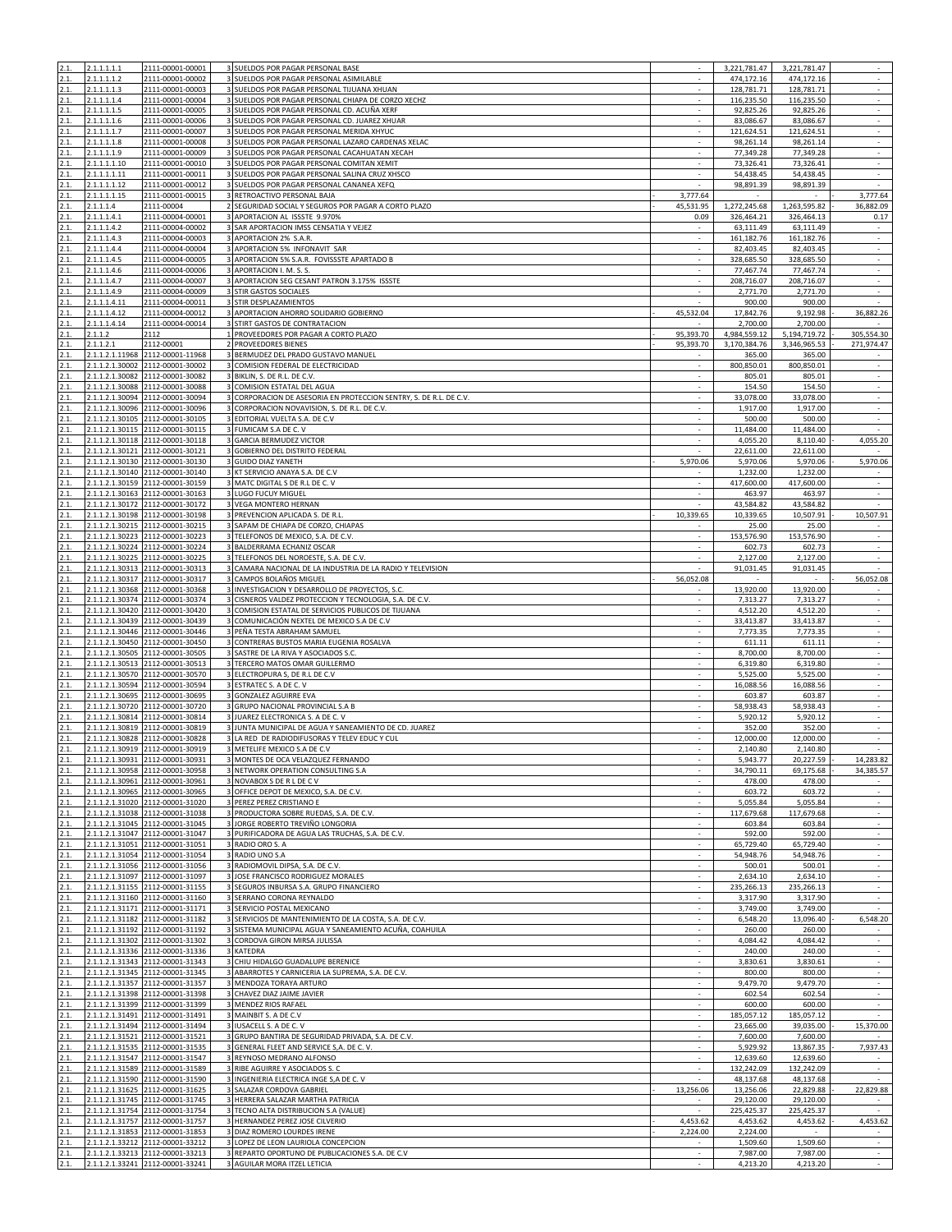|      | 2.1.1.1.1.1     | 2111-00001-00001                 | 3 SUELDOS POR PAGAR PERSONAL BASE                                   |                          | 3,221,781.47       | 3,221,781.47       |                          |
|------|-----------------|----------------------------------|---------------------------------------------------------------------|--------------------------|--------------------|--------------------|--------------------------|
| 2.1. | 2.1.1.1.1.2     | 2111-00001-00002                 | 3 SUELDOS POR PAGAR PERSONAL ASIMILABLE                             |                          | 474,172.16         | 474,172.16         | $\omega$                 |
| 2.1. | 2.1.1.1.1.3     | 2111-00001-00003                 | 3 SUELDOS POR PAGAR PERSONAL TIJUANA XHUAN                          | $\sim$                   | 128,781.71         | 128,781.71         | $\sim$                   |
| 2.1. | 2.1.1.1.1.4     | 2111-00001-00004                 | 3 SUELDOS POR PAGAR PERSONAL CHIAPA DE CORZO XECHZ                  | ×                        | 116,235.50         | 116,235.50         | $\sim$                   |
| 2.1. | 2.1.1.1.1.5     | 2111-00001-00005                 | 3 SUELDOS POR PAGAR PERSONAL CD. ACUÑA XERF                         |                          | 92,825.26          | 92,825.26          | $\sim$                   |
| 2.1. | 2.1.1.1.1.6     | 2111-00001-00006                 | 3 SUELDOS POR PAGAR PERSONAL CD. JUAREZ XHUAR                       |                          | 83,086.67          | 83,086.67          | $\overline{\phantom{a}}$ |
| 2.1. | 2.1.1.1.1.7     | 2111-00001-00007                 | 3 SUELDOS POR PAGAR PERSONAL MERIDA XHYUC                           | $\sim$                   | 121,624.51         | 121,624.51         | $\epsilon$               |
| 2.1. | 2.1.1.1.1.8     | 2111-00001-00008                 | 3 SUELDOS POR PAGAR PERSONAL LAZARO CARDENAS XELAC                  |                          | 98,261.14          | 98,261.14          | ÷.                       |
| 2.1. | 2.1.1.1.1.9     | 2111-00001-00009                 | SUELDOS POR PAGAR PERSONAL CACAHUATAN XECAH                         |                          | 77,349.28          | 77,349.28          | $\sim$                   |
|      |                 | 2111-00001-00010                 | SUELDOS POR PAGAR PERSONAL COMITAN XEMIT                            |                          | 73,326.41          |                    |                          |
| 2.1. | 2.1.1.1.1.10    |                                  |                                                                     |                          |                    | 73,326.41          | $\overline{\phantom{a}}$ |
| 2.1. | 2.1.1.1.1.11    | 2111-00001-00011                 | 3 SUELDOS POR PAGAR PERSONAL SALINA CRUZ XHSCO                      | ×                        | 54,438.45          | 54,438.45          | $\epsilon$               |
| 2.1. | 2.1.1.1.1.12    | 2111-00001-00012                 | 3 SUELDOS POR PAGAR PERSONAL CANANEA XEFQ                           |                          | 98,891.39          | 98,891.39          |                          |
| 2.1. | 2.1.1.1.1.15    | 2111-00001-00015                 | 3 RETROACTIVO PERSONAL BAJA                                         | 3,777.64                 |                    |                    | 3,777.64                 |
| 2.1. | 2.1.1.1.4       | 2111-00004                       | 2 SEGURIDAD SOCIAL Y SEGUROS POR PAGAR A CORTO PLAZO                | 45,531.95                | 1,272,245.68       | 1,263,595.82       | 36,882.09                |
| 2.1. | 2.1.1.1.4.1     | 2111-00004-00001                 | 3 APORTACION AL ISSSTE 9.970%                                       | 0.09                     | 326,464.21         | 326,464.13         | 0.17                     |
| 2.1. | 2.1.1.1.4.2     | 2111-00004-00002                 | SAR APORTACION IMSS CENSATIA Y VEJEZ                                |                          | 63,111.49          | 63,111.49          | $\sim$                   |
| 2.1. | 2.1.1.1.4.3     | 2111-00004-00003                 | 3 APORTACION 2% S.A.R.                                              |                          | 161,182.76         | 161,182.76         | $\bar{\gamma}$           |
| 2.1. | 2.1.1.1.4.4     | 2111-00004-00004                 | 3 APORTACION 5% INFONAVIT SAR                                       | $\sim$                   | 82,403.45          | 82,403.45          | $\sim$                   |
| 2.1. | 2.1.1.1.4.5     | 2111-00004-00005                 | 3 APORTACION 5% S.A.R. FOVISSSTE APARTADO B                         |                          | 328,685.50         | 328,685.50         |                          |
| 2.1. | 2.1.1.1.4.6     | 2111-00004-00006                 | 3 APORTACION I. M. S. S.                                            |                          | 77,467.74          | 77,467.74          | $\sim$                   |
| 2.1. | 2.1.1.1.4.7     | 2111-00004-00007                 | 3 APORTACION SEG CESANT PATRON 3.175% ISSSTE                        | $\sim$                   | 208,716.07         | 208,716.07         | $\epsilon$               |
| 2.1. | 2.1.1.1.4.9     | 2111-00004-00009                 | 3 STIR GASTOS SOCIALES                                              | ×                        | 2,771.70           | 2,771.70           | $\sim$                   |
|      | 2.1.1.1.4.11    | 2111-00004-00011                 | STIR DESPLAZAMIENTOS                                                |                          | 900.00             | 900.00             |                          |
|      |                 |                                  | 3 APORTACION AHORRO SOLIDARIO GOBIERNO                              |                          |                    |                    | 36,882.26                |
| 2.1. | 2.1.1.1.4.12    | 2111-00004-00012                 |                                                                     | 45,532.04                | 17,842.76          | 9,192.98           |                          |
| 2.1. | 2.1.1.1.4.14    | 2111-00004-00014                 | 3 STIRT GASTOS DE CONTRATACION                                      |                          | 2,700.00           | 2,700.00           |                          |
| 2.1. | 2.1.1.2         | 2112                             | 1 PROVEEDORES POR PAGAR A CORTO PLAZO                               | 95,393.70                | 4,984,559.12       | 5,194,719.72       | 305,554.30               |
| 2.1. | 2.1.1.2.1       | 2112-00001                       | 2 PROVEEDORES BIENES                                                | 95,393.70                | 3,170,384.76       | 3,346,965.53       | 271,974.47               |
| 2.1. |                 | 2.1.1.2.1.11968 2112-00001-11968 | 3 BERMUDEZ DEL PRADO GUSTAVO MANUEL                                 |                          | 365.00             | 365.00             |                          |
| 2.1. |                 | 2.1.1.2.1.30002 2112-00001-30002 | 3 COMISION FEDERAL DE ELECTRICIDAD                                  |                          | 800,850.01         | 800,850.01         | $\sim$                   |
| 2.1. |                 | 2.1.1.2.1.30082 2112-00001-30082 | 3 BIKLIN, S. DE R.L. DE C.V.                                        |                          | 805.01             | 805.01             | $\sim$                   |
| 2.1. |                 | 2.1.1.2.1.30088 2112-00001-30088 | 3 COMISION ESTATAL DEL AGUA                                         |                          | 154.50             | 154.50             | $\overline{\phantom{a}}$ |
| 2.1. |                 | 2.1.1.2.1.30094 2112-00001-30094 | CORPORACION DE ASESORIA EN PROTECCION SENTRY, S. DE R.L. DE C.V.    | $\sim$                   | 33,078.00          | 33,078.00          | $\epsilon$               |
| 2.1. | 2.1.1.2.1.30096 | 2112-00001-30096                 | CORPORACION NOVAVISION, S. DE R.L. DE C.V.                          |                          | 1,917.00           | 1,917.00           | $\sim$                   |
| 2.1. |                 | 2.1.1.2.1.30105 2112-00001-30105 | EDITORIAL VUELTA S.A. DE C.V<br>3                                   |                          | 500.00             | 500.00             | $\sim$                   |
| 2.1. |                 | 2.1.1.2.1.30115 2112-00001-30115 | FUMICAM S.A DE C. V<br>3                                            |                          | 11,484.00          | 11,484.00          |                          |
|      |                 |                                  |                                                                     | ×                        |                    |                    |                          |
| 2.1. |                 | 2.1.1.2.1.30118 2112-00001-30118 | 3 GARCIA BERMUDEZ VICTOR                                            |                          | 4,055.20           | 8,110.40           | 4,055.20                 |
| 2.1. |                 | 2.1.1.2.1.30121 2112-00001-30121 | GOBIERNO DEL DISTRITO FEDERAL                                       |                          | 22,611.00          | 22,611.00          |                          |
| 2.1. |                 | 2.1.1.2.1.30130 2112-00001-30130 | 3 GUIDO DIAZ YANETH                                                 | 5,970.06                 | 5,970.06           | 5,970.06           | 5,970.06                 |
| 2.1. |                 | 2.1.1.2.1.30140 2112-00001-30140 | 3 KT SERVICIO ANAYA S.A. DE C.V                                     |                          | 1,232.00           | 1,232.00           | $\epsilon$               |
| 2.1. |                 | 2.1.1.2.1.30159 2112-00001-30159 | 3 MATC DIGITAL S DE R.L DE C. V                                     | ×.                       | 417,600.00         | 417,600.00         | $\epsilon$               |
| 2.1. |                 | 2.1.1.2.1.30163 2112-00001-30163 | 3 LUGO FUCUY MIGUEL                                                 | ×                        | 463.97             | 463.97             | $\sim$                   |
| 2.1. |                 | 2.1.1.2.1.30172 2112-00001-30172 | 3 VEGA MONTERO HERNAN                                               |                          | 43,584.82          | 43,584.82          |                          |
| 2.1. |                 | 2.1.1.2.1.30198 2112-00001-30198 | 3 PREVENCION APLICADA S. DE R.L.                                    | 10,339.65                | 10,339.65          | 10,507.91          | 10,507.91                |
| 2.1. |                 | 2.1.1.2.1.30215 2112-00001-30215 | 3 SAPAM DE CHIAPA DE CORZO, CHIAPAS                                 |                          | 25.00              | 25.00              |                          |
| 2.1. |                 | 2.1.1.2.1.30223 2112-00001-30223 | 3 TELEFONOS DE MEXICO, S.A. DE C.V.                                 |                          | 153,576.90         | 153,576.90         | $\overline{\phantom{a}}$ |
| 2.1. |                 | 2.1.1.2.1.30224 2112-00001-30224 | 3 BALDERRAMA ECHANIZ OSCAR                                          | $\sim$                   | 602.73             | 602.73             | $\epsilon$               |
| 2.1. |                 | 2.1.1.2.1.30225 2112-00001-30225 | 3 TELEFONOS DEL NOROESTE, S.A. DE C.V.                              | ×                        | 2,127.00           | 2,127.00           | ×                        |
|      |                 |                                  |                                                                     |                          |                    |                    |                          |
| 2.1. | 2.1.1.2.1.30313 | 2112-00001-30313                 | CAMARA NACIONAL DE LA INDUSTRIA DE LA RADIO Y TELEVISION            |                          | 91,031.45          | 91,031.45          |                          |
| 2.1. |                 | 2.1.1.2.1.30317 2112-00001-30317 | CAMPOS BOLAÑOS MIGUEL                                               | 56,052.08                |                    |                    | 56,052.08                |
| 2.1. |                 | 2.1.1.2.1.30368 2112-00001-30368 | 3 INVESTIGACION Y DESARROLLO DE PROYECTOS, S.C.                     |                          | 13,920.00          | 13,920.00          |                          |
| 2.1. |                 | 2.1.1.2.1.30374 2112-00001-30374 | 3 CISNEROS VALDEZ PROTECCION Y TECNOLOGIA, S.A. DE C.V.             |                          | 7,313.27           | 7,313.27           | $\epsilon$               |
| 2.1. |                 | 2.1.1.2.1.30420 2112-00001-30420 | COMISION ESTATAL DE SERVICIOS PUBLICOS DE TIJUANA<br>3 <sup>1</sup> |                          | 4,512.20           | 4,512.20           | $\sim$                   |
| 2.1. |                 | 2.1.1.2.1.30439 2112-00001-30439 | 3 COMUNICACIÓN NEXTEL DE MEXICO S.A DE C.V                          | $\overline{\phantom{a}}$ | 33,413.87          | 33,413.87          | $\sim$                   |
| 2.1. |                 | 2.1.1.2.1.30446 2112-00001-30446 | 3 PEÑA TESTA ABRAHAM SAMUEL                                         | ×                        | 7,773.35           | 7,773.35           | $\sim$                   |
| 2.1. |                 | 2.1.1.2.1.30450 2112-00001-30450 | CONTRERAS BUSTOS MARIA EUGENIA ROSALVA                              |                          | 611.11             | 611.11             | $\sim$                   |
| 2.1. |                 | 2.1.1.2.1.30505 2112-00001-30505 | 3 SASTRE DE LA RIVA Y ASOCIADOS S.C.                                |                          | 8,700.00           | 8,700.00           | $\sim$                   |
| 2.1. |                 | 2.1.1.2.1.30513 2112-00001-30513 | 3 TERCERO MATOS OMAR GUILLERMO                                      | $\sim$                   | 6,319.80           | 6,319.80           | $\sim$                   |
| 2.1. |                 | 2.1.1.2.1.30570 2112-00001-30570 | 3 ELECTROPURA S, DE R.L DE C.V                                      |                          | 5,525.00           | 5,525.00           | $\sim$                   |
|      |                 | 2.1.1.2.1.30594 2112-00001-30594 |                                                                     | ×                        |                    | 16,088.56          | $\mathbb{Z}^2$           |
| 2.1. |                 |                                  | 3 ESTRATEC S. A DE C. V                                             |                          | 16,088.56          |                    |                          |
| 2.1. |                 | 2.1.1.2.1.30695 2112-00001-30695 | 3 GONZALEZ AGUIRRE EVA                                              |                          | 603.87             | 603.87             |                          |
| 2.1. |                 | 2.1.1.2.1.30720 2112-00001-30720 | 3 GRUPO NACIONAL PROVINCIAL S.A B                                   | ×                        | 58,938.43          | 58,938.43          | $\mathcal{L}$            |
| 2.1. |                 | 2.1.1.2.1.30814 2112-00001-30814 | 3 JUAREZ ELECTRONICA S. A DE C. V                                   |                          | 5,920.12           | 5,920.12           | $\sim$                   |
| 2.1. |                 | 2.1.1.2.1.30819 2112-00001-30819 | 3 JUNTA MUNICIPAL DE AGUA Y SANEAMIENTO DE CD. JUAREZ               |                          | 352.00             | 352.00             |                          |
| 2.1. |                 | 2.1.1.2.1.30828 2112-00001-30828 | 3 LA RED DE RADIODIFUSORAS Y TELEV EDUC Y CUL                       |                          | 12,000.00          | 12,000.00          | $\epsilon$               |
| 2.1. |                 | 2.1.1.2.1.30919 2112-00001-30919 | 3 METELIFE MEXICO S.A DE C.V                                        |                          | 2,140.80           | 2,140.80           |                          |
|      | .1.1.2.1.30931  | 2112-00001-30931                 | MONTES DE OCA VELAZQUEZ FERNANDO                                    |                          | 5,943.77           | 20,227.59          | 14,283.82                |
| 2.1. |                 | 2.1.1.2.1.30958 2112-00001-30958 | 3 NETWORK OPERATION CONSULTING S.A.                                 |                          | 34,790.11          | 69,175.68          | 34,385.57                |
| 2.1. |                 | 2.1.1.2.1.30961 2112-00001-30961 | 3 NOVABOX S DE R L DE C V                                           | ×.                       | 478.00             | 478.00             |                          |
| 2.1. |                 | 2.1.1.2.1.30965 2112-00001-30965 | 3 OFFICE DEPOT DE MEXICO, S.A. DE C.V.                              |                          | 603.72             | 603.72             |                          |
| 2.1. |                 | 2.1.1.2.1.31020 2112-00001-31020 | 3 PEREZ PEREZ CRISTIANO E                                           |                          | 5,055.84           | 5,055.84           |                          |
| 2.1. |                 | 2.1.1.2.1.31038 2112-00001-31038 | 3 PRODUCTORA SOBRE RUEDAS, S.A. DE C.V.                             | $\sim$                   | 117,679.68         | 117,679.68         | $\sim$                   |
| 2.1. |                 | 2.1.1.2.1.31045 2112-00001-31045 | 3 JORGE ROBERTO TREVIÑO LONGORIA                                    |                          | 603.84             | 603.84             | $\sim$                   |
| 2.1. |                 | 2.1.1.2.1.31047 2112-00001-31047 | 3 PURIFICADORA DE AGUA LAS TRUCHAS, S.A. DE C.V.                    |                          | 592.00             | 592.00             | $\sim$                   |
| 2.1. |                 | 2.1.1.2.1.31051 2112-00001-31051 | 3 RADIO ORO S. A                                                    |                          | 65,729.40          | 65,729.40          |                          |
|      |                 | 2.1.1.2.1.31054 2112-00001-31054 |                                                                     | $\sim$                   |                    | 54,948.76          | ٠<br>$\sim$              |
| 2.1. |                 |                                  | 3 RADIO UNO S.A                                                     |                          | 54,948.76          |                    |                          |
| 2.1. |                 | 2.1.1.2.1.31056 2112-00001-31056 | 3 RADIOMOVIL DIPSA, S.A. DE C.V.                                    |                          | 500.01<br>2.634.10 | 500.01<br>2.634.10 |                          |
| 2.1. |                 | 2.1.1.2.1.31097 2112-00001-31097 | 3 JOSE FRANCISCO RODRIGUEZ MORALES                                  |                          |                    |                    | $\sim$                   |
| 2.1. |                 | 2.1.1.2.1.31155 2112-00001-31155 | 3 SEGUROS INBURSA S.A. GRUPO FINANCIERO                             | $\sim$                   | 235,266.13         | 235,266.13         | $\sim$                   |
| 2.1. |                 | 2.1.1.2.1.31160 2112-00001-31160 | 3 SERRANO CORONA REYNALDO                                           |                          | 3,317.90           | 3.317.90           | $\sim$                   |
|      |                 | 2.1.1.2.1.31171 2112-00001-31171 | SERVICIO POSTAL MEXICANO                                            |                          | 3,749.00           | 3,749.00           |                          |
| 2.1. |                 | 2.1.1.2.1.31182 2112-00001-31182 | 3 SERVICIOS DE MANTENIMIENTO DE LA COSTA, S.A. DE C.V.              |                          | 6,548.20           | 13,096.40          | 6,548.20                 |
| 2.1. |                 | 2.1.1.2.1.31192 2112-00001-31192 | 3 SISTEMA MUNICIPAL AGUA Y SANEAMIENTO ACUÑA, COAHUILA              | $\sim$                   | 260.00             | 260.00             | $\sim$                   |
| 2.1. |                 | 2.1.1.2.1.31302 2112-00001-31302 | 3 CORDOVA GIRON MIRSA JULISSA                                       |                          | 4,084.42           | 4,084.42           |                          |
| 2.1. |                 | 2.1.1.2.1.31336 2112-00001-31336 | 3 KATEDRA                                                           |                          | 240.00             | 240.00             |                          |
| 2.1. |                 | 2.1.1.2.1.31343 2112-00001-31343 | 3 CHIU HIDALGO GUADALUPE BERENICE                                   |                          | 3,830.61           | 3,830.61           | $\blacksquare$           |
| 2.1. |                 | 2.1.1.2.1.31345 2112-00001-31345 | 3 ABARROTES Y CARNICERIA LA SUPREMA, S.A. DE C.V.                   |                          | 800.00             | 800.00             | $\sim$                   |
| 2.1. |                 | 2.1.1.2.1.31357 2112-00001-31357 | 3 MENDOZA TORAYA ARTURO                                             |                          | 9,479.70           | 9,479.70           |                          |
| 2.1. |                 | 2.1.1.2.1.31398 2112-00001-31398 | 3 CHAVEZ DIAZ JAIME JAVIER                                          |                          | 602.54             | 602.54             | $\sim$                   |
| 2.1. |                 | 2.1.1.2.1.31399 2112-00001-31399 | 3 MENDEZ RIOS RAFAEL                                                | $\sim$                   | 600.00             | 600.00             | $\sim$                   |
| 2.1. |                 | 2.1.1.2.1.31491 2112-00001-31491 | 3 MAINBIT S. A DE C.V                                               |                          | 185,057.12         | 185,057.12         |                          |
| 2.1. |                 | 2.1.1.2.1.31494 2112-00001-31494 | 3 IUSACELL S. A DE C. V                                             | $\sim$                   | 23,665.00          | 39,035.00          | 15,370.00                |
|      |                 |                                  | 3                                                                   |                          | 7,600.00           | 7,600.00           |                          |
| 2.1. |                 | 2.1.1.2.1.31521 2112-00001-31521 | GRUPO BANTIRA DE SEGURIDAD PRIVADA, S.A. DE C.V.                    |                          |                    |                    |                          |
| 2.1. |                 | 2.1.1.2.1.31535 2112-00001-31535 | 3 GENERAL FLEET AND SERVICE S, A. DE C. V.                          | ×                        | 5,929.92           | 13,867.35          | 7,937.43                 |
| 2.1. |                 | 2.1.1.2.1.31547 2112-00001-31547 | 3 REYNOSO MEDRANO ALFONSO                                           |                          | 12,639.60          | 12,639.60          |                          |
| 2.1. |                 | 2.1.1.2.1.31589 2112-00001-31589 | 3 RIBE AGUIRRE Y ASOCIADOS S. C                                     |                          | 132,242.09         | 132,242.09         | $\sim$                   |
| 2.1. |                 | 2.1.1.2.1.31590 2112-00001-31590 | 3 INGENIERIA ELECTRICA INGE S,A DE C. V                             | $\sim$                   | 48,137.68          | 48,137.68          | $\sim$                   |
| 2.1. |                 | 2.1.1.2.1.31625 2112-00001-31625 | 3 SALAZAR CORDOVA GABRIEL                                           | 13,256.06                | 13,256.06          | 22,829.88          | 22,829.88                |
| 2.1. |                 | 2.1.1.2.1.31745 2112-00001-31745 | 3 HERRERA SALAZAR MARTHA PATRICIA                                   |                          | 29,120.00          | 29,120.00          |                          |
| 2.1. |                 | 2.1.1.2.1.31754 2112-00001-31754 | 3 TECNO ALTA DISTRIBUCION S.A (VALUE)                               |                          | 225,425.37         | 225,425.37         |                          |
| 2.1. |                 | 2.1.1.2.1.31757 2112-00001-31757 | 3 HERNANDEZ PEREZ JOSE CILVERIO                                     | 4,453.62                 | 4,453.62           | 4,453.62           | 4,453.62                 |
| 2.1. |                 | 2.1.1.2.1.31853 2112-00001-31853 | 3 DIAZ ROMERO LOURDES IRENE                                         | 2,224.00                 | 2,224.00           |                    |                          |
| 2.1. |                 | 2.1.1.2.1.33212 2112-00001-33212 | 3 LOPEZ DE LEON LAURIOLA CONCEPCION                                 | $\sim$                   | 1,509.60           | 1,509.60           | $\sim$                   |
| 2.1. |                 | 2.1.1.2.1.33213 2112-00001-33213 | 3 REPARTO OPORTUNO DE PUBLICACIONES S.A. DE C.V                     | $\sim$                   | 7,987.00           | 7,987.00           | $\sim$                   |
| 2.1. |                 | 2.1.1.2.1.33241 2112-00001-33241 | 3 AGUILAR MORA ITZEL LETICIA                                        | $\sim$                   | 4,213.20           | 4,213.20           | $\sim$                   |
|      |                 |                                  |                                                                     |                          |                    |                    |                          |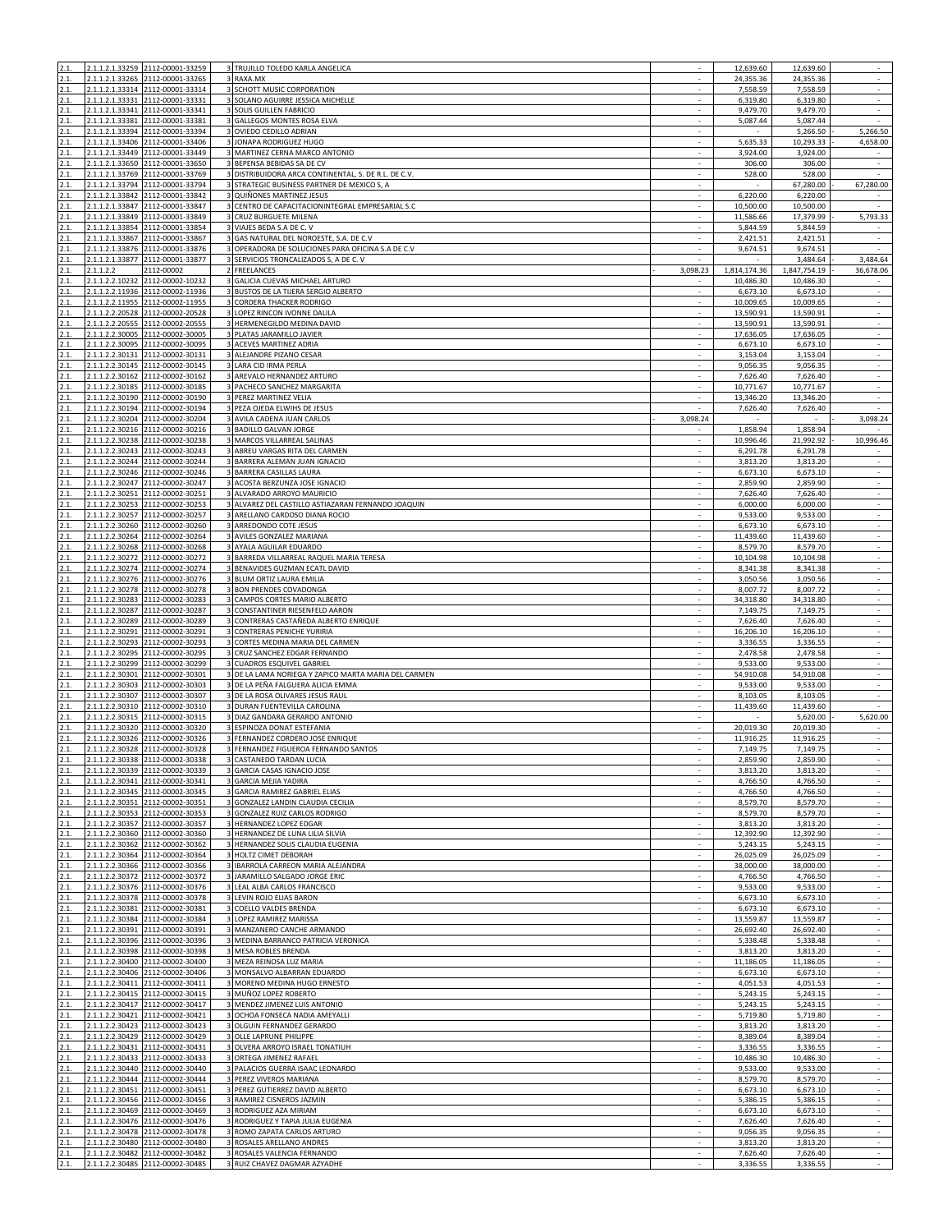| 2.1.         |                 | 2.1.1.2.1.33259 2112-00001-33259                                     |                              | 3 TRUJILLO TOLEDO KARLA ANGELICA                                         |                          | 12,639.60              | 12,639.60              | $\epsilon$                                           |
|--------------|-----------------|----------------------------------------------------------------------|------------------------------|--------------------------------------------------------------------------|--------------------------|------------------------|------------------------|------------------------------------------------------|
| 2.1.         |                 | 2.1.1.2.1.33265 2112-00001-33265<br>2.1.1.2.1.33314 2112-00001-33314 |                              | RAXA.MX<br>3 SCHOTT MUSIC CORPORATION                                    |                          | 24,355.36<br>7,558.59  | 24,355.36<br>7,558.59  |                                                      |
| 2.1.         |                 | 2.1.1.2.1.33331 2112-00001-33331                                     |                              | 3 SOLANO AGUIRRE JESSICA MICHELLE                                        | $\sim$<br>×              | 6,319.80               | 6,319.80               | $\bar{\gamma}$<br>$\sim$                             |
| 2.1.         |                 | 2.1.1.2.1.33341 2112-00001-33341                                     |                              | 3 SOLIS GUILLEN FABRICIO                                                 |                          | 9,479.70               | 9,479.70               | ÷.                                                   |
| 2.1.         |                 | 2.1.1.2.1.33381 2112-00001-33381                                     | 3                            | GALLEGOS MONTES ROSA ELVA                                                | $\sim$                   | 5,087.44               | 5,087.44               | $\sim$                                               |
| 2.1.<br>2.1. |                 | 2.1.1.2.1.33394 2112-00001-33394<br>2.1.1.2.1.33406 2112-00001-33406 |                              | 3 OVIEDO CEDILLO ADRIAN<br>3 JONAPA RODRIGUEZ HUGO                       |                          | 5,635.33               | 5,266.50<br>10.293.33  | 5,266.50<br>4,658.00                                 |
| 2.1.         |                 | 2.1.1.2.1.33449 2112-00001-33449                                     |                              | MARTINEZ CERNA MARCO ANTONIO                                             |                          | 3,924.00               | 3,924.00               |                                                      |
| 2.1.         |                 | 2.1.1.2.1.33650 2112-00001-33650                                     |                              | 3 BEPENSA BEBIDAS SA DE CV                                               |                          | 306.00                 | 306.00                 | ÷.                                                   |
| 2.1.         |                 | 2.1.1.2.1.33769 2112-00001-33769                                     |                              | 3 DISTRIBUIDORA ARCA CONTINENTAL, S. DE R.L. DE C.V.                     | $\sim$                   | 528.00                 | 528.00                 | $\sim$                                               |
| 2.1.<br>2.1. | 2.1.1.2.1.33842 | 2.1.1.2.1.33794 2112-00001-33794<br>2112-00001-33842                 | 3                            | 3 STRATEGIC BUSINESS PARTNER DE MEXICO S, A<br>QUIÑONES MARTINEZ JESUS   |                          | 6,220.00               | 67,280.00<br>6,220.00  | 67,280.00                                            |
| 2.1.         |                 | 2.1.1.2.1.33847 2112-00001-33847                                     | 3                            | CENTRO DE CAPACITACIONINTEGRAL EMPRESARIAL S.C                           |                          | 10,500.00              | 10,500.00              |                                                      |
| 2.1.         |                 | 2.1.1.2.1.33849 2112-00001-33849                                     |                              | 3 CRUZ BURGUETE MILENA                                                   |                          | 11,586.66              | 17,379.99              | 5,793.33                                             |
| 2.1.<br>2.1. |                 | 2.1.1.2.1.33854 2112-00001-33854<br>2.1.1.2.1.33867 2112-00001-33867 |                              | 3 VIAJES BEDA S.A DE C. V<br>3 GAS NATURAL DEL NOROESTE, S.A. DE C.V.    |                          | 5,844.59<br>2,421.51   | 5,844.59<br>2,421.51   |                                                      |
| 2.1.         |                 | 2.1.1.2.1.33876 2112-00001-33876                                     |                              | 3 OPERADORA DE SOLUCIONES PARA OFICINA S.A DE C.V                        | $\overline{\phantom{a}}$ | 9,674.51               | 9,674.51               | $\overline{\phantom{a}}$<br>$\overline{\phantom{a}}$ |
| 2.1.         |                 | 2.1.1.2.1.33877 2112-00001-33877                                     |                              | 3 SERVICIOS TRONCALIZADOS S, A DE C. V                                   |                          |                        | 3,484.64               | 3,484.64                                             |
| 2.1.         | 2.1.1.2.2       | 2112-00002                                                           |                              | 2 FREELANCES                                                             | 3,098.23                 | 1,814,174.36           | 1,847,754.19           | 36,678.06                                            |
| 2.1.<br>2.1. |                 | 2.1.1.2.2.10232 2112-00002-10232<br>2.1.1.2.2.11936 2112-00002-11936 | 3                            | GALICIA CUEVAS MICHAEL ARTURO<br>3 BUSTOS DE LA TIJERA SERGIO ALBERTO    | $\sim$                   | 10,486.30<br>6,673.10  | 10,486.30<br>6,673.10  | $\sim$                                               |
| 2.1.         |                 | 2.1.1.2.2.11955 2112-00002-11955                                     |                              | 3 CORDERA THACKER RODRIGO                                                |                          | 10,009.65              | 10,009.65              |                                                      |
| 2.1.         |                 | 2.1.1.2.2.20528 2112-00002-20528                                     |                              | 3 LOPEZ RINCON IVONNE DALILA                                             |                          | 13,590.91              | 13,590.91              | $\omega$                                             |
| 2.1.         |                 | 2.1.1.2.2.20555 2112-00002-20555                                     |                              | 3 HERMENEGILDO MEDINA DAVID                                              | $\sim$                   | 13,590.91              | 13,590.91              | $\sim$                                               |
| 2.1.<br>2.1. | 2.1.1.2.2.30095 | 2.1.1.2.2.30005 2112-00002-30005<br>2112-00002-30095                 |                              | 3 PLATAS JARAMILLO JAVIER<br>3 ACEVES MARTINEZ ADRIA                     | ×                        | 17,636.05<br>6,673.10  | 17,636.05<br>6,673.10  | $\sim$                                               |
| 2.1.         |                 | 2.1.1.2.2.30131 2112-00002-30131                                     |                              | 3 ALEJANDRE PIZANO CESAR                                                 |                          | 3,153.04               | 3,153.04               | $\sim$                                               |
| 2.1.         |                 | 2.1.1.2.2.30145 2112-00002-30145                                     |                              | 3 LARA CID IRMA PERLA                                                    | $\sim$                   | 9,056.35               | 9,056.35               | $\sim$                                               |
| 2.1.         | 2.1.1.2.2.30162 | 2112-00002-30162                                                     |                              | 3 AREVALO HERNANDEZ ARTURO                                               |                          | 7,626.40               | 7,626.40               | ÷.                                                   |
| 2.1.<br>2.1. |                 | 2.1.1.2.2.30185 2112-00002-30185<br>2.1.1.2.2.30190 2112-00002-30190 |                              | 3 PACHECO SANCHEZ MARGARITA<br>3 PEREZ MARTINEZ VELIA                    |                          | 10,771.67<br>13,346.20 | 10,771.67<br>13,346.20 | $\sim$<br>$\overline{\phantom{a}}$                   |
| 2.1.         |                 | 2.1.1.2.2.30194 2112-00002-30194                                     |                              | 3 PEZA OJEDA ELWIHS DE JESUS                                             |                          | 7,626.40               | 7,626.40               | $\sim$                                               |
| 2.1.         |                 | 2.1.1.2.2.30204 2112-00002-30204                                     |                              | 3 AVILA CADENA JUAN CARLOS                                               | 3,098.24                 |                        |                        | 3,098.24                                             |
| 2.1.         |                 | 2.1.1.2.2.30216 2112-00002-30216<br>2.1.1.2.2.30238 2112-00002-30238 |                              | 3 BADILLO GALVAN JORGE                                                   |                          | 1,858.94               | 1,858.94               |                                                      |
| 2.1.<br>2.1. |                 | 2.1.1.2.2.30243 2112-00002-30243                                     |                              | 3 MARCOS VILLARREAL SALINAS<br>3 ABREU VARGAS RITA DEL CARMEN            | $\overline{\phantom{a}}$ | 10,996.46<br>6,291.78  | 21,992.92<br>6,291.78  | 10,996.46                                            |
| 2.1.         |                 | 2.1.1.2.2.30244 2112-00002-30244                                     |                              | BARRERA ALEMAN JUAN IGNACIO                                              |                          | 3,813.20               | 3,813.20               | $\sim$                                               |
| 2.1.         |                 | 2.1.1.2.2.30246 2112-00002-30246                                     |                              | 3 BARRERA CASILLAS LAURA                                                 |                          | 6,673.10               | 6,673.10               | $\sim$                                               |
| 2.1.<br>2.1. |                 | 2.1.1.2.2.30247 2112-00002-30247<br>2.1.1.2.2.30251 2112-00002-30251 |                              | 3 ACOSTA BERZUNZA JOSE IGNACIO<br>3 ALVARADO ARROYO MAURICIO             | ×                        | 2,859.90<br>7,626.40   | 2,859.90<br>7,626.40   | $\epsilon$<br>$\sim$                                 |
| 2.1.         |                 | 2.1.1.2.2.30253 2112-00002-30253                                     |                              | 3 ALVAREZ DEL CASTILLO ASTIAZARAN FERNANDO JOAQUIN                       |                          | 6,000.00               | 6,000.00               | $\sim$                                               |
| 2.1.         |                 | 2.1.1.2.2.30257 2112-00002-30257                                     |                              | 3 ARELLANO CARDOSO DIANA ROCIO                                           | $\sim$                   | 9,533.00               | 9,533.00               | $\sim$                                               |
| 2.1.         |                 | 2.1.1.2.2.30260 2112-00002-30260                                     |                              | 3 ARREDONDO COTE JESUS                                                   |                          | 6,673.10               | 6,673.10               | $\epsilon$                                           |
| 2.1.<br>2.1. |                 | 2.1.1.2.2.30264 2112-00002-30264<br>2.1.1.2.2.30268 2112-00002-30268 |                              | 3 AVILES GONZALEZ MARIANA<br>3 AYALA AGUILAR EDUARDO                     |                          | 11,439.60<br>8,579.70  | 11,439.60<br>8,579.70  | $\sim$<br>$\sim$                                     |
| 2.1.         |                 | 2.1.1.2.2.30272 2112-00002-30272                                     |                              | 3 BARREDA VILLARREAL RAQUEL MARIA TERESA                                 | $\sim$                   | 10,104.98              | 10,104.98              | $\sim$                                               |
| 2.1.         |                 | 2.1.1.2.2.30274 2112-00002-30274                                     |                              | 3 BENAVIDES GUZMAN ECATL DAVID                                           |                          | 8,341.38               | 8,341.38               | $\sim$                                               |
| 2.1.         |                 | 2.1.1.2.2.30276 2112-00002-30276                                     |                              | 3 BLUM ORTIZ LAURA EMILIA                                                |                          | 3,050.56               | 3,050.56               | $\overline{\phantom{a}}$                             |
| 2.1.<br>2.1. |                 | 2.1.1.2.2.30278 2112-00002-30278<br>2.1.1.2.2.30283 2112-00002-30283 |                              | 3 BON PRENDES COVADONGA<br>3 CAMPOS CORTES MARIO ALBERTO                 | $\sim$                   | 8,007.72<br>34,318.80  | 8,007.72<br>34,318.80  | $\sim$<br>$\sim$                                     |
| 2.1.         |                 | 2.1.1.2.2.30287 2112-00002-30287                                     |                              | CONSTANTINER RIESENFELD AARON                                            |                          | 7,149.75               | 7,149.75               |                                                      |
| 2.1.         |                 | 2.1.1.2.2.30289 2112-00002-30289                                     |                              | CONTRERAS CASTAÑEDA ALBERTO ENRIQUE                                      |                          | 7,626.40               | 7,626.40               | $\sim$                                               |
| 2.1.<br>2.1. | 2.1.1.2.2.30293 | 2.1.1.2.2.30291 2112-00002-30291<br>2112-00002-30293                 | 3<br>$\overline{\mathbf{3}}$ | CONTRERAS PENICHE YURIRIA<br>CORTES MEDINA MARIA DEL CARMEN              | $\sim$                   | 16,206.10<br>3,336.55  | 16,206.10<br>3,336.55  | $\sim$<br>$\sim$                                     |
| 2.1.         |                 | 2.1.1.2.2.30295 2112-00002-30295                                     |                              | 3 CRUZ SANCHEZ EDGAR FERNANDO                                            |                          | 2,478.58               | 2,478.58               | $\sim$                                               |
| 2.1.         |                 | 2.1.1.2.2.30299 2112-00002-30299                                     |                              | 3 CUADROS ESQUIVEL GABRIEL                                               | $\sim$                   | 9,533.00               | 9,533.00               | $\epsilon$                                           |
| 2.1.         |                 | 2.1.1.2.2.30301 2112-00002-30301                                     |                              | 3 DE LA LAMA NORIEGA Y ZAPICO MARTA MARIA DEL CARMEN                     |                          | 54,910.08              | 54,910.08              | $\epsilon$                                           |
| 2.1.<br>2.1. |                 | 2.1.1.2.2.30303 2112-00002-30303<br>2.1.1.2.2.30307 2112-00002-30307 |                              | DE LA PEÑA FALGUERA ALICIA EMMA<br>3 DE LA ROSA OLIVARES JESUS RAUL      |                          | 9,533.00<br>8,103.05   | 9,533.00<br>8,103.05   | $\overline{\phantom{a}}$                             |
| 2.1.         |                 | 2.1.1.2.2.30310 2112-00002-30310                                     |                              | 3 DURAN FUENTEVILLA CAROLINA                                             | $\sim$                   | 11,439.60              | 11,439.60              | $\sim$                                               |
| 2.1.         | 2.1.1.2.2.30315 | 2112-00002-30315                                                     |                              | 3 DIAZ GANDARA GERARDO ANTONIO                                           |                          |                        | 5,620.00               | 5,620.00                                             |
| 2.1.         |                 | 2.1.1.2.2.30320 2112-00002-30320                                     |                              | 3 ESPINOZA DONAT ESTEFANIA                                               |                          | 20,019.30              | 20,019.30              |                                                      |
| 2.1.<br>2.1. |                 | 2.1.1.2.2.30326 2112-00002-30326<br>2.1.1.2.2.30328 2112-00002-30328 |                              | 3 FERNANDEZ CORDERO JOSE ENRIQUE<br>3 FERNANDEZ FIGUEROA FERNANDO SANTOS | ×                        | 11,916.25<br>7,149.75  | 11,916.25<br>7,149.75  | $\mathcal{L}$                                        |
| 21           |                 | 2.1.1.2.2.30338 2112-00002-30338                                     |                              | CASTANEDO TARDAN LUCIA                                                   |                          |                        | 2,859.90               |                                                      |
| 2.1.         |                 | 2.1.1.2.2.30339 2112-00002-30339                                     |                              | 3 GARCIA CASAS IGNACIO JOSE                                              |                          | 3.813.20               | 3.813.20               |                                                      |
| 2.1.<br>2.1. |                 | 2.1.1.2.2.30341 2112-00002-30341<br>2.1.1.2.2.30345 2112-00002-30345 |                              | 3 GARCIA MEJIA YADIRA<br>3 GARCIA RAMIREZ GABRIEL ELIAS                  | ×                        | 4,766.50<br>4,766.50   | 4,766.50<br>4,766.50   | ×                                                    |
| 2.1.         |                 | 2.1.1.2.2.30351 2112-00002-30351                                     | 3                            | GONZALEZ LANDIN CLAUDIA CECILIA                                          |                          | 8,579.70               | 8,579.70               | $\sim$                                               |
| 2.1.         |                 | 2.1.1.2.2.30353 2112-00002-30353                                     | 3                            | GONZALEZ RUIZ CARLOS RODRIGO                                             |                          | 8,579.70               | 8,579.70               | $\overline{\phantom{a}}$                             |
| 2.1.         |                 | 2.1.1.2.2.30357 2112-00002-30357                                     |                              | 3 HERNANDEZ LOPEZ EDGAR                                                  | $\sim$                   | 3,813.20               | 3,813.20               | $\sim$                                               |
| 2.1.<br>2.1. |                 | 2.1.1.2.2.30360 2112-00002-30360<br>2.1.1.2.2.30362 2112-00002-30362 |                              | 3 HERNANDEZ DE LUNA LILIA SILVIA<br>3 HERNANDEZ SOLIS CLAUDIA EUGENIA    |                          | 12,392.90<br>5,243.15  | 12,392.90<br>5,243.15  | $\sim$                                               |
| 2.1.         |                 | 2.1.1.2.2.30364 2112-00002-30364                                     |                              | 3 HOLTZ CIMET DEBORAH                                                    | $\sim$                   | 26,025.09              | 26,025.09              | $\sim$                                               |
| 2.1.         |                 | 2.1.1.2.2.30366 2112-00002-30366                                     |                              | 3 IBARROLA CARREON MARIA ALEJANDRA                                       |                          | 38,000.00              | 38,000.00              |                                                      |
| 2.1.<br>2.1. |                 | 2.1.1.2.2.30372 2112-00002-30372<br>2.1.1.2.2.30376 2112-00002-30376 | $\overline{\mathbf{3}}$      | 3 JARAMILLO SALGADO JORGE ERIC<br>LEAL ALBA CARLOS FRANCISCO             |                          | 4,766.50<br>9,533.00   | 4,766.50<br>9,533.00   | $\overline{\phantom{a}}$                             |
| 2.1.         |                 | 2.1.1.2.2.30378 2112-00002-30378                                     |                              | 3 LEVIN ROJO ELIAS BARON                                                 | ×.                       | 6,673.10               | 6,673.10               | $\sim$                                               |
| 2.1.         |                 | 2.1.1.2.2.30381 2112-00002-30381                                     |                              | 3 COELLO VALDES BRENDA                                                   |                          | 6,673.10               | 6,673.10               |                                                      |
| 2.1.         |                 | 2.1.1.2.2.30384 2112-00002-30384                                     |                              | 3 LOPEZ RAMIREZ MARISSA                                                  |                          | 13,559.87              | 13,559.87              | $\omega$                                             |
| 2.1.<br>2.1. |                 | 2.1.1.2.2.30391 2112-00002-30391<br>2.1.1.2.2.30396 2112-00002-30396 |                              | 3 MANZANERO CANCHE ARMANDO<br>3 MEDINA BARRANCO PATRICIA VERONICA        | $\sim$<br>×              | 26,692.40<br>5,338.48  | 26,692.40<br>5,338.48  | $\epsilon$<br>$\sim$                                 |
| 2.1.         |                 | 2.1.1.2.2.30398 2112-00002-30398                                     |                              | 3 MESA ROBLES BRENDA                                                     |                          | 3,813.20               | 3,813.20               |                                                      |
| 2.1.         |                 | 2.1.1.2.2.30400 2112-00002-30400                                     |                              | 3 MEZA REINOSA LUZ MARIA                                                 |                          | 11,186.05              | 11,186.05              | $\sim$                                               |
| 2.1.<br>2.1. |                 | 2.1.1.2.2.30406 2112-00002-30406<br>2.1.1.2.2.30411 2112-00002-30411 |                              | 3 MONSALVO ALBARRAN EDUARDO<br>3 MORENO MEDINA HUGO ERNESTO              | $\sim$                   | 6,673.10<br>4,051.53   | 6,673.10<br>4,051.53   | $\sim$<br>÷.                                         |
| 2.1.         |                 | 2.1.1.2.2.30415 2112-00002-30415                                     |                              | 3 MUÑOZ LOPEZ ROBERTO                                                    |                          | 5,243.15               | 5,243.15               | $\sim$                                               |
| 2.1.         |                 | 2.1.1.2.2.30417 2112-00002-30417                                     |                              | 3 MENDEZ JIMENEZ LUIS ANTONIO                                            | $\overline{\phantom{a}}$ | 5,243.15               | 5,243.15               | $\sim$                                               |
| 2.1.         |                 | 2.1.1.2.2.30421 2112-00002-30421                                     |                              | 3 OCHOA FONSECA NADIA AMEYALLI                                           | ×                        | 5,719.80               | 5,719.80               | $\epsilon$                                           |
| 2.1.<br>2.1. |                 | 2.1.1.2.2.30423 2112-00002-30423<br>2.1.1.2.2.30429 2112-00002-30429 |                              | 3 OLGUIN FERNANDEZ GERARDO<br>3 OLLE LAPRUNE PHILIPPE                    |                          | 3,813.20<br>8,389.04   | 3,813.20<br>8,389.04   | ÷.<br>$\sim$                                         |
| 2.1.         |                 | 2.1.1.2.2.30431 2112-00002-30431                                     |                              | 3 OLVERA ARROYO ISRAEL TONATIUH                                          |                          | 3,336.55               | 3,336.55               | $\overline{\phantom{a}}$                             |
| 2.1.         |                 | 2.1.1.2.2.30433 2112-00002-30433                                     |                              | 3 ORTEGA JIMENEZ RAFAEL                                                  |                          | 10,486.30              | 10,486.30              | $\epsilon$                                           |
| 2.1.         |                 | 2.1.1.2.2.30440 2112-00002-30440                                     |                              | 3 PALACIOS GUERRA ISAAC LEONARDO                                         | $\sim$                   | 9,533.00               | 9,533.00               | $\sim$                                               |
| 2.1.<br>2.1. |                 | 2.1.1.2.2.30444 2112-00002-30444<br>2.1.1.2.2.30451 2112-00002-30451 |                              | 3 PEREZ VIVEROS MARIANA<br>3 PEREZ GUTIERREZ DAVID ALBERTO               | ×                        | 8,579.70<br>6,673.10   | 8,579.70<br>6,673.10   | $\overline{\phantom{a}}$<br>$\sim$                   |
| 2.1.         |                 | 2.1.1.2.2.30456 2112-00002-30456                                     |                              | 3 RAMIREZ CISNEROS JAZMIN                                                |                          | 5,386.15               | 5,386.15               | $\sim$                                               |
| 2.1.         |                 | 2.1.1.2.2.30469 2112-00002-30469                                     |                              | 3 RODRIGUEZ AZA MIRIAM                                                   |                          | 6,673.10               | 6,673.10               | $\overline{\phantom{a}}$                             |
| 2.1.<br>2.1. |                 | 2.1.1.2.2.30476 2112-00002-30476<br>2.1.1.2.2.30478 2112-00002-30478 |                              | 3 RODRIGUEZ Y TAPIA JULIA EUGENIA<br>3 ROMO ZAPATA CARLOS ARTURO         | $\sim$                   | 7,626.40<br>9,056.35   | 7,626.40<br>9,056.35   | $\sim$                                               |
| 2.1.         |                 | 2.1.1.2.2.30480 2112-00002-30480                                     |                              | 3 ROSALES ARELLANO ANDRES                                                |                          | 3,813.20               | 3,813.20               |                                                      |
| 2.1.         |                 | 2.1.1.2.2.30482 2112-00002-30482                                     |                              | 3 ROSALES VALENCIA FERNANDO                                              |                          | 7,626.40               | 7,626.40               |                                                      |
| 2.1.         |                 | 2.1.1.2.2.30485 2112-00002-30485                                     |                              | 3 RUIZ CHAVEZ DAGMAR AZYADHE                                             | $\sim$                   | 3,336.55               | 3,336.55               | $\sim$                                               |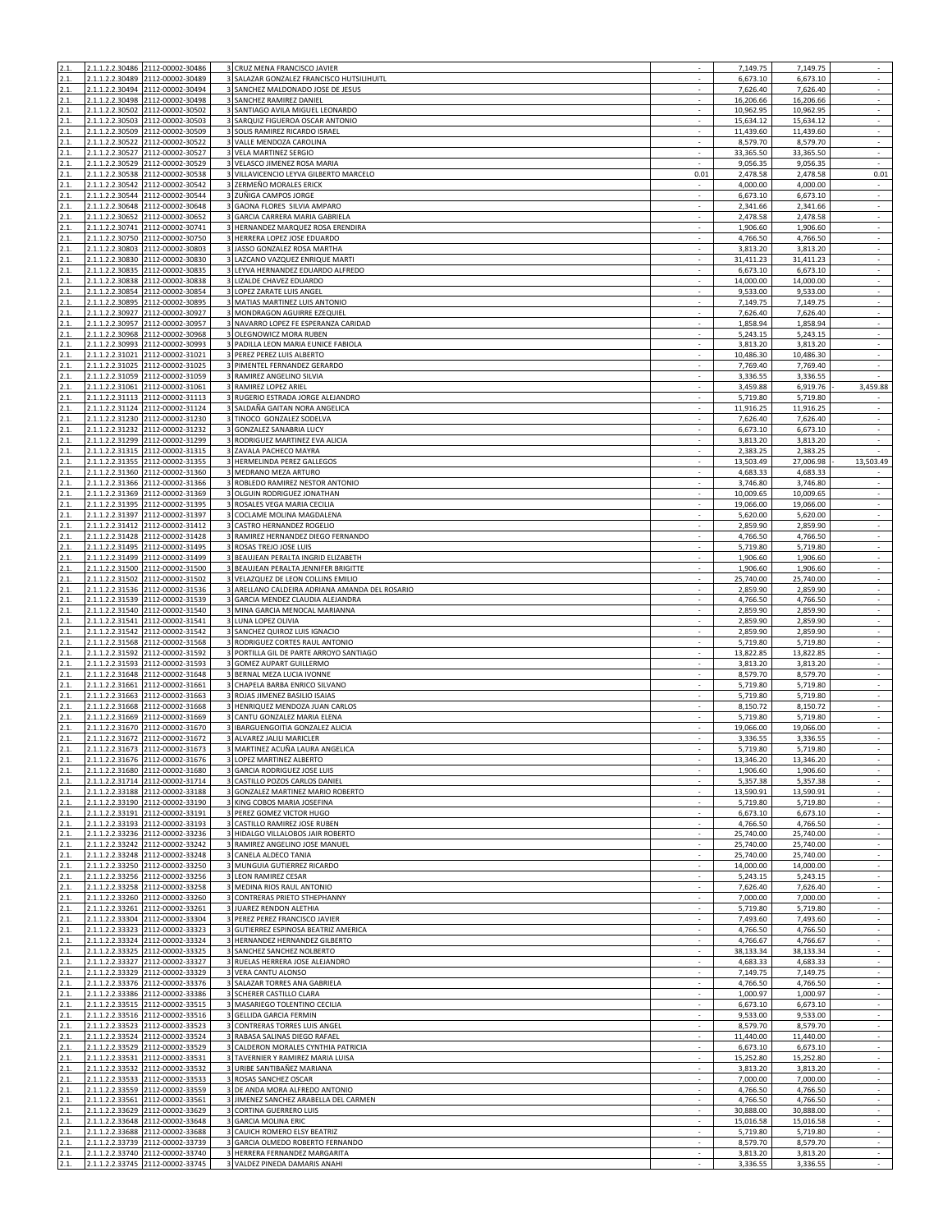| 2.1.         |                 | 2.1.1.2.2.30486 2112-00002-30486                                     | 3 CRUZ MENA FRANCISCO JAVIER                                         |                          | 7,149.75               | 7,149.75               | $\epsilon$                                           |
|--------------|-----------------|----------------------------------------------------------------------|----------------------------------------------------------------------|--------------------------|------------------------|------------------------|------------------------------------------------------|
| 2.1          |                 | 2.1.1.2.2.30489 2112-00002-30489                                     | SALAZAR GONZALEZ FRANCISCO HUTSILIHUITL                              |                          | 6,673.10               | 6,673.10               |                                                      |
| 2.1.         |                 | 2.1.1.2.2.30494 2112-00002-30494                                     | 3 SANCHEZ MALDONADO JOSE DE JESUS                                    | $\sim$                   | 7,626.40               | 7,626.40               | $\bar{\gamma}$                                       |
| 2.1.<br>2.1. | 2.1.1.2.2.30502 | 2.1.1.2.2.30498 2112-00002-30498<br>2112-00002-30502                 | 3 SANCHEZ RAMIREZ DANIEL<br>3 SANTIAGO AVILA MIGUEL LEONARDO         | $\sim$                   | 16,206.66<br>10,962.95 | 16,206.66<br>10,962.95 | $\sim$<br>$\sim$                                     |
| 2.1.         | 2.1.1.2.2.30503 | 2112-00002-30503                                                     | 3 SARQUIZ FIGUEROA OSCAR ANTONIO                                     | $\sim$                   | 15,634.12              | 15,634.12              | $\sim$                                               |
| 2.1.         |                 | 2.1.1.2.2.30509 2112-00002-30509                                     | 3 SOLIS RAMIREZ RICARDO ISRAEL                                       |                          | 11,439.60              | 11,439.60              | $\sim$                                               |
| 2.1.         |                 | 2.1.1.2.2.30522 2112-00002-30522                                     | 3 VALLE MENDOZA CAROLINA                                             |                          | 8,579.70               | 8.579.70               | $\sim$                                               |
| 2.1.         | 2.1.1.2.2.30527 | 2112-00002-30527                                                     | 3 VELA MARTINEZ SERGIO                                               |                          | 33,365.50              | 33,365.50              | $\sim$                                               |
| 2.1.         | 2.1.1.2.2.30529 | 2112-00002-30529                                                     | 3 VELASCO JIMENEZ ROSA MARIA                                         |                          | 9,056.35               | 9,056.35               |                                                      |
| 2.1.         |                 | 2.1.1.2.2.30538 2112-00002-30538                                     | 3 VILLAVICENCIO LEYVA GILBERTO MARCELO                               | 0.01                     | 2,478.58               | 2,478.58               | 0.01                                                 |
| 2.1.         | 2.1.1.2.2.30542 | 2112-00002-30542                                                     | 3 ZERMEÑO MORALES ERICK                                              |                          | 4,000.00               | 4,000.00               |                                                      |
| 2.1.         | 2.1.1.2.2.30544 | 2112-00002-30544                                                     | 3 ZUÑIGA CAMPOS JORGE                                                |                          | 6,673.10               | 6,673.10               | $\sim$                                               |
| 2.1.         |                 | 2.1.1.2.2.30648 2112-00002-30648                                     | 3 GAONA FLORES SILVIA AMPARO                                         |                          | 2,341.66               | 2,341.66               | $\overline{\phantom{a}}$                             |
| 2.1.         | 2.1.1.2.2.30652 | 2112-00002-30652<br>2.1.1.2.2.30741 2112-00002-30741                 | 3 GARCIA CARRERA MARIA GABRIELA<br>3 HERNANDEZ MARQUEZ ROSA ERENDIRA | ×                        | 2,478.58               | 2,478.58<br>1,906.60   | $\sim$<br>÷.                                         |
| 2.1.<br>2.1. |                 | 2.1.1.2.2.30750 2112-00002-30750                                     | 3 HERRERA LOPEZ JOSE EDUARDO                                         |                          | 1,906.60<br>4,766.50   | 4,766.50               | $\overline{\phantom{a}}$                             |
| 2.1.         |                 | 2.1.1.2.2.30803 2112-00002-30803                                     | 3 JASSO GONZALEZ ROSA MARTHA                                         | $\sim$                   | 3,813.20               | 3,813.20               | $\epsilon$                                           |
| 2.1.         |                 | 2.1.1.2.2.30830 2112-00002-30830                                     | 3 LAZCANO VAZQUEZ ENRIQUE MARTI                                      |                          | 31.411.23              | 31,411.23              | $\sim$                                               |
| 2.1.         | 2.1.1.2.2.30835 | 2112-00002-30835                                                     | 3 LEYVA HERNANDEZ EDUARDO ALFREDO                                    |                          | 6,673.10               | 6,673.10               |                                                      |
| 2.1.         |                 | 2.1.1.2.2.30838 2112-00002-30838                                     | 3 LIZALDE CHAVEZ EDUARDO                                             |                          | 14,000.00              | 14,000.00              | $\overline{\phantom{a}}$                             |
| 2.1.         |                 | 2.1.1.2.2.30854 2112-00002-30854                                     | 3 LOPEZ ZARATE LUIS ANGEL                                            | $\sim$                   | 9,533.00               | 9,533.00               | $\sim$                                               |
| 2.1.         | 2.1.1.2.2.30895 | 2112-00002-30895                                                     | 3 MATIAS MARTINEZ LUIS ANTONIO                                       |                          | 7,149.75               | 7,149.75               |                                                      |
| 2.1.         | 2.1.1.2.2.30927 | 2112-00002-30927                                                     | 3 MONDRAGON AGUIRRE EZEQUIEL                                         |                          | 7,626.40               | 7,626.40               | $\sim$                                               |
| 2.1.         |                 | 2.1.1.2.2.30957 2112-00002-30957                                     | 3 NAVARRO LOPEZ FE ESPERANZA CARIDAD                                 | $\sim$                   | 1,858.94               | 1,858.94               | $\sim$                                               |
| 2.1.         |                 | 2.1.1.2.2.30968 2112-00002-30968                                     | 3 OLEGNOWICZ MORA RUBEN                                              | ×                        | 5,243.15               | 5,243.15               | $\sim$                                               |
| 2.1.         | 2.1.1.2.2.30993 | 2112-00002-30993                                                     | 3 PADILLA LEON MARIA EUNICE FABIOLA                                  |                          | 3,813.20               | 3,813.20               |                                                      |
| 2.1.         |                 | 2.1.1.2.2.31021 2112-00002-31021                                     | 3 PEREZ PEREZ LUIS ALBERTO                                           | $\sim$                   | 10,486.30              | 10,486.30              | $\sim$<br>$\epsilon$                                 |
| 2.1.<br>2.1. | 2.1.1.2.2.31059 | 2.1.1.2.2.31025 2112-00002-31025<br>2112-00002-31059                 | 3 PIMENTEL FERNANDEZ GERARDO<br>3 RAMIREZ ANGELINO SILVIA            |                          | 7,769.40<br>3,336.55   | 7,769.40<br>3,336.55   |                                                      |
| 2.1.         | 2.1.1.2.2.31061 | 2112-00002-31061                                                     | 3 RAMIREZ LOPEZ ARIEL                                                |                          | 3,459.88               | 6,919.76               | 3,459.88                                             |
| 2.1.         |                 | 2.1.1.2.2.31113 2112-00002-31113                                     | 3 RUGERIO ESTRADA JORGE ALEJANDRO                                    |                          | 5,719.80               | 5,719.80               | $\blacksquare$                                       |
| 2.1.         |                 | 2.1.1.2.2.31124 2112-00002-31124                                     | 3 SALDAÑA GAITAN NORA ANGELICA                                       |                          | 11,916.25              | 11,916.25              | $\sim$                                               |
| 2.1.         |                 | 2.1.1.2.2.31230 2112-00002-31230                                     | 3 TINOCO GONZALEZ SODELVA                                            |                          | 7,626.40               | 7,626.40               | $\sim$                                               |
| 2.1.         |                 | 2.1.1.2.2.31232 2112-00002-31232                                     | 3 GONZALEZ SANABRIA LUCY                                             |                          | 6,673.10               | 6,673.10               |                                                      |
| 2.1.         |                 | 2.1.1.2.2.31299 2112-00002-31299                                     | 3 RODRIGUEZ MARTINEZ EVA ALICIA                                      | $\overline{\phantom{a}}$ | 3,813.20               | 3,813.20               | $\overline{\phantom{a}}$                             |
| 2.1.         |                 | 2.1.1.2.2.31315 2112-00002-31315                                     | 3 ZAVALA PACHECO MAYRA                                               |                          | 2,383.25               | 2,383.25               |                                                      |
| 2.1.         |                 | 2.1.1.2.2.31355 2112-00002-31355                                     | 3 HERMELINDA PEREZ GALLEGOS                                          |                          | 13,503.49              | 27,006.98              | 13,503.49                                            |
| 2.1.         |                 | 2.1.1.2.2.31360 2112-00002-31360                                     | 3 MEDRANO MEZA ARTURO                                                |                          | 4,683.33               | 4,683.33               |                                                      |
| 2.1.         |                 | 2.1.1.2.2.31366 2112-00002-31366<br>2.1.1.2.2.31369 2112-00002-31369 | 3 ROBLEDO RAMIREZ NESTOR ANTONIO<br>3 OLGUIN RODRIGUEZ JONATHAN      | ×                        | 3,746.80<br>10,009.65  | 3,746.80               | $\epsilon$<br>$\sim$                                 |
| 2.1.<br>2.1. |                 | 2.1.1.2.2.31395 2112-00002-31395                                     | 3 ROSALES VEGA MARIA CECILIA                                         |                          | 19,066.00              | 10,009.65<br>19,066.00 | $\overline{\phantom{a}}$                             |
| 2.1.         |                 | 2.1.1.2.2.31397 2112-00002-31397                                     | 3 COCLAME MOLINA MAGDALENA                                           | $\sim$                   | 5,620.00               | 5,620.00               | $\sim$                                               |
| 2.1.         |                 | 2.1.1.2.2.31412 2112-00002-31412                                     | 3 CASTRO HERNANDEZ ROGELIO                                           |                          | 2,859.90               | 2,859.90               | $\epsilon$                                           |
| 2.1.         | 2.1.1.2.2.31428 | 2112-00002-31428                                                     | RAMIREZ HERNANDEZ DIEGO FERNANDO                                     |                          | 4,766.50               | 4,766.50               | $\sim$                                               |
| 2.1.         |                 | 2.1.1.2.2.31495 2112-00002-31495                                     | 3 ROSAS TREJO JOSE LUIS                                              |                          | 5,719.80               | 5,719.80               | $\sim$                                               |
| 2.1.         |                 | 2.1.1.2.2.31499 2112-00002-31499                                     | 3 BEAUJEAN PERALTA INGRID ELIZABETH                                  | $\sim$                   | 1,906.60               | 1,906.60               | $\sim$                                               |
| 2.1.         | 2.1.1.2.2.31500 | 2112-00002-31500                                                     | 3 BEAUJEAN PERALTA JENNIFER BRIGITTE                                 |                          | 1,906.60               | 1,906.60               | $\sim$                                               |
| 2.1.         |                 | 2.1.1.2.2.31502 2112-00002-31502                                     | 3 VELAZQUEZ DE LEON COLLINS EMILIO                                   |                          | 25,740.00              | 25,740.00              |                                                      |
| 2.1.         |                 | 2.1.1.2.2.31536 2112-00002-31536                                     | 3 ARELLANO CALDEIRA ADRIANA AMANDA DEL ROSARIO                       | $\sim$                   | 2,859.90               | 2,859.90               | $\sim$                                               |
| 2.1.         |                 | 2.1.1.2.2.31539 2112-00002-31539                                     | 3 GARCIA MENDEZ CLAUDIA ALEJANDRA                                    |                          | 4,766.50               | 4,766.50               | ×                                                    |
| 2.1.         |                 | 2.1.1.2.2.31540 2112-00002-31540                                     | 3 MINA GARCIA MENOCAL MARIANNA                                       |                          | 2,859.90               | 2,859.90               |                                                      |
| 2.1.         |                 | 2.1.1.2.2.31541 2112-00002-31541                                     | 3 LUNA LOPEZ OLIVIA                                                  |                          | 2,859.90               | 2,859.90               | $\sim$                                               |
| 2.1.<br>2.1. |                 | 2.1.1.2.2.31542 2112-00002-31542<br>2.1.1.2.2.31568 2112-00002-31568 | 3 SANCHEZ QUIROZ LUIS IGNACIO<br>3 RODRIGUEZ CORTES RAUL ANTONIO     | $\sim$                   | 2,859.90<br>5,719.80   | 2,859.90<br>5,719.80   | $\sim$<br>$\overline{\phantom{a}}$                   |
| 2.1.         |                 | 2.1.1.2.2.31592 2112-00002-31592                                     | 3 PORTILLA GIL DE PARTE ARROYO SANTIAGO                              |                          | 13,822.85              | 13,822.85              | $\sim$                                               |
| 2.1.         |                 | 2.1.1.2.2.31593 2112-00002-31593                                     | 3 GOMEZ AUPART GUILLERMO                                             | $\sim$                   | 3,813.20               | 3,813.20               | $\sim$                                               |
| 2.1.         |                 | 2.1.1.2.2.31648 2112-00002-31648                                     | 3 BERNAL MEZA LUCIA IVONNE                                           |                          | 8,579.70               | 8,579.70               | $\epsilon$                                           |
| 2.1.         |                 | 2.1.1.2.2.31661 2112-00002-31661                                     | 3 CHAPELA BARBA ENRICO SILVANO                                       |                          | 5,719.80               | 5,719.80               | $\sim$                                               |
| 2.1.         |                 | 2.1.1.2.2.31663 2112-00002-31663                                     | 3 ROJAS JIMENEZ BASILIO ISAIAS                                       |                          | 5,719.80               | 5,719.80               |                                                      |
| 2.1.         |                 | 2.1.1.2.2.31668 2112-00002-31668                                     | 3 HENRIQUEZ MENDOZA JUAN CARLOS                                      | $\sim$                   | 8,150.72               | 8,150.72               | $\sim$                                               |
| 2.1.         | 2.1.1.2.2.31669 | 2112-00002-31669                                                     | 3 CANTU GONZALEZ MARIA ELENA                                         |                          | 5,719.80               | 5,719.80               | $\sim$                                               |
| 2.1.         |                 | 2.1.1.2.2.31670 2112-00002-31670                                     | 3 IBARGUENGOITIA GONZALEZ ALICIA                                     |                          | 19,066.00              | 19,066.00              | $\sim$                                               |
| 2.1.         |                 | 2.1.1.2.2.31672 2112-00002-31672                                     | 3 ALVAREZ JALILI MARICLER                                            |                          | 3,336.55               | 3,336.55               |                                                      |
| 2.1.<br>21   |                 | 2.1.1.2.2.31673 2112-00002-31673                                     | 3 MARTINEZ ACUÑA LAURA ANGELICA                                      | ×                        | 5.719.80               | 5,719.80               | $\mathcal{L}$                                        |
| 2.1.         |                 | 2.1.1.2.2.31676 2112-00002-31676<br>2.1.1.2.2.31680 2112-00002-31680 | 3 LOPEZ MARTINEZ ALBERTO<br>3 GARCIA RODRIGUEZ JOSE LUIS             |                          | 13,346.20<br>1,906.60  | 13,346.20<br>1,906.60  |                                                      |
| 2.1.         |                 | 2.1.1.2.2.31714 2112-00002-31714                                     | 3 CASTILLO POZOS CARLOS DANIEL                                       |                          | 5,357.38               | 5,357.38               | $\sim$                                               |
| 2.1.         |                 | 2.1.1.2.2.33188 2112-00002-33188                                     | 3 GONZALEZ MARTINEZ MARIO ROBERTO                                    | ×                        | 13,590.91              | 13,590.91              | $\epsilon$                                           |
| 2.1.         |                 | 2.1.1.2.2.33190 2112-00002-33190                                     | 3 KING COBOS MARIA JOSEFINA                                          | $\overline{\phantom{a}}$ | 5,719.80               | 5,719.80               | $\sim$                                               |
| 2.1.         |                 | 2.1.1.2.2.33191 2112-00002-33191                                     | 3 PEREZ GOMEZ VICTOR HUGO                                            |                          | 6,673.10               | 6,673.10               | $\overline{\phantom{a}}$                             |
| 2.1.         |                 | 2.1.1.2.2.33193 2112-00002-33193                                     | 3 CASTILLO RAMIREZ JOSE RUBEN                                        | $\sim$                   | 4,766.50               | 4,766.50               | $\sim$                                               |
| 2.1.         |                 | 2.1.1.2.2.33236 2112-00002-33236                                     | 3 HIDALGO VILLALOBOS JAIR ROBERTO                                    |                          | 25,740.00              | 25,740.00              | $\sim$                                               |
| 2.1.         |                 | 2.1.1.2.2.33242 2112-00002-33242                                     | 3 RAMIREZ ANGELINO JOSE MANUEL                                       |                          | 25,740.00              | 25,740.00              | $\sim$                                               |
| 2.1.         |                 | 2.1.1.2.2.33248 2112-00002-33248                                     | 3 CANELA ALDECO TANIA                                                | $\sim$                   | 25,740.00              | 25,740.00              | $\epsilon$                                           |
| 2.1.         |                 | 2.1.1.2.2.33250 2112-00002-33250                                     | 3 MUNGUIA GUTIERREZ RICARDO                                          |                          | 14,000.00              | 14,000.00              | $\overline{\phantom{a}}$<br>$\overline{\phantom{a}}$ |
| 2.1.<br>2.1. |                 | 2.1.1.2.2.33256 2112-00002-33256<br>2.1.1.2.2.33258 2112-00002-33258 | 3 LEON RAMIREZ CESAR<br>3 MEDINA RIOS RAUL ANTONIO                   |                          | 5,243.15<br>7,626.40   | 5,243.15<br>7,626.40   | $\overline{\phantom{a}}$                             |
| 2.1.         |                 | 2.1.1.2.2.33260 2112-00002-33260                                     | 3 CONTRERAS PRIETO STHEPHANNY                                        | ×.                       | 7,000.00               | 7,000.00               | $\sim$                                               |
| 2.1.         |                 | 2.1.1.2.2.33261 2112-00002-33261                                     | 3 JUAREZ RENDON ALETHIA                                              |                          | 5,719.80               | 5,719.80               |                                                      |
| 2.1.         |                 | 2.1.1.2.2.33304 2112-00002-33304                                     | 3 PEREZ PEREZ FRANCISCO JAVIER                                       |                          | 7,493.60               | 7,493.60               | $\omega$                                             |
| 2.1.         |                 | 2.1.1.2.2.33323 2112-00002-33323                                     | 3 GUTIERREZ ESPINOSA BEATRIZ AMERICA                                 | $\sim$                   | 4,766.50               | 4,766.50               | $\epsilon$                                           |
| 2.1.         |                 | 2.1.1.2.2.33324 2112-00002-33324                                     | 3 HERNANDEZ HERNANDEZ GILBERTO                                       | ×                        | 4,766.67               | 4,766.67               | $\sim$                                               |
| 2.1.         |                 | 2.1.1.2.2.33325 2112-00002-33325                                     | 3 SANCHEZ SANCHEZ NOLBERTO                                           |                          | 38,133.34              | 38,133.34              | $\sim$                                               |
| 2.1.         |                 | 2.1.1.2.2.33327 2112-00002-33327                                     | 3 RUELAS HERRERA JOSE ALEJANDRO                                      |                          | 4,683.33               | 4,683.33               | $\sim$                                               |
| 2.1.         |                 | 2.1.1.2.2.33329 2112-00002-33329                                     | 3 VERA CANTU ALONSO                                                  | $\sim$                   | 7,149.75               | 7,149.75               | $\sim$                                               |
| 2.1.         |                 | 2.1.1.2.2.33376 2112-00002-33376<br>2.1.1.2.2.33386 2112-00002-33386 | 3 SALAZAR TORRES ANA GABRIELA                                        |                          | 4,766.50               | 4,766.50               | $\sim$                                               |
| 2.1.<br>2.1. |                 | 2.1.1.2.2.33515 2112-00002-33515                                     | 3 SCHERER CASTILLO CLARA<br>3 MASARIEGO TOLENTINO CECILIA            | $\overline{\phantom{a}}$ | 1,000.97<br>6,673.10   | 1,000.97<br>6,673.10   | $\sim$<br>$\sim$                                     |
| 2.1.         |                 | 2.1.1.2.2.33516 2112-00002-33516                                     | 3 GELLIDA GARCIA FERMIN                                              | ×                        | 9,533.00               | 9,533.00               | $\epsilon$                                           |
| 2.1.         |                 | 2.1.1.2.2.33523 2112-00002-33523                                     | 3 CONTRERAS TORRES LUIS ANGEL                                        |                          | 8,579.70               | 8,579.70               | $\sim$                                               |
| 2.1.         |                 | 2.1.1.2.2.33524 2112-00002-33524                                     | 3 RABASA SALINAS DIEGO RAFAEL                                        |                          | 11,440.00              | 11,440.00              | $\sim$                                               |
| 2.1.         |                 | 2.1.1.2.2.33529 2112-00002-33529                                     | 3 CALDERON MORALES CYNTHIA PATRICIA                                  | $\sim$                   | 6,673.10               | 6,673.10               | $\overline{\phantom{a}}$                             |
| 2.1.         |                 | 2.1.1.2.2.33531 2112-00002-33531                                     | 3 TAVERNIER Y RAMIREZ MARIA LUISA                                    | ÷.                       | 15,252.80              | 15,252.80              | $\epsilon$                                           |
| 2.1.         |                 | 2.1.1.2.2.33532 2112-00002-33532                                     | 3 URIBE SANTIBAÑEZ MARIANA                                           | ×                        | 3,813.20               | 3,813.20               | $\sim$                                               |
| 2.1.         |                 | 2.1.1.2.2.33533 2112-00002-33533                                     | 3 ROSAS SANCHEZ OSCAR                                                |                          | 7,000.00               | 7,000.00               | $\overline{\phantom{a}}$                             |
| 2.1.         |                 | 2.1.1.2.2.33559 2112-00002-33559                                     | 3 DE ANDA MORA ALFREDO ANTONIO                                       | ×                        | 4,766.50               | 4,766.50               | $\sim$                                               |
| 2.1.         |                 | 2.1.1.2.2.33561 2112-00002-33561                                     | 3 JIMENEZ SANCHEZ ARABELLA DEL CARMEN                                |                          | 4,766.50               | 4,766.50               | $\sim$                                               |
| 2.1.<br>2.1. |                 | 2.1.1.2.2.33629 2112-00002-33629<br>2.1.1.2.2.33648 2112-00002-33648 | 3 CORTINA GUERRERO LUIS<br>3 GARCIA MOLINA ERIC                      | $\sim$                   | 30,888.00<br>15,016.58 | 30,888.00<br>15,016.58 | $\sim$<br>$\sim$                                     |
| 2.1.         |                 | 2.1.1.2.2.33688 2112-00002-33688                                     | 3 CAUICH ROMERO ELSY BEATRIZ                                         |                          | 5,719.80               | 5,719.80               | ÷.                                                   |
| 2.1.         |                 | 2.1.1.2.2.33739 2112-00002-33739                                     | GARCIA OLMEDO ROBERTO FERNANDO                                       |                          | 8,579.70               | 8,579.70               | ÷,                                                   |
| 2.1.         |                 | 2.1.1.2.2.33740 2112-00002-33740                                     | 3 HERRERA FERNANDEZ MARGARITA                                        |                          | 3,813.20               | 3,813.20               | $\sim$                                               |
| 2.1.         |                 | 2.1.1.2.2.33745 2112-00002-33745                                     | 3 VALDEZ PINEDA DAMARIS ANAHI                                        | $\sim$                   | 3,336.55               | 3,336.55               | $\sim$                                               |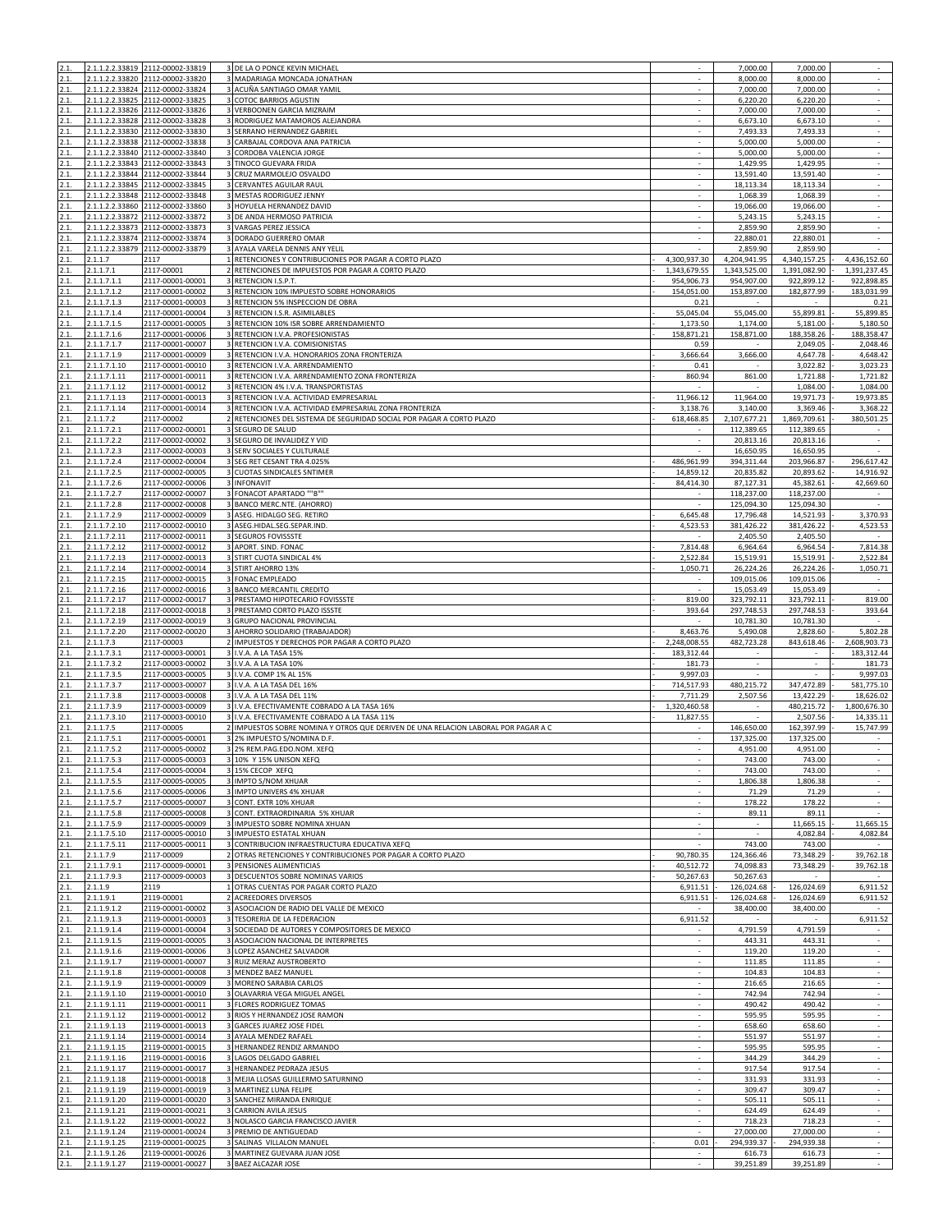| 2.1          |                              | 2.1.1.2.2.33819 2112-00002-33819                                     | 3 DE LA O PONCE KEVIN MICHAEL                                                                                                     |                          | 7,000.00                 | 7,000.00                    |                                    |
|--------------|------------------------------|----------------------------------------------------------------------|-----------------------------------------------------------------------------------------------------------------------------------|--------------------------|--------------------------|-----------------------------|------------------------------------|
| 2.1.         |                              | 2.1.1.2.2.33820 2112-00002-33820                                     | 3 MADARIAGA MONCADA JONATHAN                                                                                                      |                          | 8,000.00                 | 8,000.00                    | $\omega$                           |
| 2.1.<br>2.1. |                              | 2.1.1.2.2.33824 2112-00002-33824<br>2.1.1.2.2.33825 2112-00002-33825 | 3 ACUÑA SANTIAGO OMAR YAMIL<br>3 COTOC BARRIOS AGUSTIN                                                                            | $\sim$<br>×              | 7,000.00<br>6,220.20     | 7,000.00<br>6,220.20        | $\sim$<br>$\sim$                   |
| 2.1.         |                              | 2.1.1.2.2.33826 2112-00002-33826                                     | 3 VERBOONEN GARCIA MIZRAIM                                                                                                        |                          | 7,000.00                 | 7,000.00                    | $\sim$                             |
| 2.1.         |                              | 2.1.1.2.2.33828 2112-00002-33828                                     | 3 RODRIGUEZ MATAMOROS ALEJANDRA                                                                                                   |                          | 6,673.10                 | 6,673.10                    | $\overline{\phantom{a}}$           |
| 2.1.         |                              | 2.1.1.2.2.33830 2112-00002-33830                                     | 3 SERRANO HERNANDEZ GABRIEL                                                                                                       | $\sim$                   | 7,493.33                 | 7,493.33                    | $\sim$                             |
| 2.1.         | 2.1.1.2.2.33838              | 2112-00002-33838                                                     | 3 CARBAJAL CORDOVA ANA PATRICIA                                                                                                   |                          | 5,000.00                 | 5,000.00                    | ÷.<br>$\sim$                       |
| 2.1.<br>2.1. |                              | 2.1.1.2.2.33840 2112-00002-33840<br>2.1.1.2.2.33843 2112-00002-33843 | CORDOBA VALENCIA JORGE<br>3 TINOCO GUEVARA FRIDA                                                                                  |                          | 5,000.00<br>1,429.95     | 5,000.00<br>1,429.95        | $\overline{\phantom{a}}$           |
| 2.1.         |                              | 2.1.1.2.2.33844 2112-00002-33844                                     | 3 CRUZ MARMOLEJO OSVALDO                                                                                                          | ×                        | 13,591.40                | 13,591.40                   | $\epsilon$                         |
| 2.1.         |                              | 2.1.1.2.2.33845 2112-00002-33845                                     | CERVANTES AGUILAR RAUL                                                                                                            |                          | 18,113.34                | 18,113.34                   | $\sim$                             |
| 2.1.         |                              | 2.1.1.2.2.33848 2112-00002-33848                                     | 3 MESTAS RODRIGUEZ JENNY                                                                                                          |                          | 1,068.39                 | 1,068.39                    |                                    |
| 2.1.         |                              | 2.1.1.2.2.33860 2112-00002-33860                                     | 3 HOYUELA HERNANDEZ DAVID<br>3 DE ANDA HERMOSO PATRICIA                                                                           | $\sim$                   | 19,066.00                | 19,066.00                   | $\sim$<br>$\epsilon$               |
| 2.1.<br>2.1. | 2.1.1.2.2.33873              | 2.1.1.2.2.33872 2112-00002-33872<br>2112-00002-33873                 | VARGAS PEREZ JESSICA                                                                                                              |                          | 5,243.15<br>2,859.90     | 5,243.15<br>2,859.90        | $\sim$                             |
| 2.1.         |                              | 2.1.1.2.2.33874 2112-00002-33874                                     | DORADO GUERRERO OMAR                                                                                                              |                          | 22,880.01                | 22,880.01                   | $\overline{\phantom{a}}$           |
| 2.1.         |                              | 2.1.1.2.2.33879 2112-00002-33879                                     | 3 AYALA VARELA DENNIS ANY YELIL                                                                                                   | $\sim$                   | 2,859.90                 | 2,859.90                    | $\epsilon$                         |
| 2.1.         | 2.1.1.7                      | 2117                                                                 | 1 RETENCIONES Y CONTRIBUCIONES POR PAGAR A CORTO PLAZO                                                                            | 4,300,937.30             | 4,204,941.95             | 4,340,157.25                | 4,436,152.60                       |
| 2.1.         | 2.1.1.7.1                    | 2117-00001                                                           | 2 RETENCIONES DE IMPUESTOS POR PAGAR A CORTO PLAZO                                                                                | 1,343,679.55             | 1,343,525.00             | 1,391,082.90                | 1,391,237.45                       |
| 2.1.<br>2.1. | 2.1.1.7.1.1<br>2.1.1.7.1.2   | 2117-00001-00001<br>2117-00001-00002                                 | 3 RETENCION I.S.P.T.<br>3 RETENCION 10% IMPUESTO SOBRE HONORARIOS                                                                 | 954,906.73<br>154,051.00 | 954,907.00<br>153,897.00 | 922,899.12<br>182,877.99    | 922,898.85<br>183,031.99           |
|              | 2.1.1.7.1.3                  | 2117-00001-00003                                                     | RETENCION 5% INSPECCION DE OBRA                                                                                                   | 0.21                     |                          |                             | 0.21                               |
| 2.1.         | 2.1.1.7.1.4                  | 2117-00001-00004                                                     | 3 RETENCION I.S.R. ASIMILABLES                                                                                                    | 55,045.04                | 55,045.00                | 55,899.81                   | 55,899.85                          |
| 2.1.         | 2.1.1.7.1.5                  | 2117-00001-00005                                                     | 3 RETENCION 10% ISR SOBRE ARRENDAMIENTO                                                                                           | 1,173.50                 | 1,174.00                 | 5,181.00                    | 5,180.50                           |
| 2.1.         | 2.1.1.7.1.6                  | 2117-00001-00006                                                     | 3 RETENCION I.V.A. PROFESIONISTAS                                                                                                 | 158,871.21               | 158,871.00               | 188,358.26                  | 188,358.47                         |
| 2.1.         | 2.1.1.7.1.7                  | 2117-00001-00007                                                     | 3 RETENCION I.V.A. COMISIONISTAS<br>3 RETENCION I.V.A. HONORARIOS ZONA FRONTERIZA                                                 | 0.59                     | 3,666.00                 | 2,049.05                    | 2,048.46<br>4,648.42               |
| 2.1.<br>2.1. | 2.1.1.7.1.9<br>2.1.1.7.1.10  | 2117-00001-00009<br>2117-00001-00010                                 | 3 RETENCION I.V.A. ARRENDAMIENTO                                                                                                  | 3,666.64<br>0.41         |                          | 4,647.78<br>3,022.82        | 3,023.23                           |
| 2.1.         | 2.1.1.7.1.11                 | 2117-00001-00011                                                     | 3 RETENCION I.V.A. ARRENDAMIENTO ZONA FRONTERIZA                                                                                  | 860.94                   | 861.00                   | 1,721.88                    | 1,721.82                           |
| 2.1.         | 2.1.1.7.1.12                 | 2117-00001-00012                                                     | 3 RETENCION 4% I.V.A. TRANSPORTISTAS                                                                                              |                          |                          | 1,084.00                    | 1,084.00                           |
| 2.1.         | 2.1.1.7.1.13                 | 2117-00001-00013                                                     | 3 RETENCION I.V.A. ACTIVIDAD EMPRESARIAL                                                                                          | 11,966.12                | 11,964.00                | 19,971.73                   | 19,973.85                          |
| 2.1.<br>2.1. | 2.1.1.7.1.14<br>2.1.1.7.2    | 2117-00001-00014<br>2117-00002                                       | 3 RETENCION I.V.A. ACTIVIDAD EMPRESARIAL ZONA FRONTERIZA<br>2 RETENCIONES DEL SISTEMA DE SEGURIDAD SOCIAL POR PAGAR A CORTO PLAZO | 3,138.76<br>618,468.85   | 3,140.00<br>2,107,677.21 | 3,369.46<br>1,869,709.61    | 3,368.22<br>380,501.25             |
| 2.1.         | 2.1.1.7.2.1                  | 2117-00002-00001                                                     | 3 SEGURO DE SALUD                                                                                                                 |                          | 112,389.65               | 112,389.65                  |                                    |
| 2.1.         | 2.1.1.7.2.2                  | 2117-00002-00002                                                     | 3 SEGURO DE INVALIDEZ Y VID                                                                                                       | ×                        | 20,813.16                | 20,813.16                   | $\epsilon$                         |
| 2.1.         | 2.1.1.7.2.3                  | 2117-00002-00003                                                     | 3 SERV SOCIALES Y CULTURALE                                                                                                       |                          | 16,650.95                | 16,650.95                   |                                    |
| 2.1.         | 2.1.1.7.2.4                  | 2117-00002-00004                                                     | 3 SEG RET CESANT TRA 4.025%                                                                                                       | 486.961.99               | 394,311.44               | 203,966.87                  | 296,617.42                         |
| 2.1.<br>2.1. | 2.1.1.7.2.5<br>2.1.1.7.2.6   | 2117-00002-00005<br>2117-00002-00006                                 | 3 CUOTAS SINDICALES SNTIMER<br>3 INFONAVIT                                                                                        | 14,859.12<br>84,414.30   | 20,835.82<br>87,127.31   | 20,893.62<br>45,382.61      | 14,916.92<br>42,669.60             |
| 2.1.         | 2.1.1.7.2.7                  | 2117-00002-00007                                                     | 3 FONACOT APARTADO ""B""                                                                                                          |                          | 118,237.00               | 118,237.00                  |                                    |
| 2.1.         | 2.1.1.7.2.8                  | 2117-00002-00008                                                     | BANCO MERC.NTE. (AHORRO)<br>3                                                                                                     |                          | 125,094.30               | 125,094.30                  |                                    |
| 2.1.         | 2.1.1.7.2.9                  | 2117-00002-00009                                                     | 3 ASEG. HIDALGO SEG. RETIRO                                                                                                       | 6,645.48                 | 17,796.48                | 14,521.93                   | 3,370.93                           |
| 2.1.         | 2.1.1.7.2.10                 | 2117-00002-00010                                                     | 3 ASEG.HIDAL.SEG.SEPAR.IND.                                                                                                       | 4,523.53                 | 381,426.22               | 381,426.22                  | 4,523.53                           |
| 2.1.         | 2.1.1.7.2.11                 | 2117-00002-00011                                                     | 3 SEGUROS FOVISSSTE                                                                                                               |                          | 2,405.50                 | 2,405.50                    |                                    |
| 2.1.<br>2.1. | 2.1.1.7.2.12<br>2.1.1.7.2.13 | 2117-00002-00012<br>2117-00002-00013                                 | 3 APORT. SIND. FONAC<br>3 STIRT CUOTA SINDICAL 4%                                                                                 | 7,814.48<br>2,522.84     | 6,964.64<br>15,519.91    | 6,964.54<br>15,519.91       | 7,814.38<br>2,522.84               |
| 2.1.         | 2.1.1.7.2.14                 | 2117-00002-00014                                                     | $\overline{\mathbf{3}}$<br><b>STIRT AHORRO 13%</b>                                                                                | 1,050.71                 | 26,224.26                | 26,224.26                   | 1,050.71                           |
| 2.1.         | 2.1.1.7.2.15                 | 2117-00002-00015                                                     | FONAC EMPLEADO<br>3                                                                                                               |                          | 109,015.06               | 109,015.06                  | ٠                                  |
| 2.1.         | 2.1.1.7.2.16                 | 2117-00002-00016                                                     | 3 BANCO MERCANTIL CREDITO                                                                                                         | $\sim$                   | 15,053.49                | 15,053.49                   | $\epsilon$                         |
| 2.1.         | 2.1.1.7.2.17                 | 2117-00002-00017                                                     | 3 PRESTAMO HIPOTECARIO FOVISSSTE                                                                                                  | 819.00                   | 323,792.11               | 323,792.11                  | 819.00                             |
| 2.1.<br>2.1. | 2.1.1.7.2.18<br>2.1.1.7.2.19 | 2117-00002-00018<br>2117-00002-00019                                 | 3 PRESTAMO CORTO PLAZO ISSSTE<br>3 GRUPO NACIONAL PROVINCIAL                                                                      | 393.64<br>$\sim$         | 297,748.53<br>10,781.30  | 297,748.53<br>10,781.30     | 393.64<br>$\sim$                   |
| 2.1.         | 2.1.1.7.2.20                 | 2117-00002-00020                                                     | 3 AHORRO SOLIDARIO (TRABAJADOR)                                                                                                   | 8,463.76                 | 5,490.08                 | 2,828.60                    | 5,802.28                           |
| 2.1.         | 2.1.1.7.3                    | 2117-00003                                                           | 2 IMPUESTOS Y DERECHOS POR PAGAR A CORTO PLAZO                                                                                    | 2,248,008.55             | 482,723.28               | 843,618.46                  | 2,608,903.73                       |
| 2.1.         | 2.1.1.7.3.1                  | 2117-00003-00001                                                     | 3 I.V.A. A LA TASA 15%                                                                                                            | 183,312.44               | ٠                        |                             | 183,312.44                         |
| 2.1.         | 2.1.1.7.3.2                  | 2117-00003-00002                                                     | 3 I.V.A. A LA TASA 10%                                                                                                            | 181.73                   | $\sim$                   | $\mathcal{L}_{\mathcal{A}}$ | 181.73                             |
| 2.1.<br>2.1. | 2.1.1.7.3.5<br>2.1.1.7.3.7   | 2117-00003-00005<br>2117-00003-00007                                 | 3 I.V.A. COMP 1% AL 15%<br>3 I.V.A. A LA TASA DEL 16%                                                                             | 9,997.03<br>714,517.93   | 480,215.72               | 347,472.89                  | 9,997.03<br>581,775.10             |
| 2.1.         | 2.1.1.7.3.8                  | 2117-00003-00008                                                     | 3 I.V.A. A LA TASA DEL 11%                                                                                                        | 7,711.29                 | 2,507.56                 | 13,422.29                   | 18,626.02                          |
| 2.1.         | 2.1.1.7.3.9                  | 2117-00003-00009                                                     | 3 I.V.A. EFECTIVAMENTE COBRADO A LA TASA 16%                                                                                      | 1,320,460.58             | ×.                       | 480,215.72                  | 1,800,676.30                       |
| 2.1.         | 2.1.1.7.3.10                 | 2117-00003-00010                                                     | 3 I.V.A. EFECTIVAMENTE COBRADO A LA TASA 11%                                                                                      | 11,827.55                |                          | 2,507.56                    | 14,335.11                          |
| 2.1.         | 2.1.1.7.5                    | 2117-00005                                                           | 2 IMPUESTOS SOBRE NOMINA Y OTROS QUE DERIVEN DE UNA RELACION LABORAL POR PAGAR A C                                                |                          | 146,650.00               | 162,397.99                  | 15,747.99                          |
| 2.1.<br>2.1. | 2.1.1.7.5.1<br>2.1.1.7.5.2   | 2117-00005-00001<br>2117-00005-00002                                 | 3 2% IMPUESTO S/NOMINA D.F.<br>3 2% REM.PAG.EDO.NOM. XEFQ                                                                         |                          | 137,325.00<br>4,951.00   | 137,325.00<br>4,951.00      | $\epsilon$                         |
|              | 1.1.7.5.3                    | 117-00005-00003                                                      | 3 10% Y 15% UNISON XEFO                                                                                                           |                          | 743.00                   | 743.00                      |                                    |
| 2.1.         | 2.1.1.7.5.4                  | 2117-00005-00004                                                     | 3 15% CECOP XEFQ                                                                                                                  |                          | 743.00                   | 743.00                      | $\overline{\phantom{a}}$           |
| 2.1.         | 2.1.1.7.5.5                  | 2117-00005-00005                                                     | 3 IMPTO S/NOM XHUAR                                                                                                               | ×                        | 1,806.38                 | 1,806.38                    | $\sim$                             |
| 2.1.<br>2.1. | 2.1.1.7.5.6                  | 2117-00005-00006<br>2117-00005-00007                                 | 3 IMPTO UNIVERS 4% XHUAR<br>3 CONT. EXTR 10% XHUAR                                                                                |                          | 71.29<br>178.22          | 71.29<br>178.22             |                                    |
| 2.1.         | 2.1.1.7.5.7<br>2.1.1.7.5.8   | 2117-00005-00008                                                     | 3 CONT. EXTRAORDINARIA 5% XHUAR                                                                                                   | $\sim$                   | 89.11                    | 89.11                       | $\overline{\phantom{a}}$<br>$\sim$ |
| 2.1.         | 2.1.1.7.5.9                  | 2117-00005-00009                                                     | 3 IMPUESTO SOBRE NOMINA XHUAN                                                                                                     |                          |                          | 11,665.15                   | 11,665.15                          |
| 2.1.         | 2.1.1.7.5.10                 | 2117-00005-00010                                                     | 3 IMPUESTO ESTATAL XHUAN                                                                                                          |                          |                          | 4,082.84                    | 4,082.84                           |
| 2.1.         | 2.1.1.7.5.11                 | 2117-00005-00011                                                     | CONTRIBUCION INFRAESTRUCTURA EDUCATIVA XEFQ                                                                                       |                          | 743.00                   | 743.00                      |                                    |
| 2.1.<br>2.1. | 2.1.1.7.9<br>2.1.1.7.9.1     | 2117-00009<br>2117-00009-00001                                       | 2 OTRAS RETENCIONES Y CONTRIBUCIONES POR PAGAR A CORTO PLAZO<br>3 PENSIONES ALIMENTICIAS                                          | 90,780.35<br>40,512.72   | 124,366.46<br>74,098.83  | 73,348.29<br>73,348.29      | 39,762.18<br>39,762.18             |
| 2.1.         | 2.1.1.7.9.3                  | 2117-00009-00003                                                     | 3 DESCUENTOS SOBRE NOMINAS VARIOS                                                                                                 | 50,267.63                | 50,267.63                |                             |                                    |
| 2.1.         | 2.1.1.9                      | 2119                                                                 | 1 OTRAS CUENTAS POR PAGAR CORTO PLAZO                                                                                             | 6,911.51                 | 126,024.68               | 126,024.69                  | 6,911.52                           |
| 2.1.         | 2.1.1.9.1                    | 2119-00001                                                           | 2 ACREEDORES DIVERSOS                                                                                                             | 6,911.51                 | 126,024.68               | 126,024.69                  | 6,911.52                           |
|              | 2.1.1.9.1.2                  | 2119-00001-00002                                                     | 3 ASOCIACION DE RADIO DEL VALLE DE MEXICO                                                                                         |                          | 38,400.00                | 38,400.00                   |                                    |
| 2.1.<br>2.1. | 2.1.1.9.1.3<br>2.1.1.9.1.4   | 2119-00001-00003<br>2119-00001-00004                                 | 3 TESORERIA DE LA FEDERACION<br>3 SOCIEDAD DE AUTORES Y COMPOSITORES DE MEXICO                                                    | 6,911.52<br>$\sim$       | 4,791.59                 | 4,791.59                    | 6,911.52<br>$\sim$                 |
| 2.1.         | 2.1.1.9.1.5                  | 2119-00001-00005                                                     | 3 ASOCIACION NACIONAL DE INTERPRETES                                                                                              |                          | 443.31                   | 443.31                      |                                    |
| 2.1.         | 2.1.1.9.1.6                  | 2119-00001-00006                                                     | $\overline{\mathbf{3}}$<br>LOPEZ ASANCHEZ SALVADOR                                                                                |                          | 119.20                   | 119.20                      |                                    |
| 2.1.         | 2.1.1.9.1.7                  | 2119-00001-00007                                                     | 3 RUIZ MERAZ AUSTROBERTO                                                                                                          |                          | 111.85                   | 111.85                      | $\blacksquare$                     |
| 2.1.<br>2.1. | 2.1.1.9.1.8<br>2.1.1.9.1.9   | 2119-00001-00008<br>2119-00001-00009                                 | 3 MENDEZ BAEZ MANUEL<br>3 MORENO SARABIA CARLOS                                                                                   | ×                        | 104.83<br>216.65         | 104.83<br>216.65            | $\sim$                             |
| 2.1.         | 2.1.1.9.1.10                 | 2119-00001-00010                                                     | 3 OLAVARRIA VEGA MIGUEL ANGEL                                                                                                     |                          | 742.94                   | 742.94                      | $\sim$                             |
| 2.1.         | 2.1.1.9.1.11                 | 2119-00001-00011                                                     | 3 FLORES RODRIGUEZ TOMAS                                                                                                          | $\overline{\phantom{a}}$ | 490.42                   | 490.42                      | $\sim$                             |
| 2.1.         | 2.1.1.9.1.12                 | 2119-00001-00012                                                     | 3 RIOS Y HERNANDEZ JOSE RAMON                                                                                                     |                          | 595.95                   | 595.95                      |                                    |
| 2.1.         | 2.1.1.9.1.13                 | 2119-00001-00013                                                     | 3 GARCES JUAREZ JOSE FIDEL                                                                                                        | $\sim$                   | 658.60                   | 658.60                      | $\mathcal{L}_{\mathcal{A}}$        |
| 2.1.<br>2.1. | 2.1.1.9.1.14<br>2.1.1.9.1.15 | 2119-00001-00014<br>2119-00001-00015                                 | 3 AYALA MENDEZ RAFAEL<br>3 HERNANDEZ RENDIZ ARMANDO                                                                               | ×                        | 551.97<br>595.95         | 551.97<br>595.95            | $\overline{\phantom{a}}$<br>$\sim$ |
| 2.1.         | 2.1.1.9.1.16                 | 2119-00001-00016                                                     | 3 LAGOS DELGADO GABRIEL                                                                                                           |                          | 344.29                   | 344.29                      |                                    |
| 2.1.         | 2.1.1.9.1.17                 | 2119-00001-00017                                                     | 3 HERNANDEZ PEDRAZA JESUS                                                                                                         |                          | 917.54                   | 917.54                      | $\sim$                             |
| 2.1.         | 2.1.1.9.1.18                 | 2119-00001-00018                                                     | 3 MEJIA LLOSAS GUILLERMO SATURNINO                                                                                                | $\sim$                   | 331.93                   | 331.93                      | $\sim$                             |
| 2.1.         | 2.1.1.9.1.19                 | 2119-00001-00019                                                     | 3 MARTINEZ LUNA FELIPE                                                                                                            |                          | 309.47                   | 309.47                      |                                    |
| 2.1.<br>2.1. | 2.1.1.9.1.20<br>2.1.1.9.1.21 | 2119-00001-00020<br>2119-00001-00021                                 | 3 SANCHEZ MIRANDA ENRIQUE<br>CARRION AVILA JESUS<br>3                                                                             |                          | 505.11<br>624.49         | 505.11<br>624.49            |                                    |
| 2.1.         | 2.1.1.9.1.22                 | 2119-00001-00022                                                     | 3 NOLASCO GARCIA FRANCISCO JAVIER                                                                                                 | $\sim$                   | 718.23                   | 718.23                      | $\sim$                             |
| 2.1.         | 2.1.1.9.1.24                 | 2119-00001-00024                                                     | 3 PREMIO DE ANTIGUEDAD                                                                                                            |                          | 27,000.00                | 27,000.00                   |                                    |
| 2.1.         | 2.1.1.9.1.25                 | 2119-00001-00025                                                     | 3 SALINAS VILLALON MANUEL                                                                                                         | 0.01                     | 294,939.37               | 294,939.38                  | $\sim$                             |
| 2.1.<br>2.1. | 2.1.1.9.1.26<br>2.1.1.9.1.27 | 2119-00001-00026<br>2119-00001-00027                                 | 3 MARTINEZ GUEVARA JUAN JOSE<br>3 BAEZ ALCAZAR JOSE                                                                               | $\sim$<br>$\sim$         | 616.73<br>39,251.89      | 616.73<br>39,251.89         | $\sim$<br>$\sim$                   |
|              |                              |                                                                      |                                                                                                                                   |                          |                          |                             |                                    |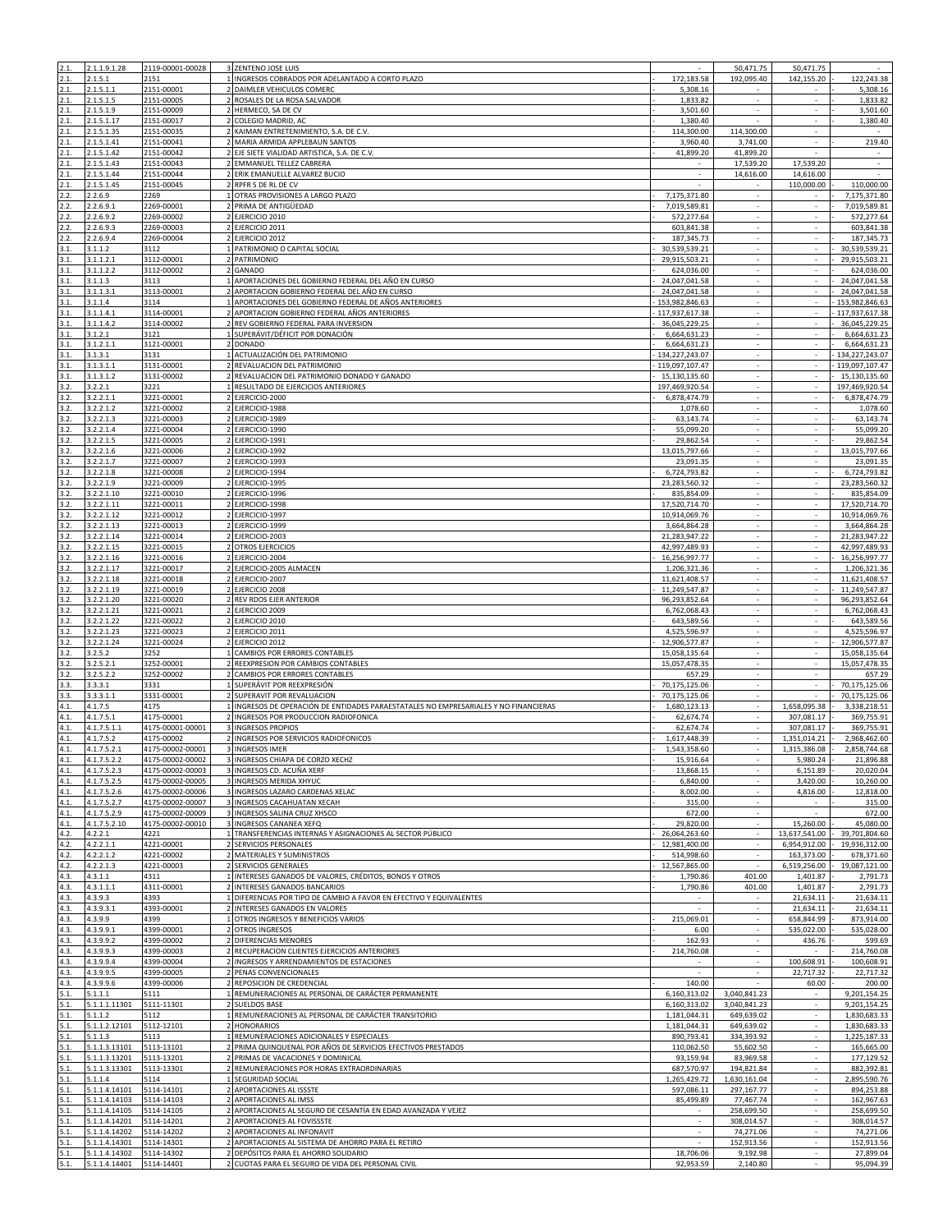| 2.1.         | 2.1.1.9.1.28             | 2119-00001-00028         | 3 ZENTENO JOSE LUIS                                                                |                      | 50,471.75                | 50,471.75                   |                |
|--------------|--------------------------|--------------------------|------------------------------------------------------------------------------------|----------------------|--------------------------|-----------------------------|----------------|
| 2.1          | 2.1.5.1                  | 2151                     | 1 INGRESOS COBRADOS POR ADELANTADO A CORTO PLAZO                                   | 172,183.58           | 192,095.40               | 142,155.20                  | 122,243.38     |
| 2.1.         | 2.1.5.1.1                | 2151-00001               | 2 DAIMLER VEHICULOS COMERC                                                         | 5,308.16             |                          |                             | 5,308.16       |
| 2.1.         | 2.1.5.1.5                | 2151-00005               | 2 ROSALES DE LA ROSA SALVADOR                                                      | 1,833.82             | ÷.                       | $\sim$                      | 1,833.82       |
| 2.1.         | 2.1.5.1.9                | 2151-00009               | 2 HERMECO, SA DE CV                                                                |                      |                          |                             | 3,501.60       |
| 2.1.         | 2.1.5.1.17               | 2151-00017               | COLEGIO MADRID, AC                                                                 | 3,501.60<br>1,380.40 | $\sim$                   | $\sim$                      | 1,380.40       |
|              |                          |                          |                                                                                    |                      |                          |                             |                |
| 2.1.<br>2.1. | 2.1.5.1.35<br>2.1.5.1.41 | 2151-00035<br>2151-00041 | 2 KAIMAN ENTRETENIMIENTO, S.A. DE C.V.<br>2 MARIA ARMIDA APPLEBAUN SANTOS          | 114,300.00           | 114,300.00<br>3,741.00   | $\overline{\phantom{a}}$    | 219.40         |
|              |                          |                          | 2 EJE SIETE VIALIDAD ARTISTICA, S.A. DE C.V.                                       | 3,960.40             |                          |                             |                |
| 2.1.<br>2.1. | 2.1.5.1.42<br>2.1.5.1.43 | 2151-00042               | 2 EMMANUEL TELLEZ CABRERA                                                          | 41,899.20<br>×.      | 41,899.20                |                             | $\sim$         |
|              |                          | 2151-00043               |                                                                                    |                      | 17,539.20                | 17,539.20                   | $\epsilon$     |
| 2.1.         | 2.1.5.1.44               | 2151-00044               | ERIK EMANUELLE ALVAREZ BUCIO                                                       |                      | 14,616.00                | 14,616.00                   |                |
| 2.1.         | 2.1.5.1.45               | 2151-00045               | RPFR S DE RL DE CV                                                                 |                      |                          | 110,000.00                  | 110,000.00     |
| 2.2.         | 2.2.6.9                  | 2269                     | OTRAS PROVISIONES A LARGO PLAZO                                                    | 7,175,371.80         | $\sim$                   | $\sim$                      | 7,175,371.80   |
| 2.2.         | 2.2.6.9.1                | 2269-00001               | PRIMA DE ANTIGÜEDAD                                                                | 7,019,589.81         |                          |                             | 7,019,589.81   |
| 2.2.         | 2.2.6.9.2                | 2269-00002               | 2 EJERCICIO 2010                                                                   | 572,277.64           | ÷.                       | ÷.                          | 572,277.64     |
| 2.2.         | 2.2.6.9.3                | 2269-00003               | 2 EJERCICIO 2011                                                                   | 603,841.38           | $\sim$                   | $\sim$                      | 603,841.38     |
| 2.2.         | 2.2.6.9.4                | 2269-00004               | 2 EJERCICIO 2012                                                                   | 187,345.73           | ÷.                       | ÷.                          | 187,345.73     |
| 3.1.         | 3.1.1.2                  | 3112                     | 1 PATRIMONIO O CAPITAL SOCIAL                                                      | 30,539,539.21        |                          | L.                          | 30,539,539.21  |
| 3.1.         | 3.1.1.2.1                | 3112-00001               | 2 PATRIMONIO                                                                       | 29,915,503.21        |                          |                             | 29,915,503.21  |
| 3.1.         | 3.1.1.2.2                | 3112-00002               | 2 GANADO                                                                           | 624,036.00           | $\overline{\phantom{a}}$ | $\sim$                      | 624,036.00     |
| 3.1.         | 3.1.1.3                  | 3113                     | APORTACIONES DEL GOBIERNO FEDERAL DEL AÑO EN CURSO                                 | 24,047,041.58        | ÷.                       |                             | 24,047,041.58  |
| 3.1.         | 3.1.1.3.1                | 3113-00001               | APORTACION GOBIERNO FEDERAL DEL AÑO EN CURSO                                       | 24,047,041.58        | $\sim$                   |                             | 24,047,041.58  |
| 3.1.         | 3.1.1.4                  | 3114                     | APORTACIONES DEL GOBIERNO FEDERAL DE AÑOS ANTERIORES                               | 153,982,846.63       |                          |                             | 153,982,846.63 |
| 3.1.         | 3.1.1.4.1                | 3114-00001               | APORTACION GOBIERNO FEDERAL AÑOS ANTERIORES                                        | 117,937,617.38       | ×                        | ×.                          | 117,937,617.38 |
| 3.1.         | 3.1.1.4.2                | 3114-00002               | 2 REV GOBIERNO FEDERAL PARA INVERSION                                              | 36,045,229.25        | ÷.                       | $\mathcal{L}_{\mathcal{A}}$ | 36,045,229.25  |
| 3.1.         | 3.1.2.1                  | 3121                     | 1 SUPERÁVIT/DÉFICIT POR DONACIÓN                                                   | 6,664,631.23         | $\overline{\phantom{a}}$ |                             | 6,664,631.23   |
| 3.1.         | 3.1.2.1.1                | 3121-00001               | 2 DONADO                                                                           | 6,664,631.23         | $\sim$                   |                             | 6,664,631.23   |
| 3.1.         | 3.1.3.1                  | 3131                     | 1 ACTUALIZACIÓN DEL PATRIMONIO                                                     | 134,227,243.07       | ÷.                       |                             | 134,227,243.07 |
| 3.1.         | 3.1.3.1.1                | 3131-00001               | REVALUACION DEL PATRIMONIO                                                         | 119,097,107.47       | ×.                       | $\sim$                      | 119,097,107.47 |
| 3.1.         | 3.1.3.1.2                | 3131-00002               | REVALUACION DEL PATRIMONIO DONADO Y GANADO                                         | 15,130,135.60        |                          |                             | 15,130,135.60  |
| 3.2.         | 3.2.2.1                  | 3221                     | RESULTADO DE EJERCICIOS ANTERIORES                                                 | 197,469,920.54       | ÷.                       | $\sim$                      | 197,469,920.54 |
| 3.2.         | 3.2.2.1.1                | 3221-00001               | 2 EJERCICIO-2000                                                                   | 6,878,474.79         |                          | ÷.                          | 6,878,474.79   |
| 3.2.         | 3.2.2.1.2                | 3221-00002               | 2 EJERCICIO-1988                                                                   | 1,078.60             |                          |                             | 1,078.60       |
| 3.2.         | 3.2.2.1.3                | 3221-00003               | 2 EJERCICIO-1989                                                                   | 63,143.74            | $\sim$                   | $\sim$                      | 63,143.74      |
| 3.2.         | 3.2.2.1.4                | 3221-00004               | 2 EJERCICIO-1990                                                                   | 55,099.20            | ÷.                       | ÷.                          | 55,099.20      |
| 3.2.         | 3.2.2.1.5                | 3221-00005               | 2 EJERCICIO-1991                                                                   | 29,862.54            |                          |                             | 29,862.54      |
| 3.2.         | 3.2.2.1.6                | 3221-00006               | EJERCICIO-1992                                                                     | 13,015,797.66        |                          |                             | 13,015,797.66  |
| 3.2.         | 3.2.2.1.7                | 3221-00007               | 2 EJERCICIO-1993                                                                   | 23,091.35            | $\sim$                   | $\sim$                      | 23,091.35      |
| 3.2.         | 3.2.2.1.8                | 3221-00008               | 2 EJERCICIO-1994                                                                   | 6,724,793.82         |                          |                             | 6,724,793.82   |
| 3.2.         | 3.2.2.1.9                | 3221-00009               | 2 EJERCICIO-1995                                                                   | 23,283,560.32        | ÷.                       | ÷.                          | 23,283,560.32  |
| 3.2.         | 3.2.2.1.10               | 3221-00010               | 2 EJERCICIO-1996                                                                   | 835,854.09           | $\overline{\phantom{a}}$ | $\sim$                      | 835,854.09     |
| 3.2.         | 3.2.2.1.11               | 3221-00011               | 2 EJERCICIO-1998                                                                   | 17,520,714.70        | ÷.                       | ×.                          | 17,520,714.70  |
| 3.2.         | 3.2.2.1.12               | 3221-00012               | 2 EJERCICIO-1997                                                                   | 10,914,069.76        |                          |                             | 10,914,069.76  |
|              |                          |                          |                                                                                    |                      |                          |                             |                |
| 3.2.         | 3.2.2.1.13               | 3221-00013               | 2 EJERCICIO-1999                                                                   | 3,664,864.28         | $\hat{\phantom{a}}$      |                             | 3,664,864.28   |
| 3.2.         | 3.2.2.1.14               | 3221-00014               | 2 EJERCICIO-2003                                                                   | 21,283,947.22        | $\sim$<br>÷.             | $\sim$<br>×.                | 21,283,947.22  |
| 3.2.<br>3.2. | 3.2.2.1.15               | 3221-00015               | <b>OTROS EJERCICIOS</b>                                                            | 42,997,489.93        | ÷.                       |                             | 42,997,489.93  |
|              | 3.2.2.1.16               | 3221-00016               | 2 EJERCICIO-2004                                                                   | 16,256,997.77        |                          | $\sim$                      | 16,256,997.77  |
| 3.2.         | 3.2.2.1.17               | 3221-00017               | 2 EJERCICIO-2005 ALMACEN                                                           | 1,206,321.36         | $\sim$                   |                             | 1,206,321.36   |
| 3.2.         | 3.2.2.1.18               | 3221-00018               | 2 EJERCICIO-2007                                                                   | 11,621,408.57        | ÷.                       | ÷.                          | 11,621,408.57  |
| 3.2.         | 3.2.2.1.19               | 3221-00019               | 2 EJERCICIO 2008                                                                   | 11,249,547.87        |                          |                             | 11,249,547.87  |
| 3.2.         | 3.2.2.1.20               | 3221-00020               | 2 REV RDOS EJER ANTERIOR                                                           | 96,293,852.64        |                          | ÷.                          | 96,293,852.64  |
| 3.2.         | 3.2.2.1.21               | 3221-00021               | 2 EJERCICIO 2009                                                                   | 6,762,068.43         | $\sim$                   | ×.                          | 6,762,068.43   |
| 3.2.         | 3.2.2.1.22               | 3221-00022               | 2 EJERCICIO 2010                                                                   | 643,589.56           | ÷.                       | ×.                          | 643,589.56     |
| 3.2.         | 3.2.2.1.23               | 3221-00023               | 2 EJERCICIO 2011                                                                   | 4,525,596.97         | ÷.                       | $\sim$                      | 4,525,596.97   |
| 3.2.         | 3.2.2.1.24               | 3221-00024               | 2 EJERCICIO 2012                                                                   | 12,906,577.87        |                          |                             | 12,906,577.87  |
| 3.2.         | 3.2.5.2                  | 3252                     | CAMBIOS POR ERRORES CONTABLES                                                      | 15,058,135.64        | ×                        | ×.                          | 15,058,135.64  |
| 3.2.         | 3.2.5.2.1                | 3252-00001               | 2 REEXPRESION POR CAMBIOS CONTABLES                                                | 15,057,478.35        |                          |                             | 15,057,478.35  |
| 3.2.         | 3.2.5.2.2                | 3252-00002               | 2 CAMBIOS POR ERRORES CONTABLES                                                    | 657.29               |                          |                             | 657.29         |
| 3.3.         | 3.3.3.1                  | 3331                     | 1 SUPERÁVIT POR REEXPRESIÓN                                                        | 70,175,125.06        | $\sim$                   | $\sim$                      | 70,175,125.06  |
| 3.3.         | 3.3.3.1.1                | 3331-00001               | SUPERAVIT POR REVALUACION                                                          | 70,175,125.06        | ÷.                       |                             | 70,175,125.06  |
| 4.1.         | 4.1.7.5                  | 4175                     | INGRESOS DE OPERACIÓN DE ENTIDADES PARAESTATALES NO EMPRESARIALES Y NO FINANCIERAS | 1,680,123.13         | ÷.                       | 1,658,095.38                | 3,338,218.51   |
| 4.1.         | 4.1.7.5.1                | 4175-00001               | INGRESOS POR PRODUCCION RADIOFONICA                                                | 62,674.74            |                          | 307,081.17                  | 369,755.91     |
| 4.1.         | 4.1.7.5.1.1              | 4175-00001-00001         | 3 INGRESOS PROPIOS                                                                 | 62,674.74            | $\sim$                   | 307,081.17                  | 369,755.91     |
| 4.1.         | 4.1.7.5.2                | 4175-00002               | 2 INGRESOS POR SERVICIOS RADIOFONICOS                                              | 1,617,448.39         |                          | 1,351,014.21                | 2,968,462.60   |
| 4.1.         | 4.1.7.5.2.1              | 4175-00002-00001         | 3 INGRESOS IMER                                                                    | 1,543,358.60         |                          | 1,315,386.08                | 2,858,744.68   |
| 4.1.         | 4.1.7.5.2.2              | 4175-00002-00002         | 3 INGRESOS CHIAPA DE CORZO XECHZ                                                   | 15,916.64            |                          | 5,980.24                    | 21,896.88      |
| 4.1.         | 4.1.7.5.2.3              | 4175-00002-00003         | 3 INGRESOS CD. ACUÑA XERF                                                          | 13,868.15            | ×.                       | 6,151.89                    | 20,020.04      |
| 4.1.         | 4.1.7.5.2.5              | 4175-00002-00005         | 3 INGRESOS MERIDA XHYUC                                                            | 6,840.00             |                          | 3,420.00                    | 10,260.00      |
| 4.1.         | 4.1.7.5.2.6              | 4175-00002-00006         | 3 INGRESOS LAZARO CARDENAS XELAC                                                   | 8,002.00             | $\sim$                   | 4,816.00                    | 12,818.00      |
| 4.1.         | 4.1.7.5.2.7              | 4175-00002-00007         | 3 INGRESOS CACAHUATAN XECAH                                                        | 315.00               | $\sim$                   | $\sim$                      | 315.00         |
| 4.1.         | 4.1.7.5.2.9              | 4175-00002-00009         | 3 INGRESOS SALINA CRUZ XHSCO                                                       | 672.00               |                          |                             | 672.00         |
| 4.1.         | 4.1.7.5.2.10             | 4175-00002-00010         | 3 INGRESOS CANANEA XEFO                                                            | 29,820.00            |                          | 15,260.00                   | 45.080.00      |
| 4.2.         | 4.2.2.1                  | 4221                     | 1 TRANSFERENCIAS INTERNAS Y ASIGNACIONES AL SECTOR PÚBLICO                         | 26,064,263.60        | $\blacksquare$           | 13,637,541.00               | 39,701,804.60  |
| 4.2.         | 4.2.2.1.1                | 4221-00001               | 2 SERVICIOS PERSONALES                                                             | 12,981,400.00        | ×.                       | 6,954,912.00                | 19,936,312.00  |
| 4.2.         | 4.2.2.1.2                | 4221-00002               | 2 MATERIALES Y SUMINISTROS                                                         | 514,998.60           |                          | 163,373.00                  | 678,371.60     |
| 4.2.         | 4.2.2.1.3                | 4221-00003               | 2 SERVICIOS GENERALES                                                              | 12,567,865.00        |                          | 6,519,256.00                | 19,087,121.00  |
| 4.3.         | 4.3.1.1                  | 4311                     | 1 INTERESES GANADOS DE VALORES, CRÉDITOS, BONOS Y OTROS                            | 1,790.86             | 401.00                   | 1,401.87                    | 2,791.73       |
| 4.3.         | 4.3.1.1.1                | 4311-00001               | INTERESES GANADOS BANCARIOS                                                        | 1,790.86             | 401.00                   | 1,401.87                    | 2,791.73       |
| 4.3.         | 4.3.9.3                  | 4393                     | DIFERENCIAS POR TIPO DE CAMBIO A FAVOR EN EFECTIVO Y EQUIVALENTES                  | $\sim$               | $\sim$                   | 21,634.11                   | 21,634.11      |
| 4.3.         | 4.3.9.3.1                | 4393-00001               | 2 INTERESES GANADOS EN VALORES                                                     |                      |                          | 21,634.11                   | 21,634.11      |
| 4.3.         | 4.3.9.9                  | 4399                     | OTROS INGRESOS Y BENEFICIOS VARIOS                                                 | 215,069.01           | $\sim$                   | 658,844.99                  | 873,914.00     |
| 4.3.         | 4.3.9.9.1                | 4399-00001               | 2 OTROS INGRESOS                                                                   | 6.00                 | ÷.                       | 535,022.00                  | 535,028.00     |
| 4.3.         | 4.3.9.9.2                | 4399-00002               | 2 DIFERENCIAS MENORES                                                              | 162.93               | ÷                        | 436.76                      | 599.69         |
| 4.3.         | 4.3.9.9.3                | 4399-00003               | 2 RECUPERACION CLIENTES EJERCICIOS ANTERIORES                                      | 214,760.08           | $\sim$                   | $\sim$                      | 214,760.08     |
| 4.3.         | 4.3.9.9.4                | 4399-00004               | 2 INGRESOS Y ARRENDAMIENTOS DE ESTACIONES                                          |                      | $\sim$                   | 100,608.91                  | 100,608.91     |
| 4.3.         | 4.3.9.9.5                | 4399-00005               | 2 PENAS CONVENCIONALES                                                             | ×                    | $\sim$                   | 22,717.32                   | 22,717.32      |
| 4.3.         | 4.3.9.9.6                | 4399-00006               | REPOSICION DE CREDENCIAL                                                           | 140.00               |                          | 60.00                       | 200.00         |
| 5.1.         | 5.1.1.1                  | 5111                     | 1 REMUNERACIONES AL PERSONAL DE CARÁCTER PERMANENTE                                | 6,160,313.02         | 3,040,841.23             | $\sim$                      | 9,201,154.25   |
| 5.1.         | 5.1.1.1.11301            | 5111-11301               | 2 SUELDOS BASE                                                                     | 6,160,313.02         | 3,040,841.23             | ÷.                          | 9,201,154.25   |
| 5.1.         | 5.1.1.2                  | 5112                     | 1 REMUNERACIONES AL PERSONAL DE CARÁCTER TRANSITORIO                               | 1,181,044.31         | 649,639.02               |                             | 1,830,683.33   |
| 5.1.         | 5.1.1.2.12101            | 5112-12101               | 2 HONORARIOS                                                                       | 1,181,044.31         | 649,639.02               | $\sim$                      | 1,830,683.33   |
| 5.1.         | 5.1.1.3                  | 5113                     | 1 REMUNERACIONES ADICIONALES Y ESPECIALES                                          | 890,793.41           | 334,393.92               | ÷.                          | 1,225,187.33   |
| 5.1.         | 5.1.1.3.13101            | 5113-13101               | 2 PRIMA QUINQUENAL POR AÑOS DE SERVICIOS EFECTIVOS PRESTADOS                       | 110,062.50           | 55,602.50                |                             | 165,665.00     |
| 5.1.         | 5.1.1.3.13201            | 5113-13201               | 2 PRIMAS DE VACACIONES Y DOMINICAL                                                 | 93,159.94            | 83,969.58                |                             | 177,129.52     |
| 5.1.         | 5.1.1.3.13301            | 5113-13301               | 2 REMUNERACIONES POR HORAS EXTRAORDINARIAS                                         | 687,570.97           | 194,821.84               | $\sim$                      | 882,392.81     |
| 5.1.         | 5.1.1.4                  | 5114                     | SEGURIDAD SOCIAL                                                                   | 1,265,429.72         | 1,630,161.04             | ×.                          | 2,895,590.76   |
| 5.1.         | 5.1.1.4.14101            | 5114-14101               | APORTACIONES AL ISSSTE                                                             | 597,086.11           | 297,167.77               | $\mathcal{L}_{\mathcal{A}}$ | 894,253.88     |
| 5.1.         | 5.1.1.4.14103            | 5114-14103               | 2 APORTACIONES AL IMSS                                                             | 85,499.89            | 77,467.74                | $\blacksquare$              | 162,967.63     |
| 5.1.         | 5.1.1.4.14105            | 5114-14105               | 2 APORTACIONES AL SEGURO DE CESANTÍA EN EDAD AVANZADA Y VEJEZ                      | $\sim$               | 258,699.50               | $\sim$                      | 258,699.50     |
| 5.1.         | 5.1.1.4.14201            | 5114-14201               | APORTACIONES AL FOVISSSTE                                                          |                      | 308,014.57               |                             | 308,014.57     |
| 5.1.         | 5.1.1.4.14202            | 5114-14202               | APORTACIONES AL INFONAVIT                                                          |                      | 74,271.06                |                             | 74,271.06      |
| 5.1.         | 5.1.1.4.14301            | 5114-14301               | 2 APORTACIONES AL SISTEMA DE AHORRO PARA EL RETIRO                                 | ×.                   | 152,913.56               | $\sim$                      | 152,913.56     |
| 5.1.         | 5.1.1.4.14302            | 5114-14302               | 2 DEPÓSITOS PARA EL AHORRO SOLIDARIO                                               | 18,706.06            | 9,192.98                 | ×.                          | 27,899.04      |
| 5.1.         | 5.1.1.4.14401            | 5114-14401               | 2 CUOTAS PARA EL SEGURO DE VIDA DEL PERSONAL CIVIL                                 | 92,953.59            | 2,140.80                 | $\sim$                      | 95,094.39      |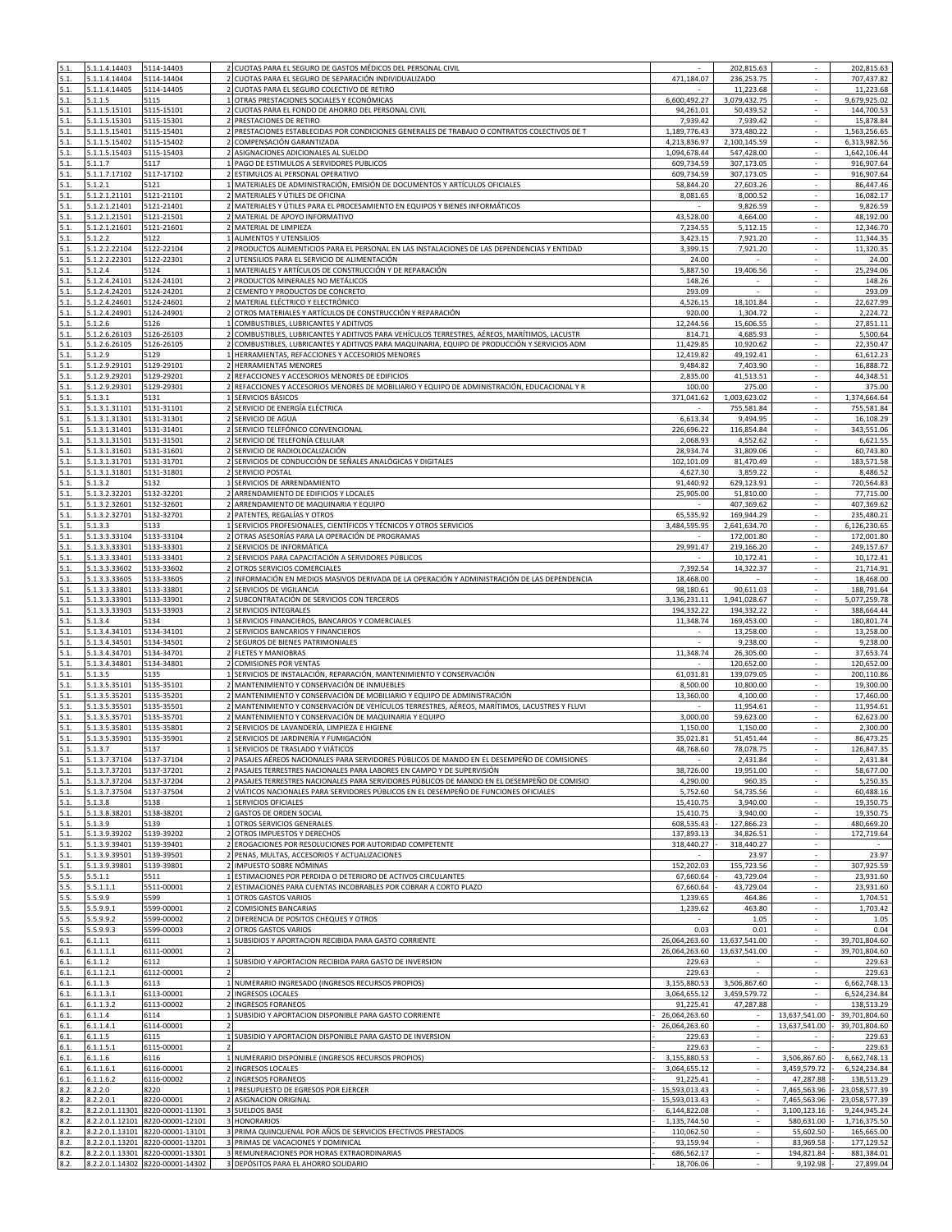| 5.1          | 5.1.1.4.14403                               | 5114-14403                       | CUOTAS PARA EL SEGURO DE GASTOS MÉDICOS DEL PERSONAL CIVIL                                                                                                                            |                          | 202,815.63              |                             | 202,815.63                |
|--------------|---------------------------------------------|----------------------------------|---------------------------------------------------------------------------------------------------------------------------------------------------------------------------------------|--------------------------|-------------------------|-----------------------------|---------------------------|
|              | 5.1.1.4.14404                               | 5114-14404                       | 2 CUOTAS PARA EL SEGURO DE SEPARACIÓN INDIVIDUALIZADO                                                                                                                                 | 471,184.07               | 236,253.75              |                             | 707,437.82                |
| 5.1          | 5.1.1.4.14405                               | 5114-14405                       | 2 CUOTAS PARA EL SEGURO COLECTIVO DE RETIRO                                                                                                                                           |                          | 11,223.68               | ÷.                          | 11,223.68                 |
| 5.1.         | 5.1.1.5                                     | 5115                             | 1 OTRAS PRESTACIONES SOCIALES Y ECONÓMICAS                                                                                                                                            | 6,600,492.27             | 3,079,432.75            | ÷.                          | 9,679,925.02              |
| 5.1.         | 5.1.1.5.15101                               | 5115-15101                       | $\overline{2}$<br>CUOTAS PARA EL FONDO DE AHORRO DEL PERSONAL CIVIL                                                                                                                   | 94,261.01                | 50,439.52               | ÷.                          | 144,700.53                |
| 5.1.<br>5.1. | 5.1.1.5.15301<br>5.1.1.5.15401              | 5115-15301<br>5115-15401         | PRESTACIONES DE RETIRO<br>2 PRESTACIONES ESTABLECIDAS POR CONDICIONES GENERALES DE TRABAJO O CONTRATOS COLECTIVOS DE T                                                                | 7,939.42<br>1,189,776.43 | 7,939.42<br>373,480.22  | ×.                          | 15,878.84<br>1,563,256.65 |
| 5.1.         | 5.1.1.5.15402                               | 5115-15402                       | COMPENSACIÓN GARANTIZADA                                                                                                                                                              | 4,213,836.97             | 2,100,145.59            |                             | 6,313,982.56              |
| 5.1.         | 5.1.1.5.15403                               | 5115-15403                       | 2 ASIGNACIONES ADICIONALES AL SUELDO                                                                                                                                                  | 1,094,678.44             | 547,428.00              |                             | 1,642,106.44              |
| 5.1.         | 5.1.1.7                                     | 5117                             | 1 PAGO DE ESTIMULOS A SERVIDORES PUBLICOS                                                                                                                                             | 609,734.59               | 307,173.05              | $\sim$                      | 916,907.64                |
| 5.1.         | 5.1.1.7.17102                               | 5117-17102                       | $\overline{2}$<br>ESTIMULOS AL PERSONAL OPERATIVO                                                                                                                                     | 609,734.59               | 307,173.05              | $\mathcal{L}_{\mathcal{A}}$ | 916,907.64                |
| 5.1.         | 5.1.2.1                                     | 5121                             | MATERIALES DE ADMINISTRACIÓN, EMISIÓN DE DOCUMENTOS Y ARTÍCULOS OFICIALES                                                                                                             | 58,844.20                | 27,603.26               | $\sim$                      | 86,447.46                 |
| 5.1.         | 5.1.2.1.21101                               | 5121-21101                       | MATERIALES Y ÚTILES DE OFICINA                                                                                                                                                        | 8,081.65                 | 8,000.52                |                             | 16,082.17                 |
| 5.1.         | 5.1.2.1.21401                               | 5121-21401                       | 2 MATERIALES Y ÚTILES PARA EL PROCESAMIENTO EN EQUIPOS Y BIENES INFORMÁTICOS                                                                                                          |                          | 9,826.59                | $\sim$                      | 9,826.59                  |
| 5.1.<br>5.1. | 5.1.2.1.21501<br>5.1.2.1.21601              | 5121-21501<br>5121-21601         | MATERIAL DE APOYO INFORMATIVO<br>2 MATERIAL DE LIMPIEZA                                                                                                                               | 43,528.00<br>7,234.55    | 4,664.00<br>5,112.15    |                             | 48,192.00<br>12,346.70    |
| 5.1.         | 5.1.2.2                                     | 5122                             | 1 ALIMENTOS Y UTENSILIOS                                                                                                                                                              | 3,423.15                 | 7,921.20                | $\sim$                      | 11,344.35                 |
| 5.1.         | 5.1.2.2.22104                               | 5122-22104                       | 2 PRODUCTOS ALIMENTICIOS PARA EL PERSONAL EN LAS INSTALACIONES DE LAS DEPENDENCIAS Y ENTIDAD                                                                                          | 3,399.15                 | 7,921.20                | ÷.                          | 11,320.35                 |
| 5.1          | 1.2.2.22301                                 | 5122-22301                       | UTENSILIOS PARA EL SERVICIO DE ALIMENTACIÓN                                                                                                                                           | 24.00                    |                         |                             | 24.00                     |
| 5.1.         | 5.1.2.4                                     | 5124                             | MATERIALES Y ARTÍCULOS DE CONSTRUCCIÓN Y DE REPARACIÓN                                                                                                                                | 5,887.50                 | 19,406.56               | $\overline{\phantom{a}}$    | 25,294.06                 |
| 5.1.         | 5.1.2.4.24101                               | 5124-24101                       | 2 PRODUCTOS MINERALES NO METÁLICOS                                                                                                                                                    | 148.26                   | $\sim$                  | $\sim$                      | 148.26                    |
| 5.1.         | 5.1.2.4.24201                               | 5124-24201                       | 2 CEMENTO Y PRODUCTOS DE CONCRETO                                                                                                                                                     | 293.09                   |                         |                             | 293.09                    |
| 5.1.         | 5.1.2.4.24601                               | 5124-24601                       | 2 MATERIAL ELÉCTRICO Y ELECTRÓNICO                                                                                                                                                    | 4,526.15                 | 18,101.84               |                             | 22,627.99                 |
| 5.1.         | 5.1.2.4.24901                               | 5124-24901                       | 2 OTROS MATERIALES Y ARTÍCULOS DE CONSTRUCCIÓN Y REPARACIÓN                                                                                                                           | 920.00                   | 1,304.72                | ÷.                          | 2,224.72                  |
| 5.1.<br>5.1. | 5.1.2.6<br>5.1.2.6.26103                    | 5126<br>5126-26103               | 1 COMBUSTIBLES, LUBRICANTES Y ADITIVOS<br>COMBUSTIBLES, LUBRICANTES Y ADITIVOS PARA VEHÍCULOS TERRESTRES, AÉREOS, MARÍTIMOS, LACUSTR                                                  | 12,244.56<br>814.71      | 15,606.55<br>4,685.93   |                             | 27,851.11<br>5,500.64     |
| 5.1.         | 5.1.2.6.26105                               | 5126-26105                       | COMBUSTIBLES, LUBRICANTES Y ADITIVOS PARA MAQUINARIA, EQUIPO DE PRODUCCIÓN Y SERVICIOS ADM                                                                                            | 11,429.85                | 10,920.62               |                             | 22,350.47                 |
| 5.1.         | 5.1.2.9                                     | 5129                             | 1 HERRAMIENTAS, REFACCIONES Y ACCESORIOS MENORES                                                                                                                                      | 12,419.82                | 49,192.41               | $\sim$                      | 61,612.23                 |
| 5.1.         | 5.1.2.9.29101                               | 5129-29101                       | 2 HERRAMIENTAS MENORES                                                                                                                                                                | 9,484.82                 | 7,403.90                |                             | 16,888.72                 |
| 5.1.         | 5.1.2.9.29201                               | 5129-29201                       | REFACCIONES Y ACCESORIOS MENORES DE EDIFICIOS                                                                                                                                         | 2,835.00                 | 41,513.51               | $\sim$                      | 44,348.51                 |
| 5.1.         | 5.1.2.9.29301                               | 5129-29301                       | 2 REFACCIONES Y ACCESORIOS MENORES DE MOBILIARIO Y EQUIPO DE ADMINISTRACIÓN, EDUCACIONAL Y R                                                                                          | 100.00                   | 275.00                  |                             | 375.00                    |
| 5.1.         | 5.1.3.1                                     | 5131                             | 1 SERVICIOS BÁSICOS                                                                                                                                                                   | 371,041.62               | 1,003,623.02            | ×.                          | 1,374,664.64              |
| 5.1.         | 5.1.3.1.31101                               | 5131-31101                       | 2 SERVICIO DE ENERGÍA ELÉCTRICA                                                                                                                                                       |                          | 755,581.84              | L.                          | 755,581.84                |
| 5.1.         | 5.1.3.1.31301                               | 5131-31301                       | 2 SERVICIO DE AGUA                                                                                                                                                                    | 6,613.34                 | 9,494.95                |                             | 16,108.29                 |
| 5.1.         | 5.1.3.1.31401                               | 5131-31401                       | 2 SERVICIO TELEFÓNICO CONVENCIONAL                                                                                                                                                    | 226,696.22               | 116,854.84              | $\sim$                      | 343,551.06                |
| 5.1.         | 5.1.3.1.31501                               | 5131-31501                       | 2 SERVICIO DE TELEFONÍA CELULAR                                                                                                                                                       | 2,068.93                 | 4,552.62                | ÷.                          | 6,621.55                  |
| 5.1.         | 5.1.3.1.31601                               | 5131-31601                       | 2 SERVICIO DE RADIOLOCALIZACIÓN                                                                                                                                                       | 28,934.74                | 31,809.06               | ÷.                          | 60,743.80                 |
| 5.1.         | 5.1.3.1.31701                               | 5131-31701                       | SERVICIOS DE CONDUCCIÓN DE SEÑALES ANALÓGICAS Y DIGITALES<br>$\overline{2}$                                                                                                           | 102,101.09               | 81,470.49               |                             | 183,571.58                |
| 5.1.         | 5.1.3.1.31801                               | 5131-31801                       | 2 SERVICIO POSTAL                                                                                                                                                                     | 4,627.30                 | 3,859.22                | ÷.                          | 8,486.52                  |
| 5.1.<br>5.1. | 5.1.3.2<br>5.1.3.2.32201                    | 5132<br>5132-32201               | 1 SERVICIOS DE ARRENDAMIENTO<br>2 ARRENDAMIENTO DE EDIFICIOS Y LOCALES                                                                                                                | 91,440.92<br>25,905.00   | 629,123.91<br>51,810.00 |                             | 720,564.83<br>77,715.00   |
| 5.1.         | 5.1.3.2.32601                               | 5132-32601                       | 2 ARRENDAMIENTO DE MAQUINARIA Y EQUIPO                                                                                                                                                |                          | 407,369.62              | $\sim$                      | 407,369.62                |
| 5.1.         | 5.1.3.2.32701                               | 5132-32701                       | 2 PATENTES, REGALÍAS Y OTROS                                                                                                                                                          | 65,535.92                | 169,944.29              | ×.                          | 235,480.21                |
| 5.1.         | 5.1.3.3                                     | 5133                             | SERVICIOS PROFESIONALES, CIENTÍFICOS Y TÉCNICOS Y OTROS SERVICIOS                                                                                                                     | 3,484,595.95             | 2,641,634.70            |                             | 6,126,230.65              |
| 5.1.         | 5.1.3.3.33104                               | 5133-33104                       | OTRAS ASESORÍAS PARA LA OPERACIÓN DE PROGRAMAS                                                                                                                                        |                          | 172,001.80              |                             | 172,001.80                |
| 5.1.         | 5.1.3.3.33301                               | 5133-33301<br>2                  | SERVICIOS DE INFORMÁTICA                                                                                                                                                              | 29,991.47                | 219,166.20              | $\sim$                      | 249,157.67                |
| 5.1.         | 5.1.3.3.33401                               | 5133-33401                       | SERVICIOS PARA CAPACITACIÓN A SERVIDORES PÚBLICOS<br>$\overline{2}$                                                                                                                   |                          | 10,172.41               | ÷.                          | 10,172.41                 |
| 5.1.         | 5.1.3.3.33602                               | 5133-33602                       | OTROS SERVICIOS COMERCIALES<br>$\overline{2}$                                                                                                                                         | 7,392.54                 | 14,322.37               |                             | 21,714.91                 |
| 5.1.         | 5.1.3.3.33605                               | 5133-33605                       | 2 INFORMACIÓN EN MEDIOS MASIVOS DERIVADA DE LA OPERACIÓN Y ADMINISTRACIÓN DE LAS DEPENDENCIA                                                                                          | 18,468.00                |                         | $\sim$                      | 18,468.00                 |
| 5.1.         | 5.1.3.3.33801                               | 5133-33801                       | 2 SERVICIOS DE VIGILANCIA                                                                                                                                                             | 98,180.61                | 90,611.03               | ÷.                          | 188,791.64                |
| 5.1.         | 5.1.3.3.33901                               | 5133-33901                       | SUBCONTRATACIÓN DE SERVICIOS CON TERCEROS                                                                                                                                             | 3,136,231.11             | 1,941,028.67            |                             | 5,077,259.78              |
| 5.1.         | 5.1.3.3.33903                               | 5133-33903                       | SERVICIOS INTEGRALES                                                                                                                                                                  | 194,332.22               | 194,332.22              |                             | 388,664.44                |
| 5.1.         | 5.1.3.4                                     | 5134                             | 1 SERVICIOS FINANCIEROS, BANCARIOS Y COMERCIALES                                                                                                                                      | 11,348.74                | 169,453.00              | $\sim$                      | 180,801.74                |
| 5.1.         | 5.1.3.4.34101                               | 5134-34101                       | $\overline{2}$<br>SERVICIOS BANCARIOS Y FINANCIEROS                                                                                                                                   |                          | 13,258.00               | ÷.                          | 13,258.00                 |
| 5.1.<br>5.1. | 5.1.3.4.34501                               | 5134-34501                       | 2 SEGUROS DE BIENES PATRIMONIALES                                                                                                                                                     | 11,348.74                | 9,238.00                |                             | 9,238.00                  |
| 5.1.         | 5.1.3.4.34701<br>5.1.3.4.34801              | 5134-34701<br>5134-34801         | 2 FLETES Y MANIOBRAS<br>2 COMISIONES POR VENTAS                                                                                                                                       |                          | 26,305.00<br>120,652.00 | ÷.                          | 37,653.74<br>120,652.00   |
| 5.1.         | 5.1.3.5                                     | 5135                             | SERVICIOS DE INSTALACIÓN, REPARACIÓN, MANTENIMIENTO Y CONSERVACIÓN                                                                                                                    | 61,031.81                | 139,079.05              |                             | 200,110.86                |
| 5.1.         | 5.1.3.5.35101                               | 5135-35101                       | 2 MANTENIMIENTO Y CONSERVACIÓN DE INMUEBLES                                                                                                                                           | 8,500.00                 | 10,800.00               |                             | 19,300.00                 |
| 5.1.         | 5.1.3.5.35201                               | 5135-35201                       | 2 MANTENIMIENTO Y CONSERVACIÓN DE MOBILIARIO Y EQUIPO DE ADMINISTRACIÓN                                                                                                               | 13,360.00                | 4,100.00                | $\sim$                      | 17,460.00                 |
| 5.1.         | 5.1.3.5.35501                               | 5135-35501                       | 2 MANTENIMIENTO Y CONSERVACIÓN DE VEHÍCULOS TERRESTRES, AÉREOS, MARÍTIMOS, LACUSTRES Y FLUVI                                                                                          |                          | 11,954.61               | ÷.                          | 11,954.61                 |
| 5.1.         | 5.1.3.5.35701                               | 5135-35701                       | MANTENIMIENTO Y CONSERVACIÓN DE MAQUINARIA Y EQUIPO                                                                                                                                   | 3,000.00                 | 59,623.00               | $\overline{\phantom{a}}$    | 62,623.00                 |
| 5.1.         | 5.1.3.5.35801                               | 5135-35801                       | SERVICIOS DE LAVANDERÍA, LIMPIEZA E HIGIENE                                                                                                                                           | 1,150.00                 | 1,150.00                |                             | 2,300.00                  |
| 5.1.         | 5.1.3.5.35901                               | 5135-35901                       | 2 SERVICIOS DE JARDINERÍA Y FUMIGACIÓN                                                                                                                                                | 35,021.81                | 51.451.44               | ÷.                          | 86,473.25                 |
| 5.1.         | 5.1.3.7                                     | 5137                             | 1 SERVICIOS DE TRASLADO Y VIÁTICOS                                                                                                                                                    | 48,768.60                | 78,078.75               |                             | 126,847.35                |
| 5.1.         | 5.1.3.7.37104                               | 5137-37104                       | 2 PASAJES AÉREOS NACIONALES PARA SERVIDORES PÚBLICOS DE MANDO EN EL DESEMPEÑO DE COMISIONES                                                                                           |                          | 2,431.84                |                             | 2,431.84                  |
| 5.1.         | 5.1.3.7.37201   5137-37201<br>5.1.3.7.37204 | 5137-37204                       | 2 PASAJES TERRESTRES NACIONALES PARA LABORES EN CAMPO Y DE SUPERVISIÓN                                                                                                                | 38,726.00                | 19,951.00               | $\sim$                      | 58,677.00                 |
| 5.1.<br>5.1. | 5.1.3.7.37504                               | 5137-37504                       | 2 PASAJES TERRESTRES NACIONALES PARA SERVIDORES PÚBLICOS DE MANDO EN EL DESEMPEÑO DE COMISIO<br>2 VIÁTICOS NACIONALES PARA SERVIDORES PÚBLICOS EN EL DESEMPEÑO DE FUNCIONES OFICIALES | 4,290.00<br>5,752.60     | 960.35<br>54,735.56     |                             | 5,250.35<br>60,488.16     |
| 5.1.         | 5.1.3.8                                     | 5138                             | 1 SERVICIOS OFICIALES                                                                                                                                                                 | 15,410.75                | 3,940.00                |                             | 19,350.75                 |
| 5.1.         | 5.1.3.8.38201                               | 5138-38201                       | 2 GASTOS DE ORDEN SOCIAL                                                                                                                                                              | 15,410.75                | 3,940.00                | $\sim$                      | 19,350.75                 |
| 5.1.         | 5.1.3.9                                     | 5139                             | 1 OTROS SERVICIOS GENERALES                                                                                                                                                           | 608,535.43               | 127,866.23              |                             | 480,669.20                |
| 5.1.         | 5.1.3.9.39202                               | 5139-39202                       | 2 OTROS IMPUESTOS Y DERECHOS                                                                                                                                                          | 137,893.13               | 34,826.51               |                             | 172,719.64                |
| 5.1.         | 5.1.3.9.39401                               | 5139-39401                       | 2 EROGACIONES POR RESOLUCIONES POR AUTORIDAD COMPETENTE                                                                                                                               | 318,440.27               | 318,440.27              | $\sim$                      | $\sim$                    |
| 5.1.         | 5.1.3.9.39501                               | 5139-39501                       | 2 PENAS, MULTAS, ACCESORIOS Y ACTUALIZACIONES                                                                                                                                         |                          | 23.97                   | ÷.                          | 23.97                     |
| 5.1.         | 5.1.3.9.39801                               | 5139-39801                       | IMPUESTO SOBRE NÓMINAS                                                                                                                                                                | 152,202.03               | 155,723.56              |                             | 307,925.59                |
| 5.5.         | 5.5.1.1                                     | 5511                             | ESTIMACIONES POR PERDIDA O DETERIORO DE ACTIVOS CIRCULANTES<br>$1\vert$                                                                                                               | 67,660.64                | 43,729.04               |                             | 23,931.60                 |
| 5.5.         | 5.5.1.1.1                                   | 5511-00001                       | 2 ESTIMACIONES PARA CUENTAS INCOBRABLES POR COBRAR A CORTO PLAZO                                                                                                                      | 67,660.64                | 43,729.04               | $\sim$                      | 23,931.60                 |
| 5.5.<br>5.5. | 5.5.9.9<br>5.5.9.9.1                        | 5599<br>5599-00001               | 1 OTROS GASTOS VARIOS<br>2 COMISIONES BANCARIAS                                                                                                                                       | 1,239.65<br>1,239.62     | 464.86<br>463.80        |                             | 1,704.51                  |
| 5.5.         | 5.5.9.9.2                                   | 5599-00002                       | 2 DIFERENCIA DE POSITOS CHEQUES Y OTROS                                                                                                                                               |                          | 1.05                    |                             | 1,703.42<br>1.05          |
| 5.5.         | 5.5.9.9.3                                   | 5599-00003                       | <b>2 OTROS GASTOS VARIOS</b>                                                                                                                                                          | 0.03                     | 0.01                    | ÷.                          | 0.04                      |
| 6.1.         | 6.1.1.1                                     | 6111                             | 1 SUBSIDIOS Y APORTACION RECIBIDA PARA GASTO CORRIENTE                                                                                                                                | 26,064,263.60            | 13,637,541.00           | ×.                          | 39,701,804.60             |
| 6.1.         | 6.1.1.1.1                                   | 6111-00001<br>$\overline{2}$     |                                                                                                                                                                                       | 26,064,263.60            | 13,637,541.00           |                             | 39,701,804.60             |
| 6.1.         | 6.1.1.2                                     | 6112                             | 1 SUBSIDIO Y APORTACION RECIBIDA PARA GASTO DE INVERSION                                                                                                                              | 229.63                   | $\sim$                  | $\sim$                      | 229.63                    |
| 6.1.         | 6.1.1.2.1                                   | 6112-00001                       |                                                                                                                                                                                       | 229.63                   |                         |                             | 229.63                    |
| 6.1.         | 6.1.1.3                                     | 6113                             | 1 NUMERARIO INGRESADO (INGRESOS RECURSOS PROPIOS)                                                                                                                                     | 3,155,880.53             | 3,506,867.60            | $\sim$                      | 6,662,748.13              |
| 6.1.         | 6.1.1.3.1                                   | 6113-00001                       | <b>INGRESOS LOCALES</b>                                                                                                                                                               | 3,064,655.12             | 3,459,579.72            |                             | 6,524,234.84              |
| 6.1.         | 6.1.1.3.2                                   | 6113-00002                       | 2 INGRESOS FORANEOS                                                                                                                                                                   | 91,225.41                | 47,287.88               | $\sim$                      | 138,513.29                |
| 6.1.         | 6.1.1.4                                     | 6114                             | 1 SUBSIDIO Y APORTACION DISPONIBLE PARA GASTO CORRIENTE                                                                                                                               | 26,064,263.60            |                         | 13,637,541.00               | 39,701,804.60             |
| 6.1.         | 6.1.1.4.1                                   | 6114-00001<br>$\overline{2}$     | 1 SUBSIDIO Y APORTACION DISPONIBLE PARA GASTO DE INVERSION                                                                                                                            | 26,064,263.60            |                         | 13,637,541.00               | 39,701,804.60             |
| 6.1.<br>6.1. | 6.1.1.5<br>6.1.1.5.1                        | 6115<br>6115-00001               |                                                                                                                                                                                       | 229.63<br>229.63         | $\sim$                  | $\sim$                      | 229.63<br>229.63          |
| 6.1.         | 6.1.1.6                                     | 6116                             | 1 NUMERARIO DISPONIBLE (INGRESOS RECURSOS PROPIOS)                                                                                                                                    | 3,155,880.53             |                         | 3,506,867.60                | 6,662,748.13              |
| 6.1.         | 6.1.1.6.1                                   | 6116-00001                       | 2 INGRESOS LOCALES                                                                                                                                                                    | 3,064,655.12             |                         | 3,459,579.72                | 6,524,234.84              |
| 6.1.         | 6.1.1.6.2                                   | 6116-00002                       | 2 INGRESOS FORANEOS                                                                                                                                                                   | 91,225.41                | $\sim$                  | 47,287.88                   | 138,513.29                |
| 8.2.         | 8.2.2.0                                     | 8220                             | 1 PRESUPUESTO DE EGRESOS POR EJERCER                                                                                                                                                  | 15,593,013.43            |                         | 7,465,563.96                | 23,058,577.39             |
| 8.2.         | 8.2.2.0.1                                   | 8220-00001                       | 2 ASIGNACION ORIGINAL                                                                                                                                                                 | 15,593,013.43            | ×.                      | 7,465,563.96                | 23,058,577.39             |
| 8.2.         |                                             | 8.2.2.0.1.11301 8220-00001-11301 | 3 SUELDOS BASE                                                                                                                                                                        | 6,144,822.08             | $\sim$                  | 3,100,123.16                | 9,244,945.24              |
| 8.2.         |                                             | 8.2.2.0.1.12101 8220-00001-12101 | 3 HONORARIOS                                                                                                                                                                          | 1,135,744.50             |                         | 580,631.00                  | 1,716,375.50              |
| 8.2.         |                                             | 8.2.2.0.1.13101 8220-00001-13101 | PRIMA QUINQUENAL POR AÑOS DE SERVICIOS EFECTIVOS PRESTADOS                                                                                                                            | 110,062.50               |                         | 55,602.50                   | 165,665.00                |
| 8.2.         |                                             | 8.2.2.0.1.13201 8220-00001-13201 | 3 PRIMAS DE VACACIONES Y DOMINICAL                                                                                                                                                    | 93,159.94                | ٠                       | 83,969.58                   | 177,129.52                |
| 8.2.<br>8.2. |                                             | 8.2.2.0.1.13301 8220-00001-13301 | 3 REMUNERACIONES POR HORAS EXTRAORDINARIAS                                                                                                                                            | 686,562.17<br>18,706.06  | $\sim$                  | 194,821.84<br>9,192.98      | 881,384.01                |
|              |                                             | 8.2.2.0.1.14302 8220-00001-14302 | 3 DEPÓSITOS PARA EL AHORRO SOLIDARIO                                                                                                                                                  |                          | $\sim$                  |                             | 27,899.04                 |